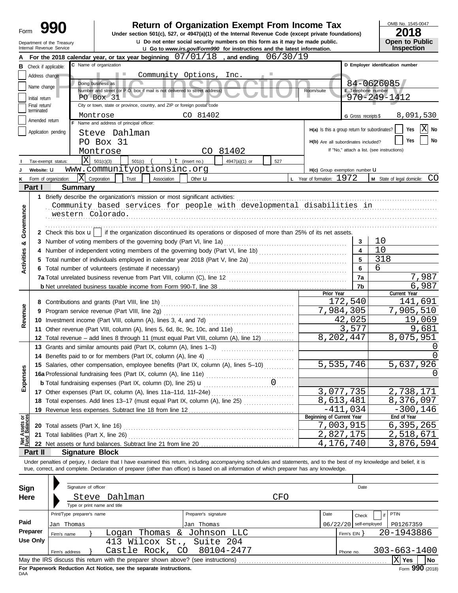| Form                           |                 |                                                        |                                                                                                                                                                                                                                                                                                                          | <b>Return of Organization Exempt From Income Tax</b><br>Under section 501(c), 527, or 4947(a)(1) of the Internal Revenue Code (except private foundations)<br><b>u</b> Do not enter social security numbers on this form as it may be made public. |            |                                               |                                            | OMB No. 1545-0047<br>2018<br>Open to Public |
|--------------------------------|-----------------|--------------------------------------------------------|--------------------------------------------------------------------------------------------------------------------------------------------------------------------------------------------------------------------------------------------------------------------------------------------------------------------------|----------------------------------------------------------------------------------------------------------------------------------------------------------------------------------------------------------------------------------------------------|------------|-----------------------------------------------|--------------------------------------------|---------------------------------------------|
|                                |                 | Department of the Treasury<br>Internal Revenue Service |                                                                                                                                                                                                                                                                                                                          | <b>u</b> Go to www.irs.gov/Form990 for instructions and the latest information.                                                                                                                                                                    |            |                                               |                                            | Inspection                                  |
|                                |                 |                                                        | For the 2018 calendar year, or tax year beginning $07/01/18$ , and ending $06/30/19$                                                                                                                                                                                                                                     |                                                                                                                                                                                                                                                    |            |                                               |                                            |                                             |
| в                              |                 | Check if applicable:                                   | C Name of organization                                                                                                                                                                                                                                                                                                   |                                                                                                                                                                                                                                                    |            |                                               |                                            | D Employer identification number            |
|                                | Address change  |                                                        |                                                                                                                                                                                                                                                                                                                          | Community Options, Inc.                                                                                                                                                                                                                            |            |                                               |                                            |                                             |
|                                | Name change     |                                                        | Doing business as<br>Number and street (or P.O. box if mail is not delivered to street address)                                                                                                                                                                                                                          |                                                                                                                                                                                                                                                    |            | Room/suite                                    | E Telephone number                         | 84-0626085                                  |
|                                | Initial return  |                                                        | PO Box 31                                                                                                                                                                                                                                                                                                                |                                                                                                                                                                                                                                                    |            |                                               |                                            | 970-249-1412                                |
|                                | Final return/   |                                                        | City or town, state or province, country, and ZIP or foreign postal code                                                                                                                                                                                                                                                 |                                                                                                                                                                                                                                                    |            |                                               |                                            |                                             |
|                                | terminated      |                                                        | Montrose                                                                                                                                                                                                                                                                                                                 | CO 81402                                                                                                                                                                                                                                           |            |                                               | G Gross receipts \$                        | 8,091,530                                   |
|                                | Amended return  |                                                        | F Name and address of principal officer:                                                                                                                                                                                                                                                                                 |                                                                                                                                                                                                                                                    |            |                                               |                                            | х                                           |
|                                |                 | Application pending                                    | Steve Dahlman                                                                                                                                                                                                                                                                                                            |                                                                                                                                                                                                                                                    |            | H(a) Is this a group return for subordinates? |                                            | Yes<br>No                                   |
|                                |                 |                                                        | PO Box 31                                                                                                                                                                                                                                                                                                                |                                                                                                                                                                                                                                                    |            | H(b) Are all subordinates included?           |                                            | No<br>Yes                                   |
|                                |                 |                                                        | Montrose                                                                                                                                                                                                                                                                                                                 | CO 81402                                                                                                                                                                                                                                           |            |                                               | If "No," attach a list. (see instructions) |                                             |
|                                |                 | X<br>Tax-exempt status:                                | 501(c)(3)<br>501(c)                                                                                                                                                                                                                                                                                                      | ) $t$ (insert no.)<br>4947(a)(1) or                                                                                                                                                                                                                | 527        |                                               |                                            |                                             |
|                                | Website: U      |                                                        | www.communityoptionsinc.org                                                                                                                                                                                                                                                                                              |                                                                                                                                                                                                                                                    |            | H(c) Group exemption number U                 |                                            |                                             |
| κ                              |                 | X<br>Form of organization:                             | Corporation<br>Trust<br>Association                                                                                                                                                                                                                                                                                      | Other <b>u</b>                                                                                                                                                                                                                                     |            | L Year of formation: 1972                     |                                            | CO<br>M State of legal domicile:            |
|                                | Part I          | <b>Summary</b>                                         |                                                                                                                                                                                                                                                                                                                          |                                                                                                                                                                                                                                                    |            |                                               |                                            |                                             |
|                                |                 |                                                        | 1 Briefly describe the organization's mission or most significant activities:                                                                                                                                                                                                                                            |                                                                                                                                                                                                                                                    |            |                                               |                                            |                                             |
|                                |                 |                                                        | Community based services for people with developmental disabilities in                                                                                                                                                                                                                                                   |                                                                                                                                                                                                                                                    |            |                                               |                                            |                                             |
| Governance                     |                 | western Colorado.                                      |                                                                                                                                                                                                                                                                                                                          |                                                                                                                                                                                                                                                    |            |                                               |                                            |                                             |
|                                |                 |                                                        |                                                                                                                                                                                                                                                                                                                          |                                                                                                                                                                                                                                                    |            |                                               |                                            |                                             |
|                                |                 |                                                        | 2 Check this box $\mathbf{u}$   if the organization discontinued its operations or disposed of more than 25% of its net assets.                                                                                                                                                                                          |                                                                                                                                                                                                                                                    |            |                                               |                                            |                                             |
| න්                             |                 |                                                        |                                                                                                                                                                                                                                                                                                                          |                                                                                                                                                                                                                                                    |            |                                               | 3                                          | 10                                          |
|                                |                 |                                                        |                                                                                                                                                                                                                                                                                                                          |                                                                                                                                                                                                                                                    |            |                                               | $\overline{\mathbf{4}}$                    | 10                                          |
|                                |                 |                                                        |                                                                                                                                                                                                                                                                                                                          |                                                                                                                                                                                                                                                    |            |                                               | 5                                          | 318                                         |
| <b>Activities</b>              |                 |                                                        | 6 Total number of volunteers (estimate if necessary)                                                                                                                                                                                                                                                                     |                                                                                                                                                                                                                                                    |            |                                               | 6                                          | 6                                           |
|                                |                 |                                                        |                                                                                                                                                                                                                                                                                                                          |                                                                                                                                                                                                                                                    |            |                                               | 7a                                         | 7,987                                       |
|                                |                 |                                                        |                                                                                                                                                                                                                                                                                                                          |                                                                                                                                                                                                                                                    |            |                                               | 7b                                         | 6,987                                       |
|                                |                 |                                                        |                                                                                                                                                                                                                                                                                                                          |                                                                                                                                                                                                                                                    |            | Prior Year                                    |                                            | Current Year                                |
|                                |                 |                                                        |                                                                                                                                                                                                                                                                                                                          |                                                                                                                                                                                                                                                    |            |                                               | 172,540                                    | 141,691                                     |
| Revenue                        |                 |                                                        | 9 Program service revenue (Part VIII, line 2g)                                                                                                                                                                                                                                                                           |                                                                                                                                                                                                                                                    |            |                                               | 7,984,305                                  | 7,905,510                                   |
|                                |                 |                                                        | 10 Investment income (Part VIII, column (A), lines 3, 4, and 7d)                                                                                                                                                                                                                                                         |                                                                                                                                                                                                                                                    | 42,025     | 19,069                                        |                                            |                                             |
|                                |                 |                                                        | 11 Other revenue (Part VIII, column (A), lines 5, 6d, 8c, 9c, 10c, and 11e)                                                                                                                                                                                                                                              |                                                                                                                                                                                                                                                    |            |                                               | 3,577                                      | 9,681                                       |
|                                |                 |                                                        | 12 Total revenue - add lines 8 through 11 (must equal Part VIII, column (A), line 12)                                                                                                                                                                                                                                    |                                                                                                                                                                                                                                                    |            |                                               | 8,202,447                                  | 8,075,951                                   |
|                                |                 |                                                        | 13 Grants and similar amounts paid (Part IX, column (A), lines 1-3)                                                                                                                                                                                                                                                      |                                                                                                                                                                                                                                                    |            |                                               |                                            | 0                                           |
|                                |                 |                                                        | 14 Benefits paid to or for members (Part IX, column (A), line 4)                                                                                                                                                                                                                                                         |                                                                                                                                                                                                                                                    |            |                                               |                                            | U                                           |
|                                |                 |                                                        | 15 Salaries, other compensation, employee benefits (Part IX, column (A), lines 5-10)                                                                                                                                                                                                                                     |                                                                                                                                                                                                                                                    |            |                                               | 5,535,746                                  | 5,637,926                                   |
| Expenses                       |                 |                                                        | <b>16a</b> Professional fundraising fees (Part IX, column (A), line 11e) $\ldots$ $\ldots$ $\ldots$ $\ldots$ $\ldots$ $\ldots$ <b>b</b> Total fundraising expenses (Part IX, column (D), line 25) <b>u</b> $\ldots$ $\ldots$ $\ldots$                                                                                    |                                                                                                                                                                                                                                                    |            |                                               |                                            |                                             |
|                                |                 |                                                        |                                                                                                                                                                                                                                                                                                                          |                                                                                                                                                                                                                                                    |            |                                               |                                            |                                             |
|                                |                 |                                                        | 17 Other expenses (Part IX, column (A), lines 11a-11d, 11f-24e)                                                                                                                                                                                                                                                          |                                                                                                                                                                                                                                                    |            |                                               | 3,077,735                                  | 2,738,171                                   |
|                                |                 |                                                        | 18 Total expenses. Add lines 13-17 (must equal Part IX, column (A), line 25) [                                                                                                                                                                                                                                           |                                                                                                                                                                                                                                                    |            |                                               | 8,613,481                                  | 8,376,097                                   |
|                                |                 |                                                        | 19 Revenue less expenses. Subtract line 18 from line 12                                                                                                                                                                                                                                                                  |                                                                                                                                                                                                                                                    |            |                                               | $-411,034$                                 | $-300, 146$                                 |
| Net Assets or<br>Fund Balances |                 |                                                        |                                                                                                                                                                                                                                                                                                                          |                                                                                                                                                                                                                                                    |            | Beginning of Current Year                     |                                            | End of Year                                 |
|                                |                 |                                                        |                                                                                                                                                                                                                                                                                                                          |                                                                                                                                                                                                                                                    |            |                                               | 7,003,915                                  | 6,395,265                                   |
|                                |                 |                                                        |                                                                                                                                                                                                                                                                                                                          |                                                                                                                                                                                                                                                    |            |                                               | 2,827,175                                  | 2,518,671                                   |
|                                |                 |                                                        |                                                                                                                                                                                                                                                                                                                          |                                                                                                                                                                                                                                                    |            |                                               | 4,176,740                                  | 3,876,594                                   |
|                                | Part II         | <b>Signature Block</b>                                 |                                                                                                                                                                                                                                                                                                                          |                                                                                                                                                                                                                                                    |            |                                               |                                            |                                             |
|                                |                 |                                                        | Under penalties of perjury, I declare that I have examined this return, including accompanying schedules and statements, and to the best of my knowledge and belief, it is<br>true, correct, and complete. Declaration of preparer (other than officer) is based on all information of which preparer has any knowledge. |                                                                                                                                                                                                                                                    |            |                                               |                                            |                                             |
|                                |                 |                                                        |                                                                                                                                                                                                                                                                                                                          |                                                                                                                                                                                                                                                    |            |                                               |                                            |                                             |
| Sign                           |                 | Signature of officer                                   |                                                                                                                                                                                                                                                                                                                          |                                                                                                                                                                                                                                                    |            |                                               | Date                                       |                                             |
|                                |                 |                                                        |                                                                                                                                                                                                                                                                                                                          |                                                                                                                                                                                                                                                    |            |                                               |                                            |                                             |
| Here                           |                 |                                                        | Steve Dahlman<br>Type or print name and title                                                                                                                                                                                                                                                                            |                                                                                                                                                                                                                                                    | <b>CFO</b> |                                               |                                            |                                             |
|                                |                 | Print/Type preparer's name                             |                                                                                                                                                                                                                                                                                                                          | Preparer's signature                                                                                                                                                                                                                               |            | Date                                          |                                            | PTIN                                        |
| Paid                           |                 |                                                        |                                                                                                                                                                                                                                                                                                                          |                                                                                                                                                                                                                                                    |            |                                               | Check                                      |                                             |
|                                | Preparer        | Jan Thomas                                             |                                                                                                                                                                                                                                                                                                                          | Jan Thomas                                                                                                                                                                                                                                         |            | 06/22/20                                      | self-employed                              | P01267359                                   |
|                                | <b>Use Only</b> | Firm's name                                            |                                                                                                                                                                                                                                                                                                                          | Logan Thomas & Johnson LLC                                                                                                                                                                                                                         |            |                                               | Firm's $EIN$ }                             | 20-1943886                                  |
|                                |                 |                                                        |                                                                                                                                                                                                                                                                                                                          | 413 Wilcox St., Suite 204                                                                                                                                                                                                                          |            |                                               |                                            |                                             |
|                                |                 | Firm's address                                         | Castle Rock, CO                                                                                                                                                                                                                                                                                                          | 80104-2477                                                                                                                                                                                                                                         |            |                                               | Phone no.                                  | $303 - 663 - 1400$                          |
|                                |                 |                                                        | May the IRS discuss this return with the preparer shown above? (see instructions)                                                                                                                                                                                                                                        |                                                                                                                                                                                                                                                    |            |                                               |                                            | $ X $ Yes<br>No                             |

| Sign<br>Here                                                 |                            | Signature of officer<br>Steve | Dahlman<br>Type or print name and title                                           |                      | CFO                      |      |              | Date  |            |                    |        |      |
|--------------------------------------------------------------|----------------------------|-------------------------------|-----------------------------------------------------------------------------------|----------------------|--------------------------|------|--------------|-------|------------|--------------------|--------|------|
|                                                              | Print/Type preparer's name |                               |                                                                                   | Preparer's signature |                          | Date |              | Check | if         | PTIN               |        |      |
| Paid                                                         | Jan Thomas                 |                               | Jan Thomas                                                                        |                      | $06/22/20$ self-employed |      |              |       | P01267359  |                    |        |      |
| Preparer                                                     | Firm's name                |                               | Logan Thomas & Johnson LLC                                                        |                      |                          |      | Firm's $EIN$ |       | 20-1943886 |                    |        |      |
| Use Only                                                     | 413 Wilcox St., Suite 204  |                               |                                                                                   |                      |                          |      |              |       |            |                    |        |      |
| Castle Rock, CO<br>80104-2477<br>Firm's address<br>Phone no. |                            |                               |                                                                                   |                      |                          |      |              |       |            | $303 - 663 - 1400$ |        |      |
|                                                              |                            |                               | May the IRS discuss this return with the preparer shown above? (see instructions) |                      |                          |      |              |       |            | Yes                |        | l No |
|                                                              |                            |                               |                                                                                   |                      |                          |      |              |       |            |                    | $\sim$ |      |

**For Paperwork Reduction Act Notice, see the separate instructions.**<br>DAA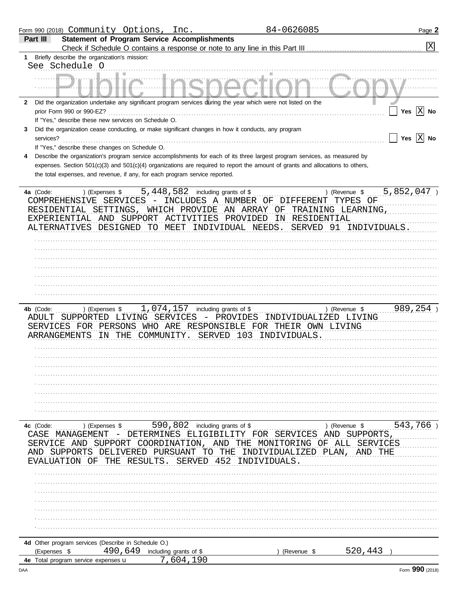| Form 990 (2018) Community Options, Inc.                                                                                        |                                 |                                              | 84-0626085               |                                | Page 2                |
|--------------------------------------------------------------------------------------------------------------------------------|---------------------------------|----------------------------------------------|--------------------------|--------------------------------|-----------------------|
| <b>Statement of Program Service Accomplishments</b><br>Part III                                                                |                                 |                                              |                          |                                |                       |
|                                                                                                                                |                                 |                                              |                          |                                | X                     |
| Briefly describe the organization's mission:                                                                                   |                                 |                                              |                          |                                |                       |
| See Schedule O                                                                                                                 |                                 |                                              |                          |                                |                       |
|                                                                                                                                |                                 |                                              |                          |                                |                       |
|                                                                                                                                |                                 |                                              |                          |                                |                       |
| Did the organization undertake any significant program services during the year which were not listed on the<br>$\mathbf{2}$   |                                 |                                              |                          |                                |                       |
| prior Form 990 or 990-EZ?                                                                                                      |                                 |                                              |                          |                                | Yes $\overline{X}$ No |
| If "Yes," describe these new services on Schedule O.                                                                           |                                 |                                              |                          |                                |                       |
| Did the organization cease conducting, or make significant changes in how it conducts, any program<br>3<br>services?           |                                 |                                              |                          |                                | Yes $\overline{X}$ No |
| If "Yes," describe these changes on Schedule O.                                                                                |                                 |                                              |                          |                                |                       |
| Describe the organization's program service accomplishments for each of its three largest program services, as measured by     |                                 |                                              |                          |                                |                       |
| expenses. Section 501(c)(3) and 501(c)(4) organizations are required to report the amount of grants and allocations to others, |                                 |                                              |                          |                                |                       |
| the total expenses, and revenue, if any, for each program service reported.                                                    |                                 |                                              |                          |                                |                       |
|                                                                                                                                |                                 |                                              |                          |                                |                       |
| 4a (Code:<br>) (Expenses \$                                                                                                    | 5,448,582                       | including grants of \$                       |                          | ) (Revenue \$                  | 5,852,047             |
| COMPREHENSIVE SERVICES                                                                                                         |                                 | INCLUDES A NUMBER OF DIFFERENT               |                          | TYPES OF                       |                       |
| RESIDENTIAL SETTINGS,                                                                                                          | WHICH PROVIDE                   | AN ARRAY<br>ΟF                               | TRAINING LEARNING        |                                |                       |
| EXPERIENTIAL AND SUPPORT ACTIVITIES<br>ALTERNATIVES DESIGNED TO MEET                                                           |                                 | PROVIDED<br>ΙN<br>INDIVIDUAL NEEDS.          | RESIDENTIAL<br>SERVED 91 | INDIVIDUALS.                   |                       |
|                                                                                                                                |                                 |                                              |                          |                                |                       |
|                                                                                                                                |                                 |                                              |                          |                                |                       |
|                                                                                                                                |                                 |                                              |                          |                                |                       |
|                                                                                                                                |                                 |                                              |                          |                                |                       |
|                                                                                                                                |                                 |                                              |                          |                                |                       |
|                                                                                                                                |                                 |                                              |                          |                                |                       |
|                                                                                                                                |                                 |                                              |                          |                                |                       |
|                                                                                                                                |                                 |                                              |                          |                                |                       |
| 4b (Code:<br>) (Expenses \$                                                                                                    | 1,074,157                       | including grants of \$                       |                          | ) (Revenue \$                  | 989,254               |
| ADULT SUPPORTED LIVING SERVICES<br>SERVICES FOR PERSONS WHO ARE                                                                | $\overline{\phantom{m}}$        | PROVIDES<br>RESPONSIBLE FOR THEIR OWN LIVING | INDIVIDUALIZED LIVING    |                                |                       |
| ARRANGEMENTS<br>IN                                                                                                             | THE COMMUNITY.                  | SERVED 103 INDIVIDUALS.                      |                          |                                |                       |
|                                                                                                                                |                                 |                                              |                          |                                |                       |
|                                                                                                                                |                                 |                                              |                          |                                |                       |
|                                                                                                                                |                                 |                                              |                          |                                |                       |
|                                                                                                                                |                                 |                                              |                          |                                |                       |
|                                                                                                                                |                                 |                                              |                          |                                |                       |
|                                                                                                                                |                                 |                                              |                          |                                |                       |
|                                                                                                                                |                                 |                                              |                          |                                |                       |
|                                                                                                                                |                                 |                                              |                          |                                |                       |
|                                                                                                                                |                                 |                                              |                          |                                |                       |
| 4c (Code:<br>) (Expenses \$<br>CASE<br>MANAGEMENT                                                                              | 590, 802 including grants of \$ | DETERMINES ELIGIBILITY FOR SERVICES          |                          | ) (Revenue \$<br>AND SUPPORTS, | 543,766               |
| SERVICE<br>SUPPORT<br>AND                                                                                                      | COORDINATION, AND               | THE<br>MONITORING                            | OF ALL                   | SERVICES                       |                       |
| SUPPORTS<br>DELIVERED                                                                                                          | PURSUANT<br>TO.                 | THE                                          | INDIVIDUALIZED PLAN      | AND<br>THE                     |                       |
| THE<br>ALUATION<br>OF.                                                                                                         | RESULTS<br>SERVED               | 452<br>INDIVIDUALS                           |                          |                                |                       |
|                                                                                                                                |                                 |                                              |                          |                                |                       |
|                                                                                                                                |                                 |                                              |                          |                                |                       |
|                                                                                                                                |                                 |                                              |                          |                                |                       |
|                                                                                                                                |                                 |                                              |                          |                                |                       |
|                                                                                                                                |                                 |                                              |                          |                                |                       |
|                                                                                                                                |                                 |                                              |                          |                                |                       |
|                                                                                                                                |                                 |                                              |                          |                                |                       |
| 4d Other program services (Describe in Schedule O.)                                                                            |                                 |                                              |                          |                                |                       |
| 490,649<br>(Expenses \$                                                                                                        | including grants of \$          |                                              | (Revenue \$              | 520,443                        |                       |
|                                                                                                                                |                                 |                                              |                          |                                |                       |
| 4e Total program service expenses u                                                                                            | 7,604,190                       |                                              |                          |                                |                       |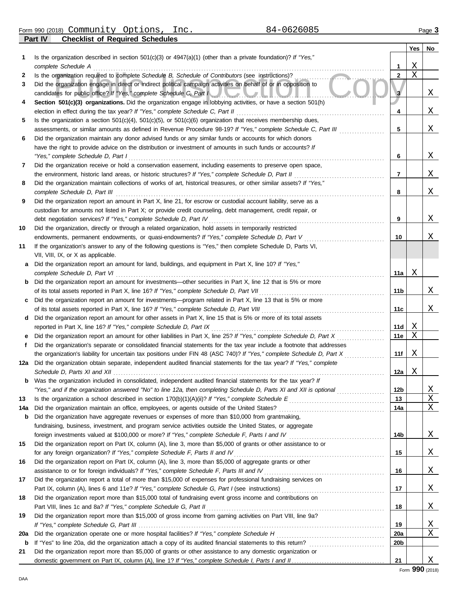**Part IV Checklist of Required Schedules** Form 990 (2018) Page **3** Community Options, Inc. 84-0626085

|          |                                                                                                                                                                                                                                                  |                        | Yes    | No     |
|----------|--------------------------------------------------------------------------------------------------------------------------------------------------------------------------------------------------------------------------------------------------|------------------------|--------|--------|
| 1        | Is the organization described in section $501(c)(3)$ or $4947(a)(1)$ (other than a private foundation)? If "Yes,"                                                                                                                                |                        |        |        |
|          | complete Schedule A                                                                                                                                                                                                                              | 1                      | Χ      |        |
| 2        | Is the organization required to complete Schedule B, Schedule of Contributors (see instructions)?                                                                                                                                                | $\mathbf{2}$           | X      |        |
| 3        | Did the organization engage in direct or indirect political campaign activities on behalf of or in opposition to                                                                                                                                 |                        |        |        |
|          | candidates for public office? If "Yes," complete Schedule C, Part I                                                                                                                                                                              | 3                      |        | X      |
| 4        | Section 501(c)(3) organizations. Did the organization engage in lobbying activities, or have a section 501(h)                                                                                                                                    |                        |        |        |
|          | election in effect during the tax year? If "Yes," complete Schedule C, Part II                                                                                                                                                                   | 4                      |        | X      |
| 5        | Is the organization a section $501(c)(4)$ , $501(c)(5)$ , or $501(c)(6)$ organization that receives membership dues,<br>assessments, or similar amounts as defined in Revenue Procedure 98-19? If "Yes," complete Schedule C, Part III           | 5                      |        | Χ      |
| 6        | Did the organization maintain any donor advised funds or any similar funds or accounts for which donors                                                                                                                                          |                        |        |        |
|          | have the right to provide advice on the distribution or investment of amounts in such funds or accounts? If                                                                                                                                      |                        |        |        |
|          | "Yes," complete Schedule D, Part I                                                                                                                                                                                                               | 6                      |        | Χ      |
| 7        | Did the organization receive or hold a conservation easement, including easements to preserve open space,                                                                                                                                        |                        |        |        |
|          | the environment, historic land areas, or historic structures? If "Yes," complete Schedule D, Part II                                                                                                                                             | 7                      |        | X      |
| 8        | Did the organization maintain collections of works of art, historical treasures, or other similar assets? If "Yes,"                                                                                                                              |                        |        |        |
|          | complete Schedule D, Part III                                                                                                                                                                                                                    | 8                      |        | Χ      |
| 9        | Did the organization report an amount in Part X, line 21, for escrow or custodial account liability, serve as a                                                                                                                                  |                        |        |        |
|          | custodian for amounts not listed in Part X; or provide credit counseling, debt management, credit repair, or                                                                                                                                     |                        |        |        |
|          | debt negotiation services? If "Yes," complete Schedule D, Part IV                                                                                                                                                                                | 9                      |        | Χ      |
| 10       | Did the organization, directly or through a related organization, hold assets in temporarily restricted                                                                                                                                          |                        |        |        |
|          | endowments, permanent endowments, or quasi-endowments? If "Yes," complete Schedule D, Part V                                                                                                                                                     | 10                     |        | X      |
| 11       | If the organization's answer to any of the following questions is "Yes," then complete Schedule D, Parts VI,                                                                                                                                     |                        |        |        |
|          | VII, VIII, IX, or X as applicable.                                                                                                                                                                                                               |                        |        |        |
| a        | Did the organization report an amount for land, buildings, and equipment in Part X, line 10? If "Yes,"                                                                                                                                           |                        |        |        |
|          | complete Schedule D, Part VI                                                                                                                                                                                                                     | 11a                    | Χ      |        |
|          | <b>b</b> Did the organization report an amount for investments—other securities in Part X, line 12 that is 5% or more                                                                                                                            |                        |        |        |
|          | of its total assets reported in Part X, line 16? If "Yes," complete Schedule D, Part VII                                                                                                                                                         | 11b                    |        | X      |
| c        | Did the organization report an amount for investments—program related in Part X, line 13 that is 5% or more                                                                                                                                      |                        |        |        |
|          | of its total assets reported in Part X, line 16? If "Yes," complete Schedule D, Part VIII                                                                                                                                                        | 11c                    |        | X      |
| d        | Did the organization report an amount for other assets in Part X, line 15 that is 5% or more of its total assets                                                                                                                                 |                        |        |        |
|          | reported in Part X, line 16? If "Yes," complete Schedule D, Part IX                                                                                                                                                                              | 11d                    | X<br>Χ |        |
|          | Did the organization report an amount for other liabilities in Part X, line 25? If "Yes," complete Schedule D, Part X<br>Did the organization's separate or consolidated financial statements for the tax year include a footnote that addresses | 11e                    |        |        |
| f        | the organization's liability for uncertain tax positions under FIN 48 (ASC 740)? If "Yes," complete Schedule D, Part X                                                                                                                           | 11f                    | Χ      |        |
| 12a      | Did the organization obtain separate, independent audited financial statements for the tax year? If "Yes," complete                                                                                                                              |                        |        |        |
|          | Schedule D. Parts XI and XII                                                                                                                                                                                                                     | 12a                    | X      |        |
|          | <b>b</b> Was the organization included in consolidated, independent audited financial statements for the tax year? If                                                                                                                            |                        |        |        |
|          | "Yes," and if the organization answered "No" to line 12a, then completing Schedule D, Parts XI and XII is optional                                                                                                                               | 12b                    |        | X      |
| 13       |                                                                                                                                                                                                                                                  | 13                     |        | Χ      |
| 14a      |                                                                                                                                                                                                                                                  | 14a                    |        | X      |
| b        | Did the organization have aggregate revenues or expenses of more than \$10,000 from grantmaking,                                                                                                                                                 |                        |        |        |
|          | fundraising, business, investment, and program service activities outside the United States, or aggregate                                                                                                                                        |                        |        |        |
|          |                                                                                                                                                                                                                                                  | 14b                    |        | X      |
| 15       | Did the organization report on Part IX, column (A), line 3, more than \$5,000 of grants or other assistance to or                                                                                                                                |                        |        |        |
|          | for any foreign organization? If "Yes," complete Schedule F, Parts II and IV                                                                                                                                                                     | 15                     |        | X      |
| 16       | Did the organization report on Part IX, column (A), line 3, more than \$5,000 of aggregate grants or other                                                                                                                                       |                        |        |        |
|          | assistance to or for foreign individuals? If "Yes," complete Schedule F, Parts III and IV [[[[[[[[[[[[[[[[[[[                                                                                                                                    | 16                     |        | X      |
| 17       | Did the organization report a total of more than \$15,000 of expenses for professional fundraising services on                                                                                                                                   |                        |        |        |
|          |                                                                                                                                                                                                                                                  | 17                     |        | X      |
| 18       | Did the organization report more than \$15,000 total of fundraising event gross income and contributions on                                                                                                                                      |                        |        |        |
|          |                                                                                                                                                                                                                                                  | 18                     |        | X      |
| 19       | Did the organization report more than \$15,000 of gross income from gaming activities on Part VIII, line 9a?                                                                                                                                     |                        |        |        |
|          |                                                                                                                                                                                                                                                  | 19                     |        | X<br>X |
| 20a<br>b |                                                                                                                                                                                                                                                  | 20a<br>20 <sub>b</sub> |        |        |
| 21       | Did the organization report more than \$5,000 of grants or other assistance to any domestic organization or                                                                                                                                      |                        |        |        |
|          |                                                                                                                                                                                                                                                  | 21                     |        | X      |
|          |                                                                                                                                                                                                                                                  |                        |        |        |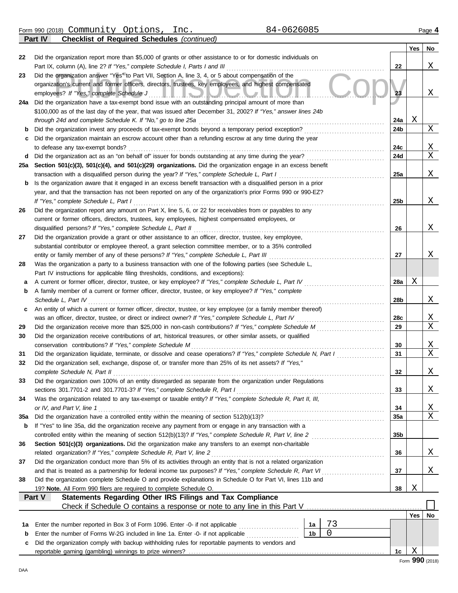Form 990 (2018) Page **4** Community Options, Inc. 84-0626085

**Part IV Checklist of Required Schedules** *(continued)*

|          | sonnot or rioquirou concuutos positinto                                                                                                                                                                                              |                 |        |                                   |
|----------|--------------------------------------------------------------------------------------------------------------------------------------------------------------------------------------------------------------------------------------|-----------------|--------|-----------------------------------|
| 22       | Did the organization report more than \$5,000 of grants or other assistance to or for domestic individuals on                                                                                                                        |                 | Yes    | No                                |
|          | Part IX, column (A), line 2? If "Yes," complete Schedule I, Parts I and III                                                                                                                                                          | 22              |        | Χ                                 |
| 23       | Did the organization answer "Yes" to Part VII, Section A, line 3, 4, or 5 about compensation of the                                                                                                                                  |                 |        |                                   |
|          | organization's current and former officers, directors, trustees, key employees, and highest compensated                                                                                                                              |                 |        |                                   |
|          | employees? If "Yes," complete Schedule J<br>HE READY AND AN INDI                                                                                                                                                                     | 23              |        | Χ                                 |
| 24a      | Did the organization have a tax-exempt bond issue with an outstanding principal amount of more than                                                                                                                                  |                 |        |                                   |
|          | \$100,000 as of the last day of the year, that was issued after December 31, 2002? If "Yes," answer lines 24b                                                                                                                        |                 |        |                                   |
|          | through 24d and complete Schedule K. If "No," go to line 25a                                                                                                                                                                         | 24a             | Χ      |                                   |
| b        | Did the organization invest any proceeds of tax-exempt bonds beyond a temporary period exception?                                                                                                                                    | 24b             |        | Χ                                 |
| c        | Did the organization maintain an escrow account other than a refunding escrow at any time during the year                                                                                                                            |                 |        |                                   |
|          | to defease any tax-exempt bonds?                                                                                                                                                                                                     | 24c             |        | <u>X</u><br>$\overline{X}$        |
| d<br>25a | Did the organization act as an "on behalf of" issuer for bonds outstanding at any time during the year?<br>Section 501(c)(3), 501(c)(4), and 501(c)(29) organizations. Did the organization engage in an excess benefit              | 24d             |        |                                   |
|          | transaction with a disqualified person during the year? If "Yes," complete Schedule L, Part I                                                                                                                                        | 25a             |        | Χ                                 |
| b        | Is the organization aware that it engaged in an excess benefit transaction with a disqualified person in a prior                                                                                                                     |                 |        |                                   |
|          | year, and that the transaction has not been reported on any of the organization's prior Forms 990 or 990-EZ?                                                                                                                         |                 |        |                                   |
|          | If "Yes," complete Schedule L, Part I                                                                                                                                                                                                | 25 <sub>b</sub> |        | Χ                                 |
| 26       | Did the organization report any amount on Part X, line 5, 6, or 22 for receivables from or payables to any                                                                                                                           |                 |        |                                   |
|          | current or former officers, directors, trustees, key employees, highest compensated employees, or                                                                                                                                    |                 |        |                                   |
|          | disqualified persons? If "Yes," complete Schedule L, Part II                                                                                                                                                                         | 26              |        | Χ                                 |
| 27       | Did the organization provide a grant or other assistance to an officer, director, trustee, key employee,                                                                                                                             |                 |        |                                   |
|          | substantial contributor or employee thereof, a grant selection committee member, or to a 35% controlled                                                                                                                              |                 |        |                                   |
|          | entity or family member of any of these persons? If "Yes," complete Schedule L, Part III                                                                                                                                             | 27              |        | Χ                                 |
| 28       | Was the organization a party to a business transaction with one of the following parties (see Schedule L,                                                                                                                            |                 |        |                                   |
|          | Part IV instructions for applicable filing thresholds, conditions, and exceptions):                                                                                                                                                  |                 |        |                                   |
| а        | A current or former officer, director, trustee, or key employee? If "Yes," complete Schedule L, Part IV                                                                                                                              | 28a             | Χ      |                                   |
| b        | A family member of a current or former officer, director, trustee, or key employee? If "Yes," complete<br>Schedule L, Part IV                                                                                                        | 28b             |        | Χ                                 |
| c        | An entity of which a current or former officer, director, trustee, or key employee (or a family member thereof)                                                                                                                      |                 |        |                                   |
|          | was an officer, director, trustee, or direct or indirect owner? If "Yes," complete Schedule L, Part IV                                                                                                                               | 28c             |        | <u>X</u>                          |
| 29       | Did the organization receive more than \$25,000 in non-cash contributions? If "Yes," complete Schedule M                                                                                                                             | 29              |        | $\overline{\mathrm{x}}$           |
| 30       | Did the organization receive contributions of art, historical treasures, or other similar assets, or qualified                                                                                                                       |                 |        |                                   |
|          | conservation contributions? If "Yes," complete Schedule M                                                                                                                                                                            | 30              |        | $\mathbf{X}$                      |
| 31       | Did the organization liquidate, terminate, or dissolve and cease operations? If "Yes," complete Schedule N, Part I                                                                                                                   | 31              |        | $\overline{\mathrm{x}}$           |
| 32       | Did the organization sell, exchange, dispose of, or transfer more than 25% of its net assets? If "Yes,"                                                                                                                              |                 |        |                                   |
|          | complete Schedule N, Part II                                                                                                                                                                                                         | 32              |        | Χ                                 |
| 33       | Did the organization own 100% of an entity disregarded as separate from the organization under Regulations                                                                                                                           |                 |        |                                   |
|          | sections 301.7701-2 and 301.7701-3? If "Yes," complete Schedule R, Part I                                                                                                                                                            | 33              |        | X                                 |
| 34       | Was the organization related to any tax-exempt or taxable entity? If "Yes," complete Schedule R, Part II, III,                                                                                                                       |                 |        |                                   |
|          | or IV, and Part V, line 1                                                                                                                                                                                                            | 34              |        | <u>X</u><br>$\overline{\text{X}}$ |
| 35a<br>b | If "Yes" to line 35a, did the organization receive any payment from or engage in any transaction with a                                                                                                                              | 35a             |        |                                   |
|          | controlled entity within the meaning of section 512(b)(13)? If "Yes," complete Schedule R, Part V, line 2                                                                                                                            | 35b             |        |                                   |
| 36       | Section 501(c)(3) organizations. Did the organization make any transfers to an exempt non-charitable                                                                                                                                 |                 |        |                                   |
|          | related organization? If "Yes," complete Schedule R, Part V, line 2                                                                                                                                                                  | 36              |        | Χ                                 |
| 37       | Did the organization conduct more than 5% of its activities through an entity that is not a related organization                                                                                                                     |                 |        |                                   |
|          | and that is treated as a partnership for federal income tax purposes? If "Yes," complete Schedule R, Part VI<br><u> 1966 - Johann Stoff, Amerikaansk kanton en beskriuwer om de foarmen it ferskein om de foarmen it ferskein om</u> | 37              |        | Χ                                 |
| 38       | Did the organization complete Schedule O and provide explanations in Schedule O for Part VI, lines 11b and                                                                                                                           |                 |        |                                   |
|          | 19? Note. All Form 990 filers are required to complete Schedule O.                                                                                                                                                                   | 38              | Χ      |                                   |
|          | Part V<br>Statements Regarding Other IRS Filings and Tax Compliance                                                                                                                                                                  |                 |        |                                   |
|          |                                                                                                                                                                                                                                      |                 |        |                                   |
|          |                                                                                                                                                                                                                                      |                 | Yes    | No                                |
| 1a       | 73<br>Enter the number reported in Box 3 of Form 1096. Enter -0- if not applicable<br>1а<br>$\overline{0}$<br>1 <sub>b</sub>                                                                                                         |                 |        |                                   |
| b        | Enter the number of Forms W-2G included in line 1a. Enter -0- if not applicable<br>Did the organization comply with backup withholding rules for reportable payments to vendors and                                                  |                 |        |                                   |
| c        |                                                                                                                                                                                                                                      | 1c              | Χ      |                                   |
|          |                                                                                                                                                                                                                                      |                 | $\sim$ |                                   |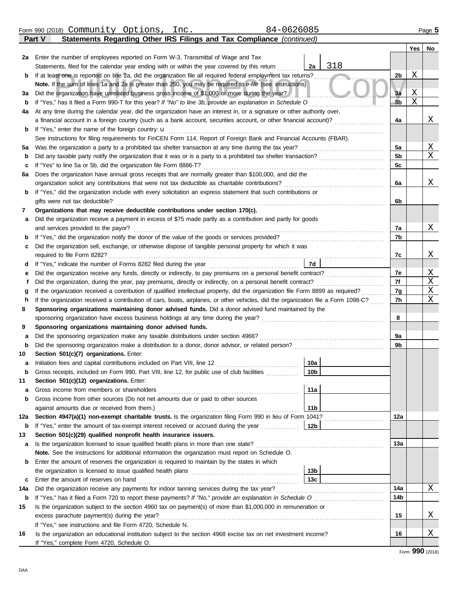|  | Form 990 (2018) | Community | Options | Inc. | 26085،<br>$\cup$ | Page |
|--|-----------------|-----------|---------|------|------------------|------|
|--|-----------------|-----------|---------|------|------------------|------|

**Part V Statements Regarding Other IRS Filings and Tax Compliance** *(continued)*

|             |                                                                                                                                                              |                 |     |                | Yes | No |  |  |  |  |  |
|-------------|--------------------------------------------------------------------------------------------------------------------------------------------------------------|-----------------|-----|----------------|-----|----|--|--|--|--|--|
| 2a          | Enter the number of employees reported on Form W-3, Transmittal of Wage and Tax                                                                              |                 |     |                |     |    |  |  |  |  |  |
|             | Statements, filed for the calendar year ending with or within the year covered by this return                                                                | 2a              | 318 |                |     |    |  |  |  |  |  |
| b           | If at least one is reported on line 2a, did the organization file all required federal employment tax returns?                                               |                 |     | 2b             | Χ   |    |  |  |  |  |  |
|             | Note. If the sum of lines 1a and 2a is greater than 250, you may be required to e-file (see instructions)                                                    |                 |     |                |     |    |  |  |  |  |  |
| за          | Did the organization have unrelated business gross income of \$1,000 or more during the year?                                                                |                 |     | 3a             | Χ   |    |  |  |  |  |  |
| b           | If "Yes," has it filed a Form 990-T for this year? If "No" to line 3b, provide an explanation in Schedule O                                                  |                 |     | 3 <sub>b</sub> | X   |    |  |  |  |  |  |
| 4a          | At any time during the calendar year, did the organization have an interest in, or a signature or other authority over,                                      |                 |     |                |     |    |  |  |  |  |  |
|             | a financial account in a foreign country (such as a bank account, securities account, or other financial account)?                                           |                 |     | 4a             |     | Χ  |  |  |  |  |  |
| b           | If "Yes," enter the name of the foreign country: $\mathbf u$                                                                                                 |                 |     |                |     |    |  |  |  |  |  |
|             | See instructions for filing requirements for FinCEN Form 114, Report of Foreign Bank and Financial Accounts (FBAR).                                          |                 |     |                |     |    |  |  |  |  |  |
| 5а          | Was the organization a party to a prohibited tax shelter transaction at any time during the tax year?                                                        |                 |     |                |     |    |  |  |  |  |  |
| $\mathbf b$ | Did any taxable party notify the organization that it was or is a party to a prohibited tax shelter transaction?                                             |                 |     |                |     |    |  |  |  |  |  |
| с           | If "Yes" to line 5a or 5b, did the organization file Form 8886-T?                                                                                            |                 |     | 5 <sub>c</sub> |     |    |  |  |  |  |  |
| 6а          | Does the organization have annual gross receipts that are normally greater than \$100,000, and did the                                                       |                 |     |                |     |    |  |  |  |  |  |
|             | organization solicit any contributions that were not tax deductible as charitable contributions?                                                             |                 |     | 6a             |     | Χ  |  |  |  |  |  |
| b           | If "Yes," did the organization include with every solicitation an express statement that such contributions or                                               |                 |     |                |     |    |  |  |  |  |  |
|             | gifts were not tax deductible?                                                                                                                               |                 |     | 6b             |     |    |  |  |  |  |  |
| 7           | Organizations that may receive deductible contributions under section 170(c).                                                                                |                 |     |                |     |    |  |  |  |  |  |
| а           | Did the organization receive a payment in excess of \$75 made partly as a contribution and partly for goods                                                  |                 |     |                |     |    |  |  |  |  |  |
|             | and services provided to the payor?                                                                                                                          |                 |     | 7a             |     | Χ  |  |  |  |  |  |
| b           |                                                                                                                                                              |                 |     | 7b             |     |    |  |  |  |  |  |
| с           | Did the organization sell, exchange, or otherwise dispose of tangible personal property for which it was                                                     |                 |     |                |     |    |  |  |  |  |  |
|             | required to file Form 8282?                                                                                                                                  |                 |     | 7c             |     | х  |  |  |  |  |  |
| α           |                                                                                                                                                              | 7d              |     |                |     |    |  |  |  |  |  |
| е           | Did the organization receive any funds, directly or indirectly, to pay premiums on a personal benefit contract?                                              |                 |     | 7e             |     | Χ  |  |  |  |  |  |
| f           | Did the organization, during the year, pay premiums, directly or indirectly, on a personal benefit contract?                                                 |                 |     | 7f             |     | X  |  |  |  |  |  |
|             | If the organization received a contribution of qualified intellectual property, did the organization file Form 8899 as required?                             |                 |     | 7g             |     | Χ  |  |  |  |  |  |
| h           | If the organization received a contribution of cars, boats, airplanes, or other vehicles, did the organization file a Form 1098-C?                           |                 |     | 7h             |     | Χ  |  |  |  |  |  |
| 8           | Sponsoring organizations maintaining donor advised funds. Did a donor advised fund maintained by the                                                         |                 |     |                |     |    |  |  |  |  |  |
|             | sponsoring organization have excess business holdings at any time during the year?                                                                           |                 |     | 8              |     |    |  |  |  |  |  |
| 9           | Sponsoring organizations maintaining donor advised funds.                                                                                                    |                 |     |                |     |    |  |  |  |  |  |
| а           | Did the sponsoring organization make any taxable distributions under section 4966?                                                                           |                 |     | 9a             |     |    |  |  |  |  |  |
| $\mathbf b$ | Did the sponsoring organization make a distribution to a donor, donor advisor, or related person?                                                            |                 |     | 9b             |     |    |  |  |  |  |  |
| 10          | Section 501(c)(7) organizations. Enter:                                                                                                                      |                 |     |                |     |    |  |  |  |  |  |
| а           | Initiation fees and capital contributions included on Part VIII, line 12                                                                                     | 10a             |     |                |     |    |  |  |  |  |  |
| b           | Gross receipts, included on Form 990, Part VIII, line 12, for public use of club facilities                                                                  | 10 <sub>b</sub> |     |                |     |    |  |  |  |  |  |
| 11          | Section 501(c)(12) organizations. Enter:                                                                                                                     |                 |     |                |     |    |  |  |  |  |  |
| а           | Gross income from members or shareholders                                                                                                                    | 11a             |     |                |     |    |  |  |  |  |  |
| b           | Gross income from other sources (Do not net amounts due or paid to other sources                                                                             |                 |     |                |     |    |  |  |  |  |  |
|             | against amounts due or received from them.)                                                                                                                  | 11 <sub>b</sub> |     |                |     |    |  |  |  |  |  |
| 12a         | Section 4947(a)(1) non-exempt charitable trusts. Is the organization filing Form 990 in lieu of Form 1041?                                                   |                 |     | 12a            |     |    |  |  |  |  |  |
| b           | If "Yes," enter the amount of tax-exempt interest received or accrued during the year                                                                        | 12b             |     |                |     |    |  |  |  |  |  |
| 13          | Section 501(c)(29) qualified nonprofit health insurance issuers.                                                                                             |                 |     |                |     |    |  |  |  |  |  |
| a           | Is the organization licensed to issue qualified health plans in more than one state?                                                                         |                 |     | 13а            |     |    |  |  |  |  |  |
|             | Note. See the instructions for additional information the organization must report on Schedule O.                                                            |                 |     |                |     |    |  |  |  |  |  |
| b           | Enter the amount of reserves the organization is required to maintain by the states in which<br>the organization is licensed to issue qualified health plans | 13b             |     |                |     |    |  |  |  |  |  |
|             | Enter the amount of reserves on hand                                                                                                                         | 13 <sub>c</sub> |     |                |     |    |  |  |  |  |  |
| C<br>14a    | Did the organization receive any payments for indoor tanning services during the tax year?                                                                   |                 |     | 14a            |     | Χ  |  |  |  |  |  |
| b           |                                                                                                                                                              |                 |     | 14b            |     |    |  |  |  |  |  |
| 15          | Is the organization subject to the section 4960 tax on payment(s) of more than \$1,000,000 in remuneration or                                                |                 |     |                |     |    |  |  |  |  |  |
|             | excess parachute payment(s) during the year?                                                                                                                 |                 |     | 15             |     | Χ  |  |  |  |  |  |
|             | If "Yes," see instructions and file Form 4720, Schedule N.                                                                                                   |                 |     |                |     |    |  |  |  |  |  |
| 16          | Is the organization an educational institution subject to the section 4968 excise tax on net investment income?                                              |                 |     | 16             |     | Χ  |  |  |  |  |  |
|             | If "Yes," complete Form 4720, Schedule O.                                                                                                                    |                 |     |                |     |    |  |  |  |  |  |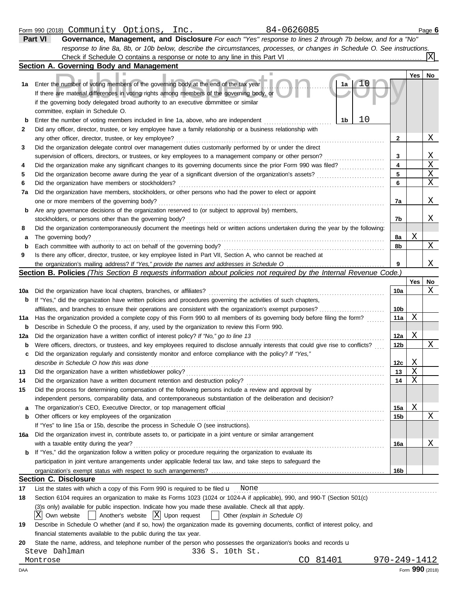|             | 84-0626085<br>Form 990 (2018) Community Options,<br>Inc.                                                                            |              |     | Page 6 |
|-------------|-------------------------------------------------------------------------------------------------------------------------------------|--------------|-----|--------|
|             | Governance, Management, and Disclosure For each "Yes" response to lines 2 through 7b below, and for a "No"<br>Part VI               |              |     |        |
|             | response to line 8a, 8b, or 10b below, describe the circumstances, processes, or changes in Schedule O. See instructions.           |              |     |        |
|             |                                                                                                                                     |              |     | X      |
|             | Section A. Governing Body and Management                                                                                            |              |     |        |
|             |                                                                                                                                     |              | Yes | No     |
| 1а          | Enter the number of voting members of the governing body at the end of the tax year<br>1a                                           |              |     |        |
|             | If there are material differences in voting rights among members of the governing body, or                                          |              |     |        |
|             | if the governing body delegated broad authority to an executive committee or similar                                                |              |     |        |
|             | committee, explain in Schedule O.                                                                                                   |              |     |        |
| $\mathbf b$ | 10<br>1b<br>Enter the number of voting members included in line 1a, above, who are independent                                      |              |     |        |
|             |                                                                                                                                     |              |     |        |
| 2           | Did any officer, director, trustee, or key employee have a family relationship or a business relationship with                      |              |     |        |
|             | any other officer, director, trustee, or key employee?                                                                              | 2            |     | Χ      |
| 3           | Did the organization delegate control over management duties customarily performed by or under the direct                           |              |     |        |
|             | supervision of officers, directors, or trustees, or key employees to a management company or other person?                          | 3            |     | Χ      |
| 4           | Did the organization make any significant changes to its governing documents since the prior Form 990 was filed?                    | 4            |     | Χ      |
| 5           | Did the organization become aware during the year of a significant diversion of the organization's assets?                          | 5            |     | Χ      |
| 6           | Did the organization have members or stockholders?                                                                                  | 6            |     | Χ      |
| 7a          | Did the organization have members, stockholders, or other persons who had the power to elect or appoint                             |              |     |        |
|             | one or more members of the governing body?                                                                                          | 7a           |     | Χ      |
| b           | Are any governance decisions of the organization reserved to (or subject to approval by) members,                                   |              |     |        |
|             | stockholders, or persons other than the governing body?                                                                             | 7b           |     | Χ      |
| 8           | Did the organization contemporaneously document the meetings held or written actions undertaken during the year by the following:   |              |     |        |
| а           | The governing body?                                                                                                                 | 8а           | Χ   |        |
| b           | Each committee with authority to act on behalf of the governing body?                                                               | 8b           |     | X      |
| 9           | Is there any officer, director, trustee, or key employee listed in Part VII, Section A, who cannot be reached at                    |              |     |        |
|             |                                                                                                                                     | 9            |     | Χ      |
|             | <b>Section B. Policies</b> (This Section B requests information about policies not required by the Internal Revenue Code.)          |              |     |        |
|             |                                                                                                                                     |              | Yes | No     |
| 10a         | Did the organization have local chapters, branches, or affiliates?                                                                  | 10a          |     | Χ      |
|             |                                                                                                                                     |              |     |        |
| b           | If "Yes," did the organization have written policies and procedures governing the activities of such chapters,                      |              |     |        |
|             | affiliates, and branches to ensure their operations are consistent with the organization's exempt purposes?                         | 10b          |     |        |
| 11a         | Has the organization provided a complete copy of this Form 990 to all members of its governing body before filing the form?         | 11a          | Χ   |        |
| b           | Describe in Schedule O the process, if any, used by the organization to review this Form 990.                                       |              |     |        |
| 12a         | Did the organization have a written conflict of interest policy? If "No," go to line 13                                             | 12a          | Χ   |        |
| b           | Were officers, directors, or trustees, and key employees required to disclose annually interests that could give rise to conflicts? | 12b          |     | Χ      |
| c           | Did the organization regularly and consistently monitor and enforce compliance with the policy? If "Yes,"                           |              |     |        |
|             | describe in Schedule O how this was done                                                                                            | 12c          | Χ   |        |
| 13          | Did the organization have a written whistleblower policy?                                                                           | 13           | Χ   |        |
| 14          | Did the organization have a written document retention and destruction policy?                                                      | 14           | Χ   |        |
| 15          | Did the process for determining compensation of the following persons include a review and approval by                              |              |     |        |
|             | independent persons, comparability data, and contemporaneous substantiation of the deliberation and decision?                       |              |     |        |
| а           |                                                                                                                                     | 15a          | Χ   |        |
| b           | Other officers or key employees of the organization                                                                                 | 15b          |     | Χ      |
|             | If "Yes" to line 15a or 15b, describe the process in Schedule O (see instructions).                                                 |              |     |        |
| 16a         | Did the organization invest in, contribute assets to, or participate in a joint venture or similar arrangement                      |              |     |        |
|             | with a taxable entity during the year?                                                                                              | 16a          |     | Χ      |
| b           | If "Yes," did the organization follow a written policy or procedure requiring the organization to evaluate its                      |              |     |        |
|             | participation in joint venture arrangements under applicable federal tax law, and take steps to safeguard the                       |              |     |        |
|             |                                                                                                                                     |              |     |        |
|             |                                                                                                                                     | 16b          |     |        |
|             | <b>Section C. Disclosure</b>                                                                                                        |              |     |        |
| 17          | List the states with which a copy of this Form 990 is required to be filed $\mathbf u$ None                                         |              |     |        |
| 18          | Section 6104 requires an organization to make its Forms 1023 (1024 or 1024-A if applicable), 990, and 990-T (Section 501(c)         |              |     |        |
|             | (3)s only) available for public inspection. Indicate how you made these available. Check all that apply.                            |              |     |        |
|             | ΙXΙ<br>Another's website $ X $ Upon request<br>Own website<br>Other (explain in Schedule O)                                         |              |     |        |
| 19          | Describe in Schedule O whether (and if so, how) the organization made its governing documents, conflict of interest policy, and     |              |     |        |
|             | financial statements available to the public during the tax year.                                                                   |              |     |        |
| 20          | State the name, address, and telephone number of the person who possesses the organization's books and records u                    |              |     |        |
|             | 336 S. 10th St.<br>Steve Dahlman                                                                                                    |              |     |        |
|             | CO 81401<br>Montrose                                                                                                                | 970-249-1412 |     |        |
|             |                                                                                                                                     |              |     |        |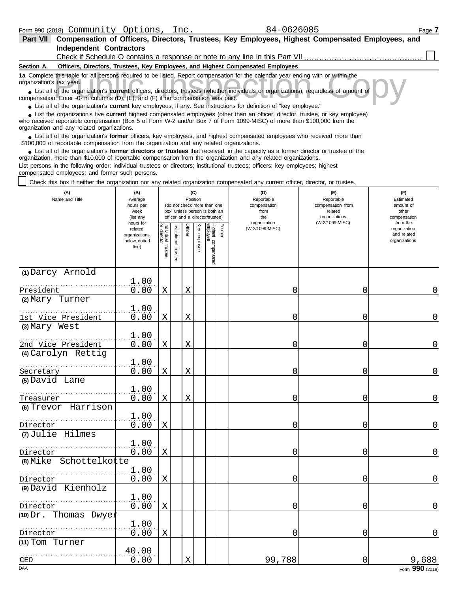| Part VII                 | Compensation of Officers, Directors, Trustees, Key Employees, Highest Compensated Employees, and                                                                                                                                                                                                           |
|--------------------------|------------------------------------------------------------------------------------------------------------------------------------------------------------------------------------------------------------------------------------------------------------------------------------------------------------|
|                          | <b>Independent Contractors</b>                                                                                                                                                                                                                                                                             |
|                          | Check if Schedule O contains a response or note to any line in this Part VII <i>concerent</i>                                                                                                                                                                                                              |
| Section A.               | Officers, Directors, Trustees, Key Employees, and Highest Compensated Employees                                                                                                                                                                                                                            |
| organization's tax year. | 1a Complete this table for all persons required to be listed. Report compensation for the calendar year ending with or within the                                                                                                                                                                          |
|                          | • List all of the organization's current officers, directors, trustees (whether individuals or organizations), regardless of amount of<br>compensation. Enter -0- in columns (D), (E), and (F) if no compensation was paid.                                                                                |
|                          | • List all of the organization's current key employees, if any. See instructions for definition of "key employee."                                                                                                                                                                                         |
|                          | • List the organization's five current highest compensated employees (other than an officer, director, trustee, or key employee)<br>who received reportable compensation (Box 5 of Form W-2 and/or Box 7 of Form 1099-MISC) of more than \$100,000 from the<br>organization and any related organizations. |
|                          | • List all of the organization's former officers, key employees, and highest compensated employees who received more than<br>\$100,000 of reportable compensation from the organization and any related organizations.                                                                                     |
|                          | List all of the organization's former directors or trustees that received, in the capacity as a former director or trustee of the                                                                                                                                                                          |

● List all of the organization's former directors or trustees that received, in the capacity as a former director organization, more than \$10,000 of reportable compensation from the organization and any related organizati List persons in the following order: individual trustees or directors; institutional trustees; officers; key employees; highest compensated employees; and former such persons.

Check this box if neither the organization nor any related organization compensated any current officer, director, or trustee.

| (A)<br>Name and Title            | (B)<br>Average<br>hours per<br>week<br>(list any               |                                   |                          | (C)<br>Position |              | (do not check more than one<br>box, unless person is both an<br>officer and a director/trustee) | (D)<br>Reportable<br>compensation<br>from<br>the | (E)<br>Reportable<br>compensation from<br>related<br>organizations | (F)<br>Estimated<br>amount of<br>other<br>compensation   |
|----------------------------------|----------------------------------------------------------------|-----------------------------------|--------------------------|-----------------|--------------|-------------------------------------------------------------------------------------------------|--------------------------------------------------|--------------------------------------------------------------------|----------------------------------------------------------|
|                                  | hours for<br>related<br>organizations<br>below dotted<br>line) | Individual trustee<br>or director | Institutional<br>trustee | Officer         | Key employee | Former<br>Highest compensated<br>employee                                                       | organization<br>(W-2/1099-MISC)                  | (W-2/1099-MISC)                                                    | from the<br>organization<br>and related<br>organizations |
| (1) Darcy Arnold                 | 1.00                                                           |                                   |                          |                 |              |                                                                                                 |                                                  |                                                                    |                                                          |
| President                        | 0.00                                                           | $\mathbf X$                       |                          | X               |              |                                                                                                 | 0                                                | 0                                                                  | 0                                                        |
| (2) Mary Turner                  |                                                                |                                   |                          |                 |              |                                                                                                 |                                                  |                                                                    |                                                          |
|                                  | 1.00                                                           |                                   |                          |                 |              |                                                                                                 |                                                  |                                                                    |                                                          |
| 1st Vice President               | 0.00                                                           | X                                 |                          | X               |              |                                                                                                 | 0                                                | 0                                                                  | 0                                                        |
| (3) Mary West                    |                                                                |                                   |                          |                 |              |                                                                                                 |                                                  |                                                                    |                                                          |
| 2nd Vice President               | 1.00<br>0.00                                                   | $\mathbf X$                       |                          | $\mathbf X$     |              |                                                                                                 | 0                                                | 0                                                                  | 0                                                        |
| (4) Carolyn Rettig               |                                                                |                                   |                          |                 |              |                                                                                                 |                                                  |                                                                    |                                                          |
|                                  | 1.00                                                           |                                   |                          |                 |              |                                                                                                 |                                                  |                                                                    |                                                          |
| Secretary                        | 0.00                                                           | $\mathbf X$                       |                          | $\mathbf X$     |              |                                                                                                 | 0                                                | 0                                                                  | 0                                                        |
| (5) David Lane                   |                                                                |                                   |                          |                 |              |                                                                                                 |                                                  |                                                                    |                                                          |
|                                  | 1.00                                                           |                                   |                          |                 |              |                                                                                                 |                                                  |                                                                    |                                                          |
| Treasurer<br>(6) Trevor Harrison | 0.00                                                           | Χ                                 |                          | Χ               |              |                                                                                                 | 0                                                | 0                                                                  | 0                                                        |
|                                  | 1.00                                                           |                                   |                          |                 |              |                                                                                                 |                                                  |                                                                    |                                                          |
| Director                         | 0.00                                                           | $\mathbf X$                       |                          |                 |              |                                                                                                 | 0                                                | 0                                                                  | $\mathbf 0$                                              |
| (7) Julie Hilmes                 |                                                                |                                   |                          |                 |              |                                                                                                 |                                                  |                                                                    |                                                          |
|                                  | 1.00                                                           |                                   |                          |                 |              |                                                                                                 |                                                  |                                                                    |                                                          |
| Director                         | 0.00                                                           | Χ                                 |                          |                 |              |                                                                                                 | 0                                                | 0                                                                  | 0                                                        |
| (8) Mike Schottelkotte           |                                                                |                                   |                          |                 |              |                                                                                                 |                                                  |                                                                    |                                                          |
| Director                         | 1.00<br>0.00                                                   | $\mathbf X$                       |                          |                 |              |                                                                                                 | 0                                                | $\overline{0}$                                                     | 0                                                        |
| (9) David Kienholz               |                                                                |                                   |                          |                 |              |                                                                                                 |                                                  |                                                                    |                                                          |
|                                  | 1.00                                                           |                                   |                          |                 |              |                                                                                                 |                                                  |                                                                    |                                                          |
| Director                         | 0.00                                                           | $\mathbf X$                       |                          |                 |              |                                                                                                 | 0                                                | 0                                                                  | 0                                                        |
| $(10)$ Dr. Thomas Dwyer          |                                                                |                                   |                          |                 |              |                                                                                                 |                                                  |                                                                    |                                                          |
|                                  | 1.00                                                           |                                   |                          |                 |              |                                                                                                 |                                                  |                                                                    |                                                          |
| Director                         | 0.00                                                           | $\mathbf X$                       |                          |                 |              |                                                                                                 | 0                                                | 0                                                                  | 0                                                        |
| (11) Tom Turner                  | 40.00                                                          |                                   |                          |                 |              |                                                                                                 |                                                  |                                                                    |                                                          |
| CEO                              | 0.00                                                           |                                   |                          | X               |              |                                                                                                 | 99,788                                           | 0                                                                  | 9,688                                                    |
| $\overline{DAA}$                 |                                                                |                                   |                          |                 |              |                                                                                                 |                                                  |                                                                    | Form 990 (2018)                                          |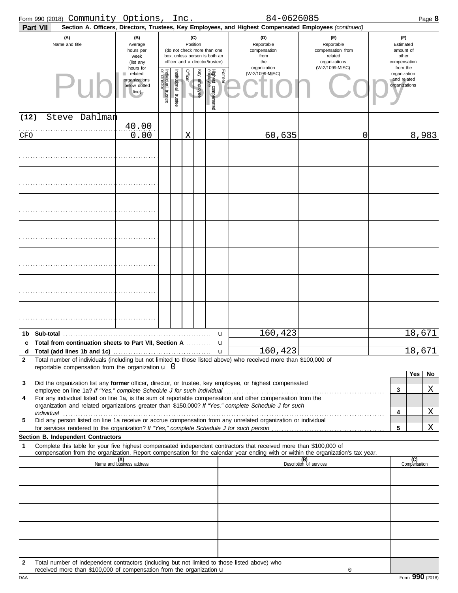|              | Form 990 (2018) Community Options,                                                                                                                                                                                   |                                                                |                                   | Inc.                                                                                            |                     |              |                                 |                   | 84-0626085                                       |                                                                                                                                                                                                 |                                                          | Page 8 |
|--------------|----------------------------------------------------------------------------------------------------------------------------------------------------------------------------------------------------------------------|----------------------------------------------------------------|-----------------------------------|-------------------------------------------------------------------------------------------------|---------------------|--------------|---------------------------------|-------------------|--------------------------------------------------|-------------------------------------------------------------------------------------------------------------------------------------------------------------------------------------------------|----------------------------------------------------------|--------|
|              | <b>Part VII</b><br>(A)<br>Name and title                                                                                                                                                                             | (B)<br>Average<br>hours per<br>week<br>(list any               |                                   | (do not check more than one<br>box, unless person is both an<br>officer and a director/trustee) | (C)<br>Position     |              |                                 |                   | (D)<br>Reportable<br>compensation<br>from<br>the | Section A. Officers, Directors, Trustees, Key Employees, and Highest Compensated Employees (continued)<br>(F)<br>Reportable<br>compensation from<br>related<br>organizations<br>(W-2/1099-MISC) | (F)<br>Estimated<br>amount of<br>other<br>compensation   |        |
|              | PII                                                                                                                                                                                                                  | hours for<br>related<br>organizations<br>below dotted<br>line) | Individual trustee<br>or director | Institutional trustee                                                                           | <b>Officer</b><br>V | Key employee | Highest compensated<br>employee | Former            | organization<br>(W-2/1099-MISC)                  |                                                                                                                                                                                                 | from the<br>organization<br>and related<br>organizations |        |
| (12)         | Steve Dahlman                                                                                                                                                                                                        |                                                                |                                   |                                                                                                 |                     |              |                                 |                   |                                                  |                                                                                                                                                                                                 |                                                          |        |
| CFO          |                                                                                                                                                                                                                      | 40.00<br>0.00                                                  |                                   |                                                                                                 | Χ                   |              |                                 |                   | 60,635                                           | 0                                                                                                                                                                                               |                                                          | 8,983  |
|              |                                                                                                                                                                                                                      |                                                                |                                   |                                                                                                 |                     |              |                                 |                   |                                                  |                                                                                                                                                                                                 |                                                          |        |
|              |                                                                                                                                                                                                                      |                                                                |                                   |                                                                                                 |                     |              |                                 |                   |                                                  |                                                                                                                                                                                                 |                                                          |        |
|              |                                                                                                                                                                                                                      |                                                                |                                   |                                                                                                 |                     |              |                                 |                   |                                                  |                                                                                                                                                                                                 |                                                          |        |
|              |                                                                                                                                                                                                                      |                                                                |                                   |                                                                                                 |                     |              |                                 |                   |                                                  |                                                                                                                                                                                                 |                                                          |        |
|              |                                                                                                                                                                                                                      |                                                                |                                   |                                                                                                 |                     |              |                                 |                   |                                                  |                                                                                                                                                                                                 |                                                          |        |
|              |                                                                                                                                                                                                                      |                                                                |                                   |                                                                                                 |                     |              |                                 |                   |                                                  |                                                                                                                                                                                                 |                                                          |        |
|              |                                                                                                                                                                                                                      |                                                                |                                   |                                                                                                 |                     |              |                                 |                   |                                                  |                                                                                                                                                                                                 |                                                          |        |
| 1b           | Sub-total                                                                                                                                                                                                            |                                                                |                                   |                                                                                                 |                     |              |                                 | u                 | 160,423                                          |                                                                                                                                                                                                 |                                                          | 18,671 |
| c<br>d       | Total from continuation sheets to Part VII, Section A                                                                                                                                                                |                                                                |                                   |                                                                                                 |                     |              |                                 | u<br>$\mathbf{u}$ | 160,423                                          |                                                                                                                                                                                                 |                                                          | 18,671 |
| $\mathbf{2}$ | Total number of individuals (including but not limited to those listed above) who received more than \$100,000 of<br>reportable compensation from the organization $\mathbf{u}$ 0                                    |                                                                |                                   |                                                                                                 |                     |              |                                 |                   |                                                  |                                                                                                                                                                                                 |                                                          |        |
|              |                                                                                                                                                                                                                      |                                                                |                                   |                                                                                                 |                     |              |                                 |                   |                                                  |                                                                                                                                                                                                 | Yes                                                      | No     |
| 3            | Did the organization list any former officer, director, or trustee, key employee, or highest compensated<br>employee on line 1a? If "Yes," complete Schedule J for such individual                                   |                                                                |                                   |                                                                                                 |                     |              |                                 |                   |                                                  |                                                                                                                                                                                                 | 3                                                        | X      |
| 4            | For any individual listed on line 1a, is the sum of reportable compensation and other compensation from the<br>organization and related organizations greater than \$150,000? If "Yes," complete Schedule J for such |                                                                |                                   |                                                                                                 |                     |              |                                 |                   |                                                  |                                                                                                                                                                                                 |                                                          |        |
| 5            | individual<br>Did any person listed on line 1a receive or accrue compensation from any unrelated organization or individual                                                                                          |                                                                |                                   |                                                                                                 |                     |              |                                 |                   |                                                  |                                                                                                                                                                                                 | 4                                                        | X      |
|              |                                                                                                                                                                                                                      |                                                                |                                   |                                                                                                 |                     |              |                                 |                   |                                                  |                                                                                                                                                                                                 | 5                                                        | X      |
| 1            | Section B. Independent Contractors<br>Complete this table for your five highest compensated independent contractors that received more than \$100,000 of                                                             |                                                                |                                   |                                                                                                 |                     |              |                                 |                   |                                                  |                                                                                                                                                                                                 |                                                          |        |
|              | compensation from the organization. Report compensation for the calendar year ending with or within the organization's tax year.                                                                                     | (A)<br>Name and business address                               |                                   |                                                                                                 |                     |              |                                 |                   |                                                  | (B)<br>Description of services                                                                                                                                                                  | (C)<br>Compensation                                      |        |
|              |                                                                                                                                                                                                                      |                                                                |                                   |                                                                                                 |                     |              |                                 |                   |                                                  |                                                                                                                                                                                                 |                                                          |        |
|              |                                                                                                                                                                                                                      |                                                                |                                   |                                                                                                 |                     |              |                                 |                   |                                                  |                                                                                                                                                                                                 |                                                          |        |
|              |                                                                                                                                                                                                                      |                                                                |                                   |                                                                                                 |                     |              |                                 |                   |                                                  |                                                                                                                                                                                                 |                                                          |        |
|              |                                                                                                                                                                                                                      |                                                                |                                   |                                                                                                 |                     |              |                                 |                   |                                                  |                                                                                                                                                                                                 |                                                          |        |
| 2            | Total number of independent contractors (including but not limited to those listed above) who<br>received more than \$100,000 of compensation from the organization $\mathbf u$                                      |                                                                |                                   |                                                                                                 |                     |              |                                 |                   |                                                  | $\mathbf 0$                                                                                                                                                                                     |                                                          |        |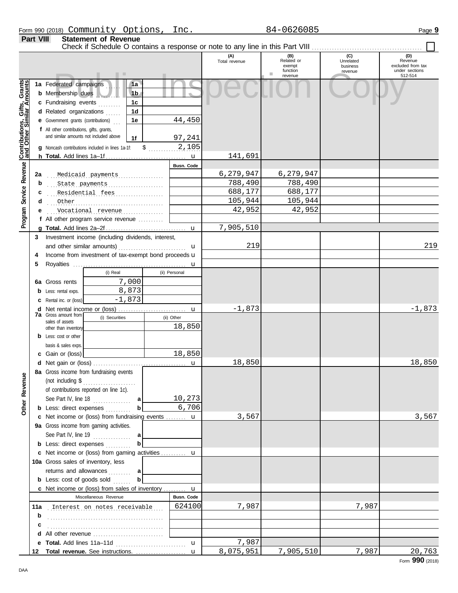Check if Schedule O contains a response or note to any line in this Part VIII.

**Part VIII Statement of Revenue**

#### **(A) (B) (C) (D)** Total revenue **Related or CONFORT CONFORT CONFORT REVENUE REVENUE REVENUE REVENUE REVENUE REVENUE REVENUE REVENU**<br>
exempt business exempt business exempt business function under sections revenue Public Inspection Copy 512-514 revenue Gifts, Grants **Contributions, Gifts, Grants and Other Similar Amounts 1a 1a** Federated campaigns . . . . **1b b** Membership dues . . . . . . . **1c c** Fundraising events . . . . . . . . **1d d** Related organizations ...... 44,450 Contributions,<br>and Other Sim **1e e** Government grants (contributions) . . . **f** All other contributions, gifts, grants, and similar amounts not included above **1f** 97,241  $\frac{2,105}{...}$ **g** Noncash contributions included in lines 1a-1f: u 141,691 **h Total.** Add lines 1a–1f . . . . . . . . . . . . . . . . . . . . . . . . . . . . . . . . Revenue **Program Service Revenue Busn. Code** . . . . . . . . . . . . . . . . . . . . . . . . . . . . . . . . . . . . . . . . . . . . . . **2a** Medicaid payments 6,279,947 6,279,947 . . . . . . . . . . . . . . . . . . . . . . . . . . . . . . . . . . . . . . . . . . . . . . **b** State payments 788,490 788,490 Program Service . . . . . . . . . . . . . . . . . . . . . . . . . . . . . . . . . . . . . . . . . . . . . . **c** Residential fees 688,177 688,177 . . . . . . . . . . . . . . . . . . . . . . . . . . . . . . . . . . . . . . . . . . . . . . Other 105,944 105,944 **d e** . . . . . . . . . . . . . . . . . . . . . . . . . . . . . . . . . . . . . . . . . . . . . . Vocational revenue 42,952 42,952 **f** All other program service revenue . . . . . . . . . . 7,905,510 **g Total.** Add lines 2a–2f . . . . . . . . . . . . . . . . . . . . . . . . . . . . . . . . u **3** Investment income (including dividends, interest, 219 219 and other similar amounts)  $\mathbf{u}$ 4 Income from investment of tax-exempt bond proceeds **u 5** Royalties . . . . . . . . . . . . . . . . . . . . . . . . . . . . . . . . . . . . . . . . . . . . . u (i) Real (ii) Personal 7,000 **6a** Gross rents 8,873 **b** Less: rental exps. -1,873 **c** Rental inc. or (loss)  $-1,873$   $-1,873$ **d** Net rental income or (loss) ............................. u **7a** Gross amount from (i) Securities (ii) Other sales of assets 18,850 other than inventory **b** Less: cost or other basis & sales exps. 18,850 **c** Gain or (loss) 18,850 18,850 **d** u Net gain or (loss) . . . . . . . . . . . . . . . . . . . . . . . . . . . . . . . . . . . . . **8a** Gross income from fundraising events **Other Revenue Other Revenue** (not including \$ . . . . . . . . . . . . . . . . . . . . . of contributions reported on line 1c). 10,273 See Part IV, line 18 . . . . . . . . . . . . . **a b** 6,706 **b** Less: direct expenses . . . . . . . . . 3,567 3,567 u **c** Net income or (loss) from fundraising events . . . . . . . . **9a** Gross income from gaming activities. See Part IV, line 19 . . . . . . . . . . . . . . . **a b b** Less: direct expenses **. . . . . . . . .** u Net income or (loss) from gaming activities . . . . . . . . . . **c** 10a Gross sales of inventory, less returns and allowances ......... **a b b** Less: cost of goods sold  $\ldots$ u Net income or (loss) from sales of inventory . . . . . . . . . **c** Miscellaneous Revenue **Busn. Code 11a** . . . . . . . . . . . . . . . . . . . . . . . . . . . . . . . . . . . . . . . . . . . . . . Interest on notes receivable 624100 7,987 7,987 **b** . . . . . . . . . . . . . . . . . . . . . . . . . . . . . . . . . . . . . . . . . . . . . . **c d** All other revenue .............................. 7,987 **e Total.** Add lines 11a–11d . . . . . . . . . . . . . . . . . . . . . . . . . . . . u 8,075,951 7,905,510 7,987 20,763u **Total revenue.** See instructions. . . . . . . . . . . . . . . . . . . . . **12**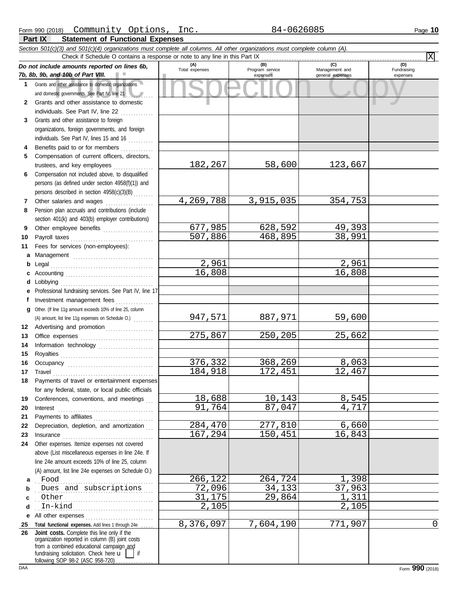|              | Section 501(c)(3) and 501(c)(4) organizations must complete all columns. All other organizations must complete column (A).<br>Check if Schedule O contains a response or note to any line in this Part IX                                                                                                                                                                                                                                                                                                                                            |                       |                                    |                                    |                                |
|--------------|------------------------------------------------------------------------------------------------------------------------------------------------------------------------------------------------------------------------------------------------------------------------------------------------------------------------------------------------------------------------------------------------------------------------------------------------------------------------------------------------------------------------------------------------------|-----------------------|------------------------------------|------------------------------------|--------------------------------|
|              |                                                                                                                                                                                                                                                                                                                                                                                                                                                                                                                                                      |                       |                                    | (C)                                | $\overline{\mathrm{X}}$<br>(D) |
|              | Do not include amounts reported on lines 6b,<br>7b, 8b, 9b, and 10b of Part VIII.                                                                                                                                                                                                                                                                                                                                                                                                                                                                    | (A)<br>Total expenses | (B)<br>Program service<br>expenses | Management and<br>general expenses | Fundraising<br>expenses        |
| $\mathbf 1$  | Grants and other assistance to domestic organizations                                                                                                                                                                                                                                                                                                                                                                                                                                                                                                |                       |                                    |                                    |                                |
|              | and domestic governments. See Part IV, line 21                                                                                                                                                                                                                                                                                                                                                                                                                                                                                                       |                       |                                    |                                    |                                |
| $\mathbf{2}$ | Grants and other assistance to domestic                                                                                                                                                                                                                                                                                                                                                                                                                                                                                                              |                       |                                    |                                    |                                |
|              | individuals. See Part IV, line 22                                                                                                                                                                                                                                                                                                                                                                                                                                                                                                                    |                       |                                    |                                    |                                |
| 3            | Grants and other assistance to foreign                                                                                                                                                                                                                                                                                                                                                                                                                                                                                                               |                       |                                    |                                    |                                |
|              | organizations, foreign governments, and foreign                                                                                                                                                                                                                                                                                                                                                                                                                                                                                                      |                       |                                    |                                    |                                |
|              | individuals. See Part IV, lines 15 and 16                                                                                                                                                                                                                                                                                                                                                                                                                                                                                                            |                       |                                    |                                    |                                |
| 4            | Benefits paid to or for members                                                                                                                                                                                                                                                                                                                                                                                                                                                                                                                      |                       |                                    |                                    |                                |
| 5            | Compensation of current officers, directors,                                                                                                                                                                                                                                                                                                                                                                                                                                                                                                         |                       |                                    |                                    |                                |
|              | trustees, and key employees                                                                                                                                                                                                                                                                                                                                                                                                                                                                                                                          | 182,267               | 58,600                             | 123,667                            |                                |
| 6            | Compensation not included above, to disqualified                                                                                                                                                                                                                                                                                                                                                                                                                                                                                                     |                       |                                    |                                    |                                |
|              | persons (as defined under section 4958(f)(1)) and                                                                                                                                                                                                                                                                                                                                                                                                                                                                                                    |                       |                                    |                                    |                                |
|              | persons described in section 4958(c)(3)(B)                                                                                                                                                                                                                                                                                                                                                                                                                                                                                                           |                       |                                    |                                    |                                |
| 7            | Other salaries and wages<br>an an Dùbhlachd an Dùbhlachd a bhaile an Dùbhlachd an Dùbhlachd an Dùbhlachd an Dùbhlachd an Dùbhlachd an Dùbh<br>Pension plan accruals and contributions (include                                                                                                                                                                                                                                                                                                                                                       | 4,269,788             | 3,915,035                          | 354,753                            |                                |
| 8            | section 401(k) and 403(b) employer contributions)                                                                                                                                                                                                                                                                                                                                                                                                                                                                                                    |                       |                                    |                                    |                                |
| 9            | Other employee benefits                                                                                                                                                                                                                                                                                                                                                                                                                                                                                                                              | 677,985               | 628,592                            | 49,393                             |                                |
| 10           |                                                                                                                                                                                                                                                                                                                                                                                                                                                                                                                                                      | 507,886               | 468,895                            | 38,991                             |                                |
| 11           | Fees for services (non-employees):                                                                                                                                                                                                                                                                                                                                                                                                                                                                                                                   |                       |                                    |                                    |                                |
| а            | Management                                                                                                                                                                                                                                                                                                                                                                                                                                                                                                                                           |                       |                                    |                                    |                                |
| b            |                                                                                                                                                                                                                                                                                                                                                                                                                                                                                                                                                      | 2,961                 |                                    | 2,961                              |                                |
| c            |                                                                                                                                                                                                                                                                                                                                                                                                                                                                                                                                                      | 16,808                |                                    | 16,808                             |                                |
| d            | Lobbying                                                                                                                                                                                                                                                                                                                                                                                                                                                                                                                                             |                       |                                    |                                    |                                |
| е            | Professional fundraising services. See Part IV, line 17                                                                                                                                                                                                                                                                                                                                                                                                                                                                                              |                       |                                    |                                    |                                |
| f            | Investment management fees                                                                                                                                                                                                                                                                                                                                                                                                                                                                                                                           |                       |                                    |                                    |                                |
| a            | Other. (If line 11g amount exceeds 10% of line 25, column                                                                                                                                                                                                                                                                                                                                                                                                                                                                                            |                       |                                    |                                    |                                |
|              | (A) amount, list line 11g expenses on Schedule O.)                                                                                                                                                                                                                                                                                                                                                                                                                                                                                                   | 947,571               | 887,971                            | 59,600                             |                                |
| 12<br>13     | Advertising and promotion                                                                                                                                                                                                                                                                                                                                                                                                                                                                                                                            | 275,867               | 250,205                            | 25,662                             |                                |
| 14           | Information technology                                                                                                                                                                                                                                                                                                                                                                                                                                                                                                                               |                       |                                    |                                    |                                |
| 15           |                                                                                                                                                                                                                                                                                                                                                                                                                                                                                                                                                      |                       |                                    |                                    |                                |
| 16           |                                                                                                                                                                                                                                                                                                                                                                                                                                                                                                                                                      | 376,332               | 368,269                            | 8,063                              |                                |
| 17           | $\begin{minipage}[c]{0.9\linewidth} \begin{tabular}{l} \textbf{Travel} \end{tabular} \end{minipage} \end{minipage} \begin{minipage}[c]{0.9\linewidth} \begin{tabular}{l} \textbf{True} \end{tabular} \end{minipage} \end{minipage} \begin{minipage}[c]{0.9\linewidth} \begin{tabular}{l} \textbf{True} \end{tabular} \end{minipage} \end{minipage} \begin{minipage}[c]{0.9\linewidth} \begin{tabular}{l} \textbf{True} \end{tabular} \end{minipage} \end{minipage} \begin{minipage}[c]{0.9\linewidth} \begin{tabular}{l} \$                          | 184,918               | 172,451                            | 12,467                             |                                |
| 18           | Payments of travel or entertainment expenses                                                                                                                                                                                                                                                                                                                                                                                                                                                                                                         |                       |                                    |                                    |                                |
|              | for any federal, state, or local public officials                                                                                                                                                                                                                                                                                                                                                                                                                                                                                                    |                       |                                    |                                    |                                |
| 19           | Conferences, conventions, and meetings                                                                                                                                                                                                                                                                                                                                                                                                                                                                                                               | 18,688                | 10,143                             | 8,545                              |                                |
| 20           | Interest                                                                                                                                                                                                                                                                                                                                                                                                                                                                                                                                             | 91,764                | 87,047                             | 4,717                              |                                |
| 21           | Payments to affiliates                                                                                                                                                                                                                                                                                                                                                                                                                                                                                                                               |                       |                                    |                                    |                                |
| 22           | Depreciation, depletion, and amortization                                                                                                                                                                                                                                                                                                                                                                                                                                                                                                            | 284,470<br>167,294    | 277,810<br>150,451                 | 6,660<br>16,843                    |                                |
| 23<br>24     | $In surface \begin{tabular}{@{}l@{}} \hline \multicolumn{3}{c}{\textbf{}} & \multicolumn{3}{c}{\textbf{}} \\ \multicolumn{3}{c}{\textbf{}} & \multicolumn{3}{c}{\textbf{}} \\ \multicolumn{3}{c}{\textbf{}} & \multicolumn{3}{c}{\textbf{}} \\ \multicolumn{3}{c}{\textbf{}} & \multicolumn{3}{c}{\textbf{}} \\ \multicolumn{3}{c}{\textbf{}} & \multicolumn{3}{c}{\textbf{}} \\ \multicolumn{3}{c}{\textbf{}} & \multicolumn{3}{c}{\textbf{}} \\ \multicolumn{3}{c}{\textbf{}} & \multicolumn{3}{c$<br>Other expenses. Itemize expenses not covered |                       |                                    |                                    |                                |
|              | above (List miscellaneous expenses in line 24e. If                                                                                                                                                                                                                                                                                                                                                                                                                                                                                                   |                       |                                    |                                    |                                |
|              | line 24e amount exceeds 10% of line 25, column                                                                                                                                                                                                                                                                                                                                                                                                                                                                                                       |                       |                                    |                                    |                                |
|              | (A) amount, list line 24e expenses on Schedule O.)                                                                                                                                                                                                                                                                                                                                                                                                                                                                                                   |                       |                                    |                                    |                                |
| а            | Food                                                                                                                                                                                                                                                                                                                                                                                                                                                                                                                                                 | 266,122               | 264,724                            | 1,398                              |                                |
| b            | Dues and subscriptions                                                                                                                                                                                                                                                                                                                                                                                                                                                                                                                               | 72,096                | 34,133                             | 37,963                             |                                |
| c            | Other                                                                                                                                                                                                                                                                                                                                                                                                                                                                                                                                                | 31,175                | 29,864                             | 1,311                              |                                |
| d            | In-kind                                                                                                                                                                                                                                                                                                                                                                                                                                                                                                                                              | 2,105                 |                                    | 2,105                              |                                |
| е            | All other expenses                                                                                                                                                                                                                                                                                                                                                                                                                                                                                                                                   |                       |                                    |                                    |                                |
| 25<br>26     | Total functional expenses. Add lines 1 through 24e.<br>Joint costs. Complete this line only if the                                                                                                                                                                                                                                                                                                                                                                                                                                                   | 8,376,097             | 7,604,190                          | 771,907                            | 0                              |
|              | organization reported in column (B) joint costs                                                                                                                                                                                                                                                                                                                                                                                                                                                                                                      |                       |                                    |                                    |                                |
|              | from a combined educational campaign and                                                                                                                                                                                                                                                                                                                                                                                                                                                                                                             |                       |                                    |                                    |                                |
|              | fundraising solicitation. Check here u<br>following SOP 98-2 (ASC 958-720)                                                                                                                                                                                                                                                                                                                                                                                                                                                                           |                       |                                    |                                    |                                |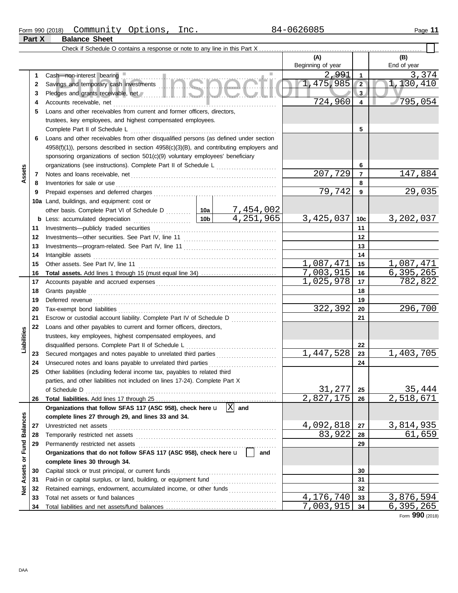#### Form 990 (2018) Page **11** Community Options, Inc. 84-0626085

**Part X Balance Sheet**

|                         |    |                                                                                                                                                                                                                                                                                             |         |                         | (A)<br>Beginning of year |                 | (B)<br>End of year     |
|-------------------------|----|---------------------------------------------------------------------------------------------------------------------------------------------------------------------------------------------------------------------------------------------------------------------------------------------|---------|-------------------------|--------------------------|-----------------|------------------------|
|                         | 1  | Cash-non-interest bearing                                                                                                                                                                                                                                                                   |         |                         | 2,991                    | $\overline{1}$  | 3,374                  |
|                         | 2  | Savings and temporary cash investments <b>ANGLO</b><br>Pledges and grants receivable, net <b>All and School and School and School and School and School and School and School and School and School and School and School and School and School and School and School and School and Sc</b> |         |                         | 1,475,985                | $\sqrt{2}$      | 1,130,410              |
|                         | 3  |                                                                                                                                                                                                                                                                                             |         |                         |                          | 3 <sub>1</sub>  |                        |
|                         | 4  | Accounts receivable, net                                                                                                                                                                                                                                                                    | 724,960 | $\overline{\mathbf{4}}$ | 795,054                  |                 |                        |
|                         | 5  | Loans and other receivables from current and former officers, directors,                                                                                                                                                                                                                    |         |                         |                          |                 |                        |
|                         |    | trustees, key employees, and highest compensated employees.                                                                                                                                                                                                                                 |         |                         |                          |                 |                        |
|                         |    | Complete Part II of Schedule L                                                                                                                                                                                                                                                              |         | 5                       |                          |                 |                        |
|                         | 6  | Loans and other receivables from other disqualified persons (as defined under section                                                                                                                                                                                                       |         |                         |                          |                 |                        |
|                         |    | $4958(f)(1)$ ), persons described in section $4958(c)(3)(B)$ , and contributing employers and                                                                                                                                                                                               |         |                         |                          |                 |                        |
|                         |    | sponsoring organizations of section 501(c)(9) voluntary employees' beneficiary                                                                                                                                                                                                              |         |                         |                          |                 |                        |
|                         |    |                                                                                                                                                                                                                                                                                             |         |                         |                          | 6               |                        |
| Assets                  | 7  |                                                                                                                                                                                                                                                                                             |         |                         | 207,729                  | $\overline{7}$  | 147,884                |
|                         | 8  | Inventories for sale or use                                                                                                                                                                                                                                                                 |         |                         |                          | 8               |                        |
|                         | 9  |                                                                                                                                                                                                                                                                                             |         |                         | 79,742                   | 9               | 29,035                 |
|                         |    | 10a Land, buildings, and equipment: cost or                                                                                                                                                                                                                                                 |         |                         |                          |                 |                        |
|                         |    | other basis. Complete Part VI of Schedule D  10a                                                                                                                                                                                                                                            |         | 7,454,002               |                          |                 |                        |
|                         | b  | Less: accumulated depreciation                                                                                                                                                                                                                                                              | 10b     | $\overline{4.251,965}$  | 3,425,037                | 10 <sub>c</sub> | 3,202,037              |
|                         | 11 | Investments-publicly traded securities                                                                                                                                                                                                                                                      |         |                         |                          | 11              |                        |
|                         | 12 |                                                                                                                                                                                                                                                                                             |         | 12                      |                          |                 |                        |
|                         | 13 |                                                                                                                                                                                                                                                                                             |         |                         |                          | 13              |                        |
|                         | 14 | Intangible assets                                                                                                                                                                                                                                                                           |         | 14                      |                          |                 |                        |
|                         | 15 |                                                                                                                                                                                                                                                                                             |         |                         | 1,087,471                | 15              | 1,087,471              |
|                         | 16 |                                                                                                                                                                                                                                                                                             |         |                         | 7,003,915                | 16              | 6, 395, 265            |
|                         | 17 |                                                                                                                                                                                                                                                                                             |         |                         | 1,025,978                | 17              | 782,822                |
|                         | 18 | Grants payable                                                                                                                                                                                                                                                                              |         | 18                      |                          |                 |                        |
|                         | 19 | Deferred revenue                                                                                                                                                                                                                                                                            |         |                         |                          | 19              |                        |
|                         | 20 |                                                                                                                                                                                                                                                                                             |         |                         | 322,392                  | 20              | 296,700                |
|                         | 21 | Escrow or custodial account liability. Complete Part IV of Schedule D                                                                                                                                                                                                                       |         |                         |                          | 21              |                        |
|                         | 22 | Loans and other payables to current and former officers, directors,                                                                                                                                                                                                                         |         |                         |                          |                 |                        |
|                         |    | trustees, key employees, highest compensated employees, and                                                                                                                                                                                                                                 |         |                         |                          |                 |                        |
| Liabilities             |    | disqualified persons. Complete Part II of Schedule L                                                                                                                                                                                                                                        |         |                         |                          | 22              |                        |
|                         | 23 |                                                                                                                                                                                                                                                                                             |         |                         | 1,447,528                | 23              | 1,403,705              |
|                         | 24 | Unsecured notes and loans payable to unrelated third parties                                                                                                                                                                                                                                |         |                         |                          | 24              |                        |
|                         | 25 | Other liabilities (including federal income tax, payables to related third                                                                                                                                                                                                                  |         |                         |                          |                 |                        |
|                         |    | parties, and other liabilities not included on lines 17-24). Complete Part X                                                                                                                                                                                                                |         |                         |                          |                 |                        |
|                         |    | of Schedule D                                                                                                                                                                                                                                                                               |         |                         | 31,277                   | 25              | 35,444                 |
|                         | 26 |                                                                                                                                                                                                                                                                                             |         |                         | 2,827,175                | 26              | $\overline{2,518,671}$ |
|                         |    | Organizations that follow SFAS 117 (ASC 958), check here u                                                                                                                                                                                                                                  |         | 囟<br>and                |                          |                 |                        |
|                         |    | complete lines 27 through 29, and lines 33 and 34.                                                                                                                                                                                                                                          |         |                         |                          |                 |                        |
|                         | 27 | Unrestricted net assets                                                                                                                                                                                                                                                                     |         |                         | 4,092,818                | 27              | 3,814,935              |
|                         | 28 |                                                                                                                                                                                                                                                                                             |         |                         | 83,922                   | 28              | 61,659                 |
|                         | 29 |                                                                                                                                                                                                                                                                                             |         |                         |                          | 29              |                        |
|                         |    | Organizations that do not follow SFAS 117 (ASC 958), check here u                                                                                                                                                                                                                           |         | and                     |                          |                 |                        |
| Assets or Fund Balances |    | complete lines 30 through 34.                                                                                                                                                                                                                                                               |         |                         |                          |                 |                        |
|                         | 30 | Capital stock or trust principal, or current funds                                                                                                                                                                                                                                          |         |                         |                          | 30              |                        |
|                         | 31 | Paid-in or capital surplus, or land, building, or equipment fund                                                                                                                                                                                                                            |         |                         |                          | 31              |                        |
| <b>Med</b>              | 32 |                                                                                                                                                                                                                                                                                             |         |                         |                          | 32              |                        |
|                         | 33 |                                                                                                                                                                                                                                                                                             |         |                         | 4,176,740                | 33              | 3,876,594              |
|                         | 34 |                                                                                                                                                                                                                                                                                             |         |                         | 7,003,915                | 34              | 6,395,265              |

Form **990** (2018)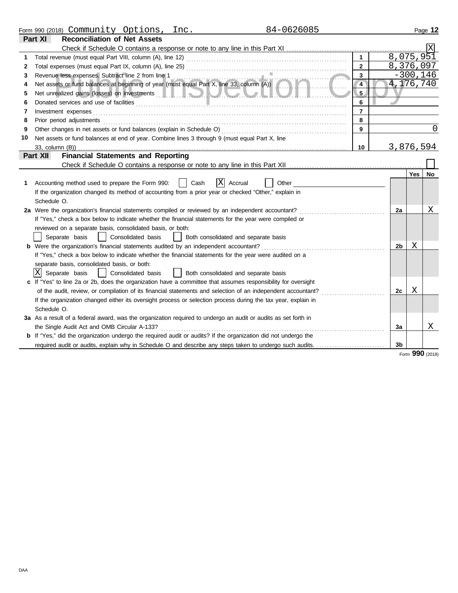|    | 84-0626085<br>Form 990 (2018) Community Options,<br>Inc.                                                                                        |                |                |            | Page 12  |
|----|-------------------------------------------------------------------------------------------------------------------------------------------------|----------------|----------------|------------|----------|
|    | <b>Reconciliation of Net Assets</b><br>Part XI                                                                                                  |                |                |            |          |
|    |                                                                                                                                                 |                |                |            |          |
| 1  |                                                                                                                                                 |                | 8,075,951      |            |          |
| 2  |                                                                                                                                                 | $\overline{2}$ | 8,376,097      |            |          |
| 3  | Revenue less expenses. Subtract line 2 from line 1<br>Net assets or fund balances at beginning of year (must equal Part X, line 33, column (A)) | 3              |                | $-300,146$ |          |
| 4  |                                                                                                                                                 | $\overline{4}$ | 4,176,740      |            |          |
| 5  | Net unrealized gains (losses) on investments which is a control of the control of the control of the control of                                 | 5.             |                |            |          |
| 6  |                                                                                                                                                 | 6              |                |            |          |
| 7  | Investment expenses                                                                                                                             | $\overline{7}$ |                |            |          |
| 8  | Prior period adjustments                                                                                                                        | 8              |                |            |          |
| 9  | Other changes in net assets or fund balances (explain in Schedule O)                                                                            | 9              |                |            | $\Omega$ |
| 10 | Net assets or fund balances at end of year. Combine lines 3 through 9 (must equal Part X, line                                                  |                |                |            |          |
|    | 33, column (B))                                                                                                                                 | 10             | 3,876,594      |            |          |
|    | <b>Financial Statements and Reporting</b><br>Part XII                                                                                           |                |                |            |          |
|    |                                                                                                                                                 |                |                |            |          |
|    |                                                                                                                                                 |                |                | Yes        | No       |
|    | X<br>Accounting method used to prepare the Form 990:<br>Cash<br>Accrual<br>Other                                                                |                |                |            |          |
|    | If the organization changed its method of accounting from a prior year or checked "Other," explain in                                           |                |                |            |          |
|    | Schedule O.                                                                                                                                     |                |                |            |          |
|    | 2a Were the organization's financial statements compiled or reviewed by an independent accountant?                                              |                | 2a             |            | Χ        |
|    | If "Yes," check a box below to indicate whether the financial statements for the year were compiled or                                          |                |                |            |          |
|    | reviewed on a separate basis, consolidated basis, or both:                                                                                      |                |                |            |          |
|    | Separate basis<br>Consolidated basis<br>Both consolidated and separate basis<br>$\mathbf{1}$                                                    |                |                |            |          |
|    | <b>b</b> Were the organization's financial statements audited by an independent accountant?                                                     |                | 2b             | X          |          |
|    | If "Yes," check a box below to indicate whether the financial statements for the year were audited on a                                         |                |                |            |          |
|    | separate basis, consolidated basis, or both:                                                                                                    |                |                |            |          |
|    | ΙXΙ<br>Separate basis<br>Consolidated basis<br>  Both consolidated and separate basis                                                           |                |                |            |          |
|    | If "Yes" to line 2a or 2b, does the organization have a committee that assumes responsibility for oversight                                     |                |                |            |          |
|    | of the audit, review, or compilation of its financial statements and selection of an independent accountant?                                    |                | 2c             | Χ          |          |
|    | If the organization changed either its oversight process or selection process during the tax year, explain in                                   |                |                |            |          |
|    | Schedule O.                                                                                                                                     |                |                |            |          |
|    | 3a As a result of a federal award, was the organization required to undergo an audit or audits as set forth in                                  |                |                |            |          |
|    | the Single Audit Act and OMB Circular A-133?                                                                                                    |                | За             |            | Χ        |
|    | <b>b</b> If "Yes," did the organization undergo the required audit or audits? If the organization did not undergo the                           |                |                |            |          |
|    | required audit or audits, explain why in Schedule O and describe any steps taken to undergo such audits.                                        |                | 3 <sub>b</sub> |            |          |

Form **990** (2018)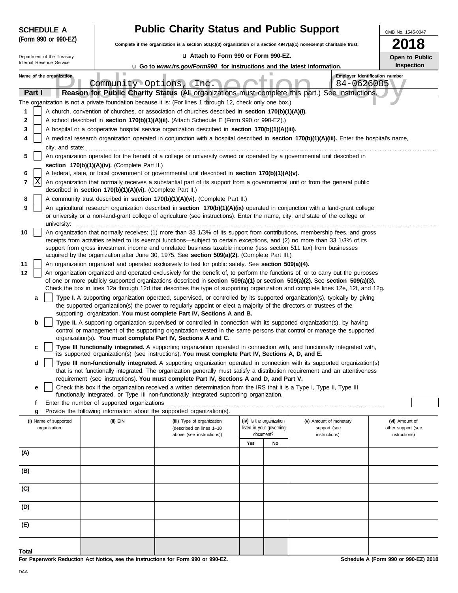|        | <b>SCHEDULE A</b>                                                                                                                                                                                                                               |                                                            | <b>Public Charity Status and Public Support</b>                                                                                                                                                                                                                |           |                          |                                        |                                              | OMB No. 1545-0047                    |
|--------|-------------------------------------------------------------------------------------------------------------------------------------------------------------------------------------------------------------------------------------------------|------------------------------------------------------------|----------------------------------------------------------------------------------------------------------------------------------------------------------------------------------------------------------------------------------------------------------------|-----------|--------------------------|----------------------------------------|----------------------------------------------|--------------------------------------|
|        | (Form 990 or 990-EZ)                                                                                                                                                                                                                            |                                                            | Complete if the organization is a section $501(c)(3)$ organization or a section $4947(a)(1)$ nonexempt charitable trust.                                                                                                                                       |           |                          |                                        |                                              | <b>2018</b>                          |
|        | Department of the Treasury                                                                                                                                                                                                                      |                                                            | La Attach to Form 990 or Form 990-EZ.                                                                                                                                                                                                                          |           |                          |                                        |                                              | Open to Public                       |
|        | Internal Revenue Service<br><b>u</b> Go to www.irs.gov/Form990 for instructions and the latest information.                                                                                                                                     |                                                            |                                                                                                                                                                                                                                                                |           |                          |                                        | Inspection                                   |                                      |
|        | Name of the organization                                                                                                                                                                                                                        | Community Options, (Inc.                                   |                                                                                                                                                                                                                                                                |           |                          |                                        | Employer identification number<br>84-0626085 |                                      |
| Part I |                                                                                                                                                                                                                                                 |                                                            | Reason for Public Charity Status (All organizations must complete this part.) See instructions.                                                                                                                                                                |           |                          |                                        |                                              |                                      |
|        |                                                                                                                                                                                                                                                 |                                                            | The organization is not a private foundation because it is: (For lines 1 through 12, check only one box.)                                                                                                                                                      |           |                          |                                        |                                              |                                      |
| 1      |                                                                                                                                                                                                                                                 |                                                            | A church, convention of churches, or association of churches described in section 170(b)(1)(A)(i).                                                                                                                                                             |           |                          |                                        |                                              |                                      |
| 2<br>3 |                                                                                                                                                                                                                                                 |                                                            | A school described in section 170(b)(1)(A)(ii). (Attach Schedule E (Form 990 or 990-EZ).)                                                                                                                                                                      |           |                          |                                        |                                              |                                      |
| 4      | A hospital or a cooperative hospital service organization described in section 170(b)(1)(A)(iii).<br>A medical research organization operated in conjunction with a hospital described in section 170(b)(1)(A)(iii). Enter the hospital's name, |                                                            |                                                                                                                                                                                                                                                                |           |                          |                                        |                                              |                                      |
|        | city, and state:                                                                                                                                                                                                                                |                                                            |                                                                                                                                                                                                                                                                |           |                          |                                        |                                              |                                      |
| 5      |                                                                                                                                                                                                                                                 | section 170(b)(1)(A)(iv). (Complete Part II.)              | An organization operated for the benefit of a college or university owned or operated by a governmental unit described in                                                                                                                                      |           |                          |                                        |                                              |                                      |
| 6      |                                                                                                                                                                                                                                                 |                                                            | A federal, state, or local government or governmental unit described in section 170(b)(1)(A)(v).                                                                                                                                                               |           |                          |                                        |                                              |                                      |
| 7      | X                                                                                                                                                                                                                                               | described in section 170(b)(1)(A)(vi). (Complete Part II.) | An organization that normally receives a substantial part of its support from a governmental unit or from the general public                                                                                                                                   |           |                          |                                        |                                              |                                      |
| 8      |                                                                                                                                                                                                                                                 |                                                            | A community trust described in section 170(b)(1)(A)(vi). (Complete Part II.)                                                                                                                                                                                   |           |                          |                                        |                                              |                                      |
| 9      |                                                                                                                                                                                                                                                 |                                                            | An agricultural research organization described in section 170(b)(1)(A)(ix) operated in conjunction with a land-grant college                                                                                                                                  |           |                          |                                        |                                              |                                      |
|        | university:                                                                                                                                                                                                                                     |                                                            | or university or a non-land-grant college of agriculture (see instructions). Enter the name, city, and state of the college or                                                                                                                                 |           |                          |                                        |                                              |                                      |
| 10     |                                                                                                                                                                                                                                                 |                                                            | An organization that normally receives: (1) more than 33 1/3% of its support from contributions, membership fees, and gross                                                                                                                                    |           |                          |                                        |                                              |                                      |
|        |                                                                                                                                                                                                                                                 |                                                            | receipts from activities related to its exempt functions—subject to certain exceptions, and (2) no more than 33 1/3% of its<br>support from gross investment income and unrelated business taxable income (less section 511 tax) from businesses               |           |                          |                                        |                                              |                                      |
| 11     |                                                                                                                                                                                                                                                 |                                                            | acquired by the organization after June 30, 1975. See section 509(a)(2). (Complete Part III.)<br>An organization organized and operated exclusively to test for public safety. See section 509(a)(4).                                                          |           |                          |                                        |                                              |                                      |
| 12     |                                                                                                                                                                                                                                                 |                                                            | An organization organized and operated exclusively for the benefit of, to perform the functions of, or to carry out the purposes                                                                                                                               |           |                          |                                        |                                              |                                      |
|        |                                                                                                                                                                                                                                                 |                                                            | of one or more publicly supported organizations described in section 509(a)(1) or section 509(a)(2). See section 509(a)(3).<br>Check the box in lines 12a through 12d that describes the type of supporting organization and complete lines 12e, 12f, and 12g. |           |                          |                                        |                                              |                                      |
|        | а                                                                                                                                                                                                                                               |                                                            | Type I. A supporting organization operated, supervised, or controlled by its supported organization(s), typically by giving                                                                                                                                    |           |                          |                                        |                                              |                                      |
|        |                                                                                                                                                                                                                                                 |                                                            | the supported organization(s) the power to regularly appoint or elect a majority of the directors or trustees of the<br>supporting organization. You must complete Part IV, Sections A and B.                                                                  |           |                          |                                        |                                              |                                      |
|        | b                                                                                                                                                                                                                                               |                                                            | Type II. A supporting organization supervised or controlled in connection with its supported organization(s), by having<br>control or management of the supporting organization vested in the same persons that control or manage the supported                |           |                          |                                        |                                              |                                      |
|        |                                                                                                                                                                                                                                                 |                                                            | organization(s). You must complete Part IV, Sections A and C.                                                                                                                                                                                                  |           |                          |                                        |                                              |                                      |
|        | c                                                                                                                                                                                                                                               |                                                            | Type III functionally integrated. A supporting organization operated in connection with, and functionally integrated with,<br>its supported organization(s) (see instructions). You must complete Part IV, Sections A, D, and E.                               |           |                          |                                        |                                              |                                      |
|        | d                                                                                                                                                                                                                                               |                                                            | Type III non-functionally integrated. A supporting organization operated in connection with its supported organization(s)<br>that is not functionally integrated. The organization generally must satisfy a distribution requirement and an attentiveness      |           |                          |                                        |                                              |                                      |
|        |                                                                                                                                                                                                                                                 |                                                            | requirement (see instructions). You must complete Part IV, Sections A and D, and Part V.                                                                                                                                                                       |           |                          |                                        |                                              |                                      |
|        | e                                                                                                                                                                                                                                               |                                                            | Check this box if the organization received a written determination from the IRS that it is a Type I, Type II, Type III<br>functionally integrated, or Type III non-functionally integrated supporting organization.                                           |           |                          |                                        |                                              |                                      |
|        | f                                                                                                                                                                                                                                               | Enter the number of supported organizations                |                                                                                                                                                                                                                                                                |           |                          |                                        |                                              |                                      |
|        | g                                                                                                                                                                                                                                               |                                                            | Provide the following information about the supported organization(s).                                                                                                                                                                                         |           | (iv) Is the organization |                                        |                                              |                                      |
|        | (i) Name of supported<br>organization                                                                                                                                                                                                           | (ii) EIN                                                   | (iii) Type of organization<br>(described on lines 1-10                                                                                                                                                                                                         |           | listed in your governing | (v) Amount of monetary<br>support (see |                                              | (vi) Amount of<br>other support (see |
|        |                                                                                                                                                                                                                                                 |                                                            | above (see instructions))                                                                                                                                                                                                                                      | document? |                          | instructions)                          |                                              | instructions)                        |
| (A)    |                                                                                                                                                                                                                                                 |                                                            |                                                                                                                                                                                                                                                                | Yes       | No                       |                                        |                                              |                                      |
|        |                                                                                                                                                                                                                                                 |                                                            |                                                                                                                                                                                                                                                                |           |                          |                                        |                                              |                                      |
| (B)    |                                                                                                                                                                                                                                                 |                                                            |                                                                                                                                                                                                                                                                |           |                          |                                        |                                              |                                      |
| (C)    |                                                                                                                                                                                                                                                 |                                                            |                                                                                                                                                                                                                                                                |           |                          |                                        |                                              |                                      |
| (D)    |                                                                                                                                                                                                                                                 |                                                            |                                                                                                                                                                                                                                                                |           |                          |                                        |                                              |                                      |
| (E)    |                                                                                                                                                                                                                                                 |                                                            |                                                                                                                                                                                                                                                                |           |                          |                                        |                                              |                                      |
| Total  |                                                                                                                                                                                                                                                 |                                                            |                                                                                                                                                                                                                                                                |           |                          |                                        |                                              |                                      |

**For Paperwork Reduction Act Notice, see the Instructions for Form 990 or 990-EZ.**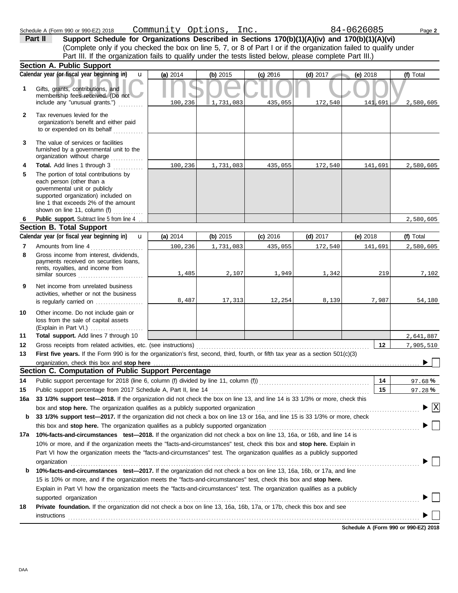|              | Support Schedule for Organizations Described in Sections 170(b)(1)(A)(iv) and 170(b)(1)(A)(vi)<br>Part II                                                                                                                          |          |           |            |            |            |                                        |
|--------------|------------------------------------------------------------------------------------------------------------------------------------------------------------------------------------------------------------------------------------|----------|-----------|------------|------------|------------|----------------------------------------|
|              | (Complete only if you checked the box on line 5, 7, or 8 of Part I or if the organization failed to qualify under                                                                                                                  |          |           |            |            |            |                                        |
|              | Part III. If the organization fails to qualify under the tests listed below, please complete Part III.)                                                                                                                            |          |           |            |            |            |                                        |
|              | Section A. Public Support                                                                                                                                                                                                          |          |           |            |            |            |                                        |
|              | Calendar year (or fiscal year beginning in)<br>$\mathbf{u}$                                                                                                                                                                        | (a) 2014 | (b) 2015  | $(c)$ 2016 | $(d)$ 2017 | $(e)$ 2018 | (f) Total                              |
| 1            | Gifts, grants, contributions, and<br>membership fees received. (Do not<br>include any "unusual grants.")                                                                                                                           | 100,236  | 1,731,083 | 435,055    | 172,540    | 141,691    | 2,580,605                              |
| $\mathbf{2}$ | Tax revenues levied for the<br>organization's benefit and either paid<br>to or expended on its behalf                                                                                                                              |          |           |            |            |            |                                        |
| 3            | The value of services or facilities<br>furnished by a governmental unit to the<br>organization without charge                                                                                                                      |          |           |            |            |            |                                        |
| 4            | Total. Add lines 1 through 3                                                                                                                                                                                                       | 100,236  | 1,731,083 | 435,055    | 172,540    | 141,691    | 2,580,605                              |
| 5            | The portion of total contributions by<br>each person (other than a<br>governmental unit or publicly<br>supported organization) included on<br>line 1 that exceeds 2% of the amount<br>shown on line 11, column (f)                 |          |           |            |            |            |                                        |
| 6            | Public support. Subtract line 5 from line 4                                                                                                                                                                                        |          |           |            |            |            | 2,580,605                              |
|              | <b>Section B. Total Support</b>                                                                                                                                                                                                    |          |           |            |            |            |                                        |
|              | Calendar year (or fiscal year beginning in)<br>$\mathbf{u}$                                                                                                                                                                        | (a) 2014 | (b) 2015  | $(c)$ 2016 | (d) $2017$ | (e) $2018$ | (f) Total                              |
| 7            | Amounts from line 4                                                                                                                                                                                                                | 100,236  | 1,731,083 | 435,055    | 172,540    | 141,691    | 2,580,605                              |
| 8            | Gross income from interest, dividends,<br>payments received on securities loans,<br>rents, royalties, and income from                                                                                                              | 1,485    | 2,107     | 1,949      | 1,342      | 219        | 7,102                                  |
| 9            | Net income from unrelated business<br>activities, whether or not the business                                                                                                                                                      | 8,487    | 17,313    | 12, 254    | 8,139      | 7,987      | 54,180                                 |
| 10           | Other income. Do not include gain or<br>loss from the sale of capital assets                                                                                                                                                       |          |           |            |            |            |                                        |
| 11           | Total support. Add lines 7 through 10                                                                                                                                                                                              |          |           |            |            |            | 2,641,887                              |
| 12           | Gross receipts from related activities, etc. (see instructions)                                                                                                                                                                    |          |           |            |            | 12         | 7,905,510                              |
| 13           | First five years. If the Form 990 is for the organization's first, second, third, fourth, or fifth tax year as a section 501(c)(3)                                                                                                 |          |           |            |            |            |                                        |
|              | organization, check this box and stop here <b>construction and the construction</b> of the construction of the construction of the construction of the construction of the construction of the construction of the construction of |          |           |            |            |            |                                        |
|              | Section C. Computation of Public Support Percentage                                                                                                                                                                                |          |           |            |            |            |                                        |
| 14           | Public support percentage for 2018 (line 6, column (f) divided by line 11, column (f)) [[[[[[[[[[[[[[[[[[[[[[                                                                                                                      |          |           |            |            | 14         | 97.68%                                 |
| 15           | Public support percentage from 2017 Schedule A, Part II, line 14                                                                                                                                                                   |          |           |            |            | 15         | 97.28 $%$                              |
| 16a          | 33 1/3% support test-2018. If the organization did not check the box on line 13, and line 14 is 33 1/3% or more, check this                                                                                                        |          |           |            |            |            |                                        |
|              |                                                                                                                                                                                                                                    |          |           |            |            |            | $\blacktriangleright \boxed{\text{X}}$ |
| b            | 33 1/3% support test-2017. If the organization did not check a box on line 13 or 16a, and line 15 is 33 1/3% or more, check                                                                                                        |          |           |            |            |            |                                        |
|              |                                                                                                                                                                                                                                    |          |           |            |            |            |                                        |
| 17a          | 10%-facts-and-circumstances test-2018. If the organization did not check a box on line 13, 16a, or 16b, and line 14 is                                                                                                             |          |           |            |            |            |                                        |
|              | 10% or more, and if the organization meets the "facts-and-circumstances" test, check this box and stop here. Explain in                                                                                                            |          |           |            |            |            |                                        |
|              | Part VI how the organization meets the "facts-and-circumstances" test. The organization qualifies as a publicly supported                                                                                                          |          |           |            |            |            |                                        |
| b            | organization<br>10%-facts-and-circumstances test-2017. If the organization did not check a box on line 13, 16a, 16b, or 17a, and line                                                                                              |          |           |            |            |            |                                        |
|              | 15 is 10% or more, and if the organization meets the "facts-and-circumstances" test, check this box and stop here.                                                                                                                 |          |           |            |            |            |                                        |
|              | Explain in Part VI how the organization meets the "facts-and-circumstances" test. The organization qualifies as a publicly                                                                                                         |          |           |            |            |            |                                        |
|              | supported organization contains and contains a supported organization contains a supported organization contains a supported organization                                                                                          |          |           |            |            |            |                                        |
| 18           | Private foundation. If the organization did not check a box on line 13, 16a, 16b, 17a, or 17b, check this box and see                                                                                                              |          |           |            |            |            |                                        |
|              | instructions with the contract of the contract of the contract of the contract of the contract of the contract of the contract of the contract of the contract of the contract of the contract of the contract of the contract     |          |           |            |            |            |                                        |

Schedule A (Form 990 or 990-EZ) 2018 Page **2** Community Options, Inc. 84-0626085

**Schedule A (Form 990 or 990-EZ) 2018**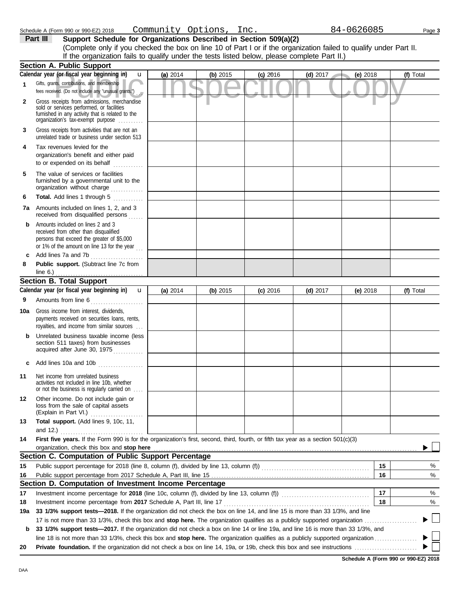| <b>Section A. Public Support</b>             |          |            |     |
|----------------------------------------------|----------|------------|-----|
| Calendar year (or fiscal year beginning in)  | (a) 2014 | $(b)$ 2015 | 201 |
| Gifts, grants, contributions, and membership |          |            |     |

## **Part III** Support Schedule for Organizations Described in Section 509(a)(2) (Complete only if you checked the box on line 10 of Part I or if the organization failed to qualify under Part II. If the organization fails to qualify under the tests listed below, please complete Part II.)

|        | Calendar year (or fiscal year beginning in)<br>u                                                                                                                                  | (a) 2014 | (b) 2015   | $(c)$ 2016 | $(d)$ 2017 | (e) 2018   |    | (f) Total |
|--------|-----------------------------------------------------------------------------------------------------------------------------------------------------------------------------------|----------|------------|------------|------------|------------|----|-----------|
| 1      | Gifts, grants, contributions, and membership<br>fees received. (Do not include any "unusual grants.")                                                                             |          |            |            |            |            |    |           |
| 2      | Gross receipts from admissions, merchandise<br>sold or services performed, or facilities<br>furnished in any activity that is related to the<br>organization's tax-exempt purpose |          |            |            |            |            |    |           |
| 3      | Gross receipts from activities that are not an<br>unrelated trade or business under section 513                                                                                   |          |            |            |            |            |    |           |
| 4      | Tax revenues levied for the<br>organization's benefit and either paid<br>to or expended on its behalf                                                                             |          |            |            |            |            |    |           |
| 5      | The value of services or facilities<br>furnished by a governmental unit to the<br>organization without charge                                                                     |          |            |            |            |            |    |           |
| 6      | Total. Add lines 1 through 5                                                                                                                                                      |          |            |            |            |            |    |           |
| 7а     | Amounts included on lines 1, 2, and 3<br>received from disqualified persons                                                                                                       |          |            |            |            |            |    |           |
| b      | Amounts included on lines 2 and 3<br>received from other than disqualified<br>persons that exceed the greater of \$5,000<br>or 1% of the amount on line 13 for the year $\ldots$  |          |            |            |            |            |    |           |
| c<br>8 | Add lines 7a and 7b<br>.<br>Public support. (Subtract line 7c from                                                                                                                |          |            |            |            |            |    |           |
|        | line $6.$ )                                                                                                                                                                       |          |            |            |            |            |    |           |
|        | <b>Section B. Total Support</b>                                                                                                                                                   |          |            |            |            |            |    |           |
|        | Calendar year (or fiscal year beginning in)<br>$\mathbf{u}$                                                                                                                       | (a) 2014 | (b) $2015$ | $(c)$ 2016 | (d) $2017$ | (e) $2018$ |    | (f) Total |
| 9      | Amounts from line 6                                                                                                                                                               |          |            |            |            |            |    |           |
| 10a    | Gross income from interest, dividends,<br>payments received on securities loans, rents,<br>royalties, and income from similar sources                                             |          |            |            |            |            |    |           |
| b      | Unrelated business taxable income (less<br>section 511 taxes) from businesses<br>acquired after June 30, 1975                                                                     |          |            |            |            |            |    |           |
| c      | Add lines 10a and 10b                                                                                                                                                             |          |            |            |            |            |    |           |
| 11     | Net income from unrelated business<br>activities not included in line 10b, whether<br>or not the business is regularly carried on                                                 |          |            |            |            |            |    |           |
| 12     | Other income. Do not include gain or<br>loss from the sale of capital assets<br>(Explain in Part VI.)                                                                             |          |            |            |            |            |    |           |
| 13     | Total support. (Add lines 9, 10c, 11,                                                                                                                                             |          |            |            |            |            |    |           |
|        | and $12.$ )                                                                                                                                                                       |          |            |            |            |            |    |           |
| 14     | First five years. If the Form 990 is for the organization's first, second, third, fourth, or fifth tax year as a section 501(c)(3)                                                |          |            |            |            |            |    |           |
|        | organization, check this box and stop here<br>Section C. Computation of Public Support Percentage                                                                                 |          |            |            |            |            |    |           |
| 15     |                                                                                                                                                                                   |          |            |            |            |            | 15 | %         |
| 16     | Public support percentage from 2017 Schedule A, Part III, line 15                                                                                                                 |          |            |            |            |            | 16 | %         |
|        | Section D. Computation of Investment Income Percentage                                                                                                                            |          |            |            |            |            |    |           |
| 17     | Investment income percentage for 2018 (line 10c, column (f), divided by line 13, column (f)) [[[[[[[[[[[[[[[[                                                                     |          |            |            |            |            | 17 | %         |
| 18     | Investment income percentage from 2017 Schedule A, Part III, line 17                                                                                                              |          |            |            |            |            | 18 | %         |
| 19a    | 33 1/3% support tests-2018. If the organization did not check the box on line 14, and line 15 is more than 33 1/3%, and line                                                      |          |            |            |            |            |    |           |
|        |                                                                                                                                                                                   |          |            |            |            |            |    |           |
| b      | 33 1/3% support tests-2017. If the organization did not check a box on line 14 or line 19a, and line 16 is more than 33 1/3%, and                                                 |          |            |            |            |            |    |           |
|        |                                                                                                                                                                                   |          |            |            |            |            |    |           |
| 20     |                                                                                                                                                                                   |          |            |            |            |            |    |           |

**Schedule A (Form 990 or 990-EZ) 2018**

Schedule A (Form 990 or 990-EZ) 2018 Page **3** Community Options, Inc. 84-0626085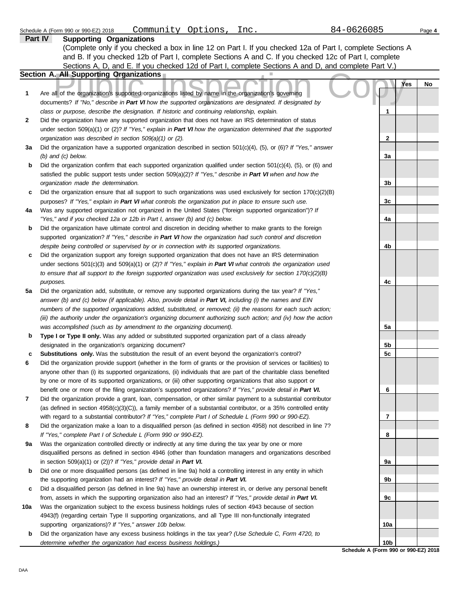|     | Part IV<br><b>Supporting Organizations</b>                                                                                                                                                                                 |                 |            |    |
|-----|----------------------------------------------------------------------------------------------------------------------------------------------------------------------------------------------------------------------------|-----------------|------------|----|
|     | (Complete only if you checked a box in line 12 on Part I. If you checked 12a of Part I, complete Sections A                                                                                                                |                 |            |    |
|     | and B. If you checked 12b of Part I, complete Sections A and C. If you checked 12c of Part I, complete                                                                                                                     |                 |            |    |
|     | Sections A, D, and E. If you checked 12d of Part I, complete Sections A and D, and complete Part V.)                                                                                                                       |                 |            |    |
|     | <b>Section A. All Supporting Organizations</b>                                                                                                                                                                             |                 |            |    |
|     |                                                                                                                                                                                                                            |                 | <b>Yes</b> | No |
| 1   | Are all of the organization's supported organizations listed by name in the organization's governing                                                                                                                       |                 |            |    |
|     | documents? If "No," describe in Part VI how the supported organizations are designated. If designated by                                                                                                                   |                 |            |    |
|     | class or purpose, describe the designation. If historic and continuing relationship, explain.                                                                                                                              | 1               |            |    |
| 2   | Did the organization have any supported organization that does not have an IRS determination of status                                                                                                                     |                 |            |    |
|     | under section 509(a)(1) or (2)? If "Yes," explain in Part VI how the organization determined that the supported                                                                                                            |                 |            |    |
|     | organization was described in section 509(a)(1) or (2).                                                                                                                                                                    | 2               |            |    |
| За  | Did the organization have a supported organization described in section $501(c)(4)$ , (5), or (6)? If "Yes," answer                                                                                                        |                 |            |    |
|     | $(b)$ and $(c)$ below.                                                                                                                                                                                                     | 3a              |            |    |
| b   | Did the organization confirm that each supported organization qualified under section $501(c)(4)$ , $(5)$ , or $(6)$ and                                                                                                   |                 |            |    |
|     | satisfied the public support tests under section 509(a)(2)? If "Yes," describe in Part VI when and how the                                                                                                                 |                 |            |    |
|     | organization made the determination.                                                                                                                                                                                       | 3 <sub>b</sub>  |            |    |
| c   | Did the organization ensure that all support to such organizations was used exclusively for section $170(c)(2)(B)$                                                                                                         |                 |            |    |
|     | purposes? If "Yes," explain in Part VI what controls the organization put in place to ensure such use.                                                                                                                     | 3c              |            |    |
| 4a  | Was any supported organization not organized in the United States ("foreign supported organization")? If                                                                                                                   |                 |            |    |
|     | "Yes," and if you checked 12a or 12b in Part I, answer (b) and (c) below.                                                                                                                                                  | 4a              |            |    |
| b   | Did the organization have ultimate control and discretion in deciding whether to make grants to the foreign                                                                                                                |                 |            |    |
|     | supported organization? If "Yes," describe in Part VI how the organization had such control and discretion                                                                                                                 |                 |            |    |
|     | despite being controlled or supervised by or in connection with its supported organizations.                                                                                                                               | 4b              |            |    |
| c   | Did the organization support any foreign supported organization that does not have an IRS determination                                                                                                                    |                 |            |    |
|     | under sections $501(c)(3)$ and $509(a)(1)$ or (2)? If "Yes," explain in Part VI what controls the organization used                                                                                                        |                 |            |    |
|     | to ensure that all support to the foreign supported organization was used exclusively for section $170(c)(2)(B)$                                                                                                           |                 |            |    |
|     | purposes.                                                                                                                                                                                                                  | 4c              |            |    |
| 5a  | Did the organization add, substitute, or remove any supported organizations during the tax year? If "Yes,"                                                                                                                 |                 |            |    |
|     | answer (b) and (c) below (if applicable). Also, provide detail in Part VI, including (i) the names and EIN                                                                                                                 |                 |            |    |
|     | numbers of the supported organizations added, substituted, or removed; (ii) the reasons for each such action;                                                                                                              |                 |            |    |
|     | (iii) the authority under the organization's organizing document authorizing such action; and (iv) how the action                                                                                                          |                 |            |    |
|     | was accomplished (such as by amendment to the organizing document).                                                                                                                                                        | 5a              |            |    |
| b   | Type I or Type II only. Was any added or substituted supported organization part of a class already                                                                                                                        |                 |            |    |
|     | designated in the organization's organizing document?                                                                                                                                                                      | 5b              |            |    |
| c   | Substitutions only. Was the substitution the result of an event beyond the organization's control?                                                                                                                         | 5c              |            |    |
| 6   | Did the organization provide support (whether in the form of grants or the provision of services or facilities) to                                                                                                         |                 |            |    |
|     | anyone other than (i) its supported organizations, (ii) individuals that are part of the charitable class benefited                                                                                                        |                 |            |    |
|     | by one or more of its supported organizations, or (iii) other supporting organizations that also support or                                                                                                                |                 |            |    |
|     | benefit one or more of the filing organization's supported organizations? If "Yes," provide detail in Part VI.                                                                                                             | 6               |            |    |
| 7   | Did the organization provide a grant, loan, compensation, or other similar payment to a substantial contributor                                                                                                            |                 |            |    |
|     | (as defined in section 4958(c)(3)(C)), a family member of a substantial contributor, or a 35% controlled entity<br>with regard to a substantial contributor? If "Yes," complete Part I of Schedule L (Form 990 or 990-EZ). | 7               |            |    |
| 8   | Did the organization make a loan to a disqualified person (as defined in section 4958) not described in line 7?                                                                                                            |                 |            |    |
|     | If "Yes," complete Part I of Schedule L (Form 990 or 990-EZ).                                                                                                                                                              | 8               |            |    |
| 9a  | Was the organization controlled directly or indirectly at any time during the tax year by one or more                                                                                                                      |                 |            |    |
|     | disqualified persons as defined in section 4946 (other than foundation managers and organizations described                                                                                                                |                 |            |    |
|     | in section $509(a)(1)$ or (2))? If "Yes," provide detail in Part VI.                                                                                                                                                       | 9a              |            |    |
| b   | Did one or more disqualified persons (as defined in line 9a) hold a controlling interest in any entity in which                                                                                                            |                 |            |    |
|     | the supporting organization had an interest? If "Yes," provide detail in Part VI.                                                                                                                                          | 9b              |            |    |
| c   | Did a disqualified person (as defined in line 9a) have an ownership interest in, or derive any personal benefit                                                                                                            |                 |            |    |
|     | from, assets in which the supporting organization also had an interest? If "Yes," provide detail in Part VI.                                                                                                               | 9c              |            |    |
| 10a | Was the organization subject to the excess business holdings rules of section 4943 because of section                                                                                                                      |                 |            |    |
|     | 4943(f) (regarding certain Type II supporting organizations, and all Type III non-functionally integrated                                                                                                                  |                 |            |    |
|     | supporting organizations)? If "Yes," answer 10b below.                                                                                                                                                                     | 10a             |            |    |
| b   | Did the organization have any excess business holdings in the tax year? (Use Schedule C, Form 4720, to                                                                                                                     |                 |            |    |
|     | determine whether the organization had excess business holdings.)                                                                                                                                                          | 10 <sub>b</sub> |            |    |

**Schedule A (Form 990 or 990-EZ) 2018**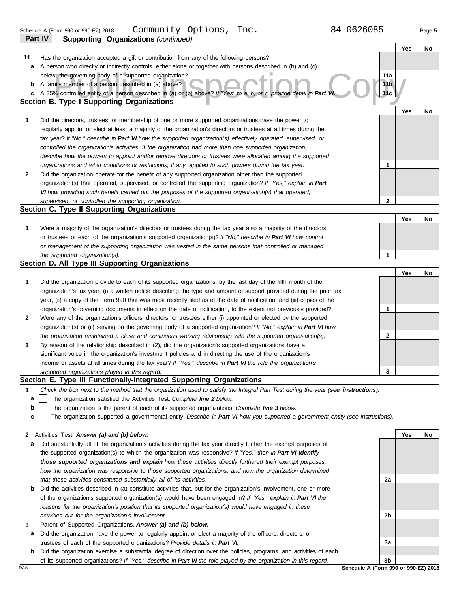| 1 Q L<br>$\sim$<br>$\sim$ $\sim$<br>⊥nc<br>Jommun,<br>---<br>990-EZ) 2018<br>Jot<br>$-990$ or s<br>-<br>.<br>tions<br>. ההרכי<br>Schedule<br>(Form<br>-990-<br>-aue u<br><u>. – </u><br>. . |
|---------------------------------------------------------------------------------------------------------------------------------------------------------------------------------------------|
|---------------------------------------------------------------------------------------------------------------------------------------------------------------------------------------------|

|    | Part IV<br><b>Supporting Organizations (continued)</b>                                                                            |                 |     |    |
|----|-----------------------------------------------------------------------------------------------------------------------------------|-----------------|-----|----|
|    |                                                                                                                                   |                 | Yes | No |
| 11 | Has the organization accepted a gift or contribution from any of the following persons?                                           |                 |     |    |
| a  | A person who directly or indirectly controls, either alone or together with persons described in (b) and (c)                      |                 |     |    |
|    | below, the governing body of a supported organization?                                                                            | 11a             |     |    |
| b  | A family member of a person described in (a) above?                                                                               | 11 <sub>b</sub> |     |    |
| c  | A 35% controlled entity of a person described in (a) or (b) above? If "Yes" to a, b, or c, provide detail in Part VI              | 11c             |     |    |
|    | <b>Section B. Type I Supporting Organizations</b>                                                                                 |                 |     |    |
|    |                                                                                                                                   |                 | Yes | No |
| 1  | Did the directors, trustees, or membership of one or more supported organizations have the power to                               |                 |     |    |
|    | regularly appoint or elect at least a majority of the organization's directors or trustees at all times during the                |                 |     |    |
|    | tax year? If "No," describe in Part VI how the supported organization(s) effectively operated, supervised, or                     |                 |     |    |
|    | controlled the organization's activities. If the organization had more than one supported organization,                           |                 |     |    |
|    | describe how the powers to appoint and/or remove directors or trustees were allocated among the supported                         |                 |     |    |
|    | organizations and what conditions or restrictions, if any, applied to such powers during the tax year.                            | 1               |     |    |
| 2  | Did the organization operate for the benefit of any supported organization other than the supported                               |                 |     |    |
|    | organization(s) that operated, supervised, or controlled the supporting organization? If "Yes," explain in Part                   |                 |     |    |
|    | VI how providing such benefit carried out the purposes of the supported organization(s) that operated,                            |                 |     |    |
|    | supervised, or controlled the supporting organization.                                                                            | $\mathbf{2}$    |     |    |
|    | Section C. Type II Supporting Organizations                                                                                       |                 |     |    |
|    |                                                                                                                                   |                 | Yes | No |
| 1  | Were a majority of the organization's directors or trustees during the tax year also a majority of the directors                  |                 |     |    |
|    | or trustees of each of the organization's supported organization(s)? If "No," describe in Part VI how control                     |                 |     |    |
|    | or management of the supporting organization was vested in the same persons that controlled or managed                            |                 |     |    |
|    | the supported organization(s).                                                                                                    | 1               |     |    |
|    | Section D. All Type III Supporting Organizations                                                                                  |                 |     |    |
|    |                                                                                                                                   |                 | Yes | No |
| 1  | Did the organization provide to each of its supported organizations, by the last day of the fifth month of the                    |                 |     |    |
|    | organization's tax year, (i) a written notice describing the type and amount of support provided during the prior tax             |                 |     |    |
|    | year, (ii) a copy of the Form 990 that was most recently filed as of the date of notification, and (iii) copies of the            |                 |     |    |
|    | organization's governing documents in effect on the date of notification, to the extent not previously provided?                  | 1               |     |    |
| 2  | Were any of the organization's officers, directors, or trustees either (i) appointed or elected by the supported                  |                 |     |    |
|    | organization(s) or (ii) serving on the governing body of a supported organization? If "No," explain in Part VI how                |                 |     |    |
|    | the organization maintained a close and continuous working relationship with the supported organization(s).                       | $\mathbf{2}$    |     |    |
| 3  | By reason of the relationship described in (2), did the organization's supported organizations have a                             |                 |     |    |
|    | significant voice in the organization's investment policies and in directing the use of the organization's                        |                 |     |    |
|    | income or assets at all times during the tax year? If "Yes," describe in Part VI the role the organization's                      |                 |     |    |
|    | supported organizations played in this regard.                                                                                    | 2               |     |    |
|    | Section E. Type III Functionally-Integrated Supporting Organizations                                                              |                 |     |    |
| 1  | Check the box next to the method that the organization used to satisfy the Integral Part Test during the year (see instructions). |                 |     |    |
| а  | The organization satisfied the Activities Test. Complete line 2 below.                                                            |                 |     |    |
| b  | The organization is the parent of each of its supported organizations. Complete line 3 below.                                     |                 |     |    |
| C  | The organization supported a governmental entity. Describe in Part VI how you supported a government entity (see instructions).   |                 |     |    |
|    |                                                                                                                                   |                 |     |    |
| 2  | Activities Test. Answer (a) and (b) below.                                                                                        |                 | Yes | No |
| а  | Did substantially all of the organization's activities during the tax year directly further the exempt purposes of                |                 |     |    |
|    | the supported organization(s) to which the organization was responsive? If "Yes," then in Part VI identify                        |                 |     |    |
|    | those supported organizations and explain how these activities directly furthered their exempt purposes,                          |                 |     |    |
|    | how the organization was responsive to those supported organizations, and how the organization determined                         |                 |     |    |
|    | that these activities constituted substantially all of its activities.                                                            | 2a              |     |    |
| b  | Did the activities described in (a) constitute activities that, but for the organization's involvement, one or more               |                 |     |    |
|    | of the organization's supported organization(s) would have been engaged in? If "Yes," explain in Part VI the                      |                 |     |    |
|    | reasons for the organization's position that its supported organization(s) would have engaged in these                            |                 |     |    |
|    | activities but for the organization's involvement.                                                                                | 2b              |     |    |
| 3  | Parent of Supported Organizations. Answer (a) and (b) below.                                                                      |                 |     |    |
| а  | Did the organization have the power to regularly appoint or elect a majority of the officers, directors, or                       |                 |     |    |

trustees of each of the supported organizations? *Provide details in Part VI.*

**b** Did the organization exercise a substantial degree of direction over the policies, programs, and activities of each of its supported organizations? *If "Yes," describe in Part VI the role played by the organization in this regard.*

DAA **Schedule A (Form 990 or 990-EZ) 2018 3b**

**3a**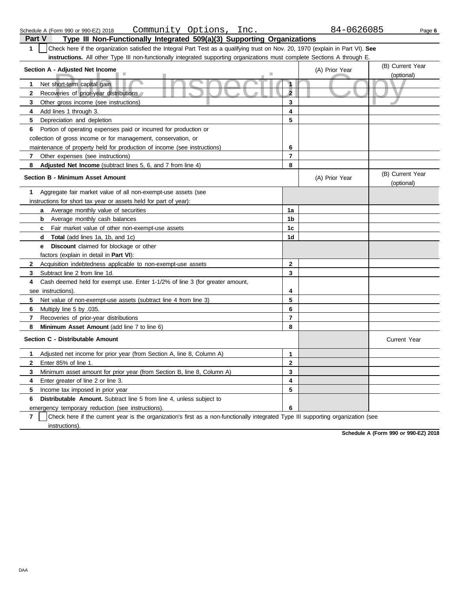| Check here if the organization satisfied the Integral Part Test as a qualifying trust on Nov. 20, 1970 (explain in Part VI). See<br>1 |    |                |                  |
|---------------------------------------------------------------------------------------------------------------------------------------|----|----------------|------------------|
| instructions. All other Type III non-functionally integrated supporting organizations must complete Sections A through E.             |    |                |                  |
| Section A - Adjusted Net Income                                                                                                       |    | (A) Prior Year | (B) Current Year |
|                                                                                                                                       |    |                | (optional)       |
| Net short-term capital gain                                                                                                           |    |                |                  |
| Recoveries of prior-year distributions                                                                                                |    |                |                  |
| Other gross income (see instructions)                                                                                                 | 3  |                |                  |
| Add lines 1 through 3.                                                                                                                | 4  |                |                  |
| Depreciation and depletion<br>5.                                                                                                      | 5  |                |                  |
| Portion of operating expenses paid or incurred for production or<br>6                                                                 |    |                |                  |
| collection of gross income or for management, conservation, or                                                                        |    |                |                  |
| maintenance of property held for production of income (see instructions)                                                              | 6  |                |                  |
| Other expenses (see instructions)                                                                                                     |    |                |                  |
| Adjusted Net Income (subtract lines 5, 6, and 7 from line 4)<br>8.                                                                    | 8  |                |                  |
| <b>Section B - Minimum Asset Amount</b>                                                                                               |    | (A) Prior Year | (B) Current Year |
|                                                                                                                                       |    |                | (optional)       |
| Aggregate fair market value of all non-exempt-use assets (see                                                                         |    |                |                  |
| instructions for short tax year or assets held for part of year):                                                                     |    |                |                  |
| Average monthly value of securities<br>a                                                                                              | 1a |                |                  |
| Average monthly cash balances<br>b                                                                                                    | 1b |                |                  |
| Fair market value of other non-exempt-use assets                                                                                      | 1c |                |                  |
| <b>Total</b> (add lines 1a, 1b, and 1c)<br>d                                                                                          | 1d |                |                  |

**Part V Type III Non-Functionally Integrated 509(a)(3) Supporting Organizations**

**e Discount** claimed for blockage or other

factors (explain in detail in **Part VI**): **8 7 6** Multiply line 5 by .035. **5 4 3 2** Acquisition indebtedness applicable to non-exempt-use assets Subtract line 2 from line 1d. Cash deemed held for exempt use. Enter 1-1/2% of line 3 (for greater amount, see instructions). Net value of non-exempt-use assets (subtract line 4 from line 3) Recoveries of prior-year distributions **Minimum Asset Amount** (add line 7 to line 6) **Section C - Distributable Amount 6 5 4 3 2 1** Adjusted net income for prior year (from Section A, line 8, Column A) Enter 85% of line 1. Minimum asset amount for prior year (from Section B, line 8, Column A) Enter greater of line 2 or line 3. Income tax imposed in prior year **Distributable Amount.** Subtract line 5 from line 4, unless subject to emergency temporary reduction (see instructions). **2 3 4 5 6 7 8 3 2 1 6 5 4** Current Year

**7** instructions). Check here if the current year is the organization's first as a non-functionally integrated Type III supporting organization (see

**Schedule A (Form 990 or 990-EZ) 2018**

Schedule A (Form 990 or 990-EZ) 2018 Page **6** Community Options, Inc. 84-0626085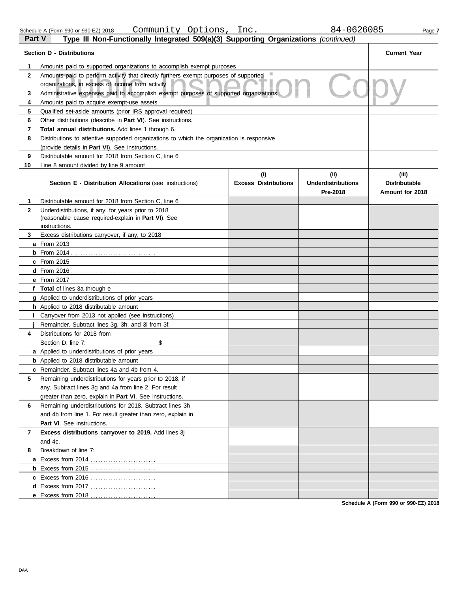| Part V | <b>Type III Non-Functionally Inte</b> |  |
|--------|---------------------------------------|--|
|        |                                       |  |

|              | Amounts paid to supported organizations to accomplish exempt purposes                                      |                                    |                                               |                                                  |  |  |  |
|--------------|------------------------------------------------------------------------------------------------------------|------------------------------------|-----------------------------------------------|--------------------------------------------------|--|--|--|
| $\mathbf{2}$ | Amounts paid to perform activity that directly furthers exempt purposes of supported                       |                                    |                                               |                                                  |  |  |  |
|              | organizations, in excess of income from activity                                                           |                                    |                                               |                                                  |  |  |  |
| 3            | Administrative expenses paid to accomplish exempt purposes of supported organizations.                     |                                    |                                               |                                                  |  |  |  |
| 4            | Amounts paid to acquire exempt-use assets                                                                  |                                    |                                               |                                                  |  |  |  |
| 5            | Qualified set-aside amounts (prior IRS approval required)                                                  |                                    |                                               |                                                  |  |  |  |
| 6            | Other distributions (describe in <b>Part VI</b> ). See instructions.                                       |                                    |                                               |                                                  |  |  |  |
| 7            | <b>Total annual distributions.</b> Add lines 1 through 6.                                                  |                                    |                                               |                                                  |  |  |  |
| 8            | Distributions to attentive supported organizations to which the organization is responsive                 |                                    |                                               |                                                  |  |  |  |
|              | (provide details in Part VI). See instructions.                                                            |                                    |                                               |                                                  |  |  |  |
| 9            | Distributable amount for 2018 from Section C, line 6                                                       |                                    |                                               |                                                  |  |  |  |
| 10           | Line 8 amount divided by line 9 amount                                                                     |                                    |                                               |                                                  |  |  |  |
|              | <b>Section E - Distribution Allocations (see instructions)</b>                                             | (i)<br><b>Excess Distributions</b> | (ii)<br><b>Underdistributions</b><br>Pre-2018 | (iii)<br><b>Distributable</b><br>Amount for 2018 |  |  |  |
| 1.           | Distributable amount for 2018 from Section C, line 6                                                       |                                    |                                               |                                                  |  |  |  |
| $\mathbf{2}$ | Underdistributions, if any, for years prior to 2018<br>(reasonable cause required-explain in Part VI). See |                                    |                                               |                                                  |  |  |  |
|              | instructions.                                                                                              |                                    |                                               |                                                  |  |  |  |
| 3.           | Excess distributions carryover, if any, to 2018                                                            |                                    |                                               |                                                  |  |  |  |
|              |                                                                                                            |                                    |                                               |                                                  |  |  |  |
|              |                                                                                                            |                                    |                                               |                                                  |  |  |  |
|              |                                                                                                            |                                    |                                               |                                                  |  |  |  |
|              |                                                                                                            |                                    |                                               |                                                  |  |  |  |
|              |                                                                                                            |                                    |                                               |                                                  |  |  |  |
|              | f Total of lines 3a through e                                                                              |                                    |                                               |                                                  |  |  |  |
|              | <b>g</b> Applied to underdistributions of prior years                                                      |                                    |                                               |                                                  |  |  |  |
|              | h Applied to 2018 distributable amount                                                                     |                                    |                                               |                                                  |  |  |  |
|              | <i>i</i> Carryover from 2013 not applied (see instructions)                                                |                                    |                                               |                                                  |  |  |  |
|              | Remainder. Subtract lines 3g, 3h, and 3i from 3f.                                                          |                                    |                                               |                                                  |  |  |  |
| 4            | Distributions for 2018 from                                                                                |                                    |                                               |                                                  |  |  |  |
|              | \$<br>Section D, line 7:                                                                                   |                                    |                                               |                                                  |  |  |  |
|              | a Applied to underdistributions of prior years                                                             |                                    |                                               |                                                  |  |  |  |
|              | <b>b</b> Applied to 2018 distributable amount                                                              |                                    |                                               |                                                  |  |  |  |
|              | c Remainder. Subtract lines 4a and 4b from 4.                                                              |                                    |                                               |                                                  |  |  |  |
| 5            | Remaining underdistributions for years prior to 2018, if                                                   |                                    |                                               |                                                  |  |  |  |
|              | any. Subtract lines 3g and 4a from line 2. For result                                                      |                                    |                                               |                                                  |  |  |  |
|              | greater than zero, explain in <b>Part VI</b> . See instructions.                                           |                                    |                                               |                                                  |  |  |  |
| 6            | Remaining underdistributions for 2018. Subtract lines 3h                                                   |                                    |                                               |                                                  |  |  |  |
|              | and 4b from line 1. For result greater than zero, explain in                                               |                                    |                                               |                                                  |  |  |  |
|              | Part VI. See instructions.                                                                                 |                                    |                                               |                                                  |  |  |  |
| 7            | Excess distributions carryover to 2019. Add lines 3j<br>and 4c.                                            |                                    |                                               |                                                  |  |  |  |
| 8            | Breakdown of line 7:                                                                                       |                                    |                                               |                                                  |  |  |  |
|              | a Excess from 2014                                                                                         |                                    |                                               |                                                  |  |  |  |
|              | <b>b</b> Excess from 2015                                                                                  |                                    |                                               |                                                  |  |  |  |
|              |                                                                                                            |                                    |                                               |                                                  |  |  |  |
|              |                                                                                                            |                                    |                                               |                                                  |  |  |  |
|              | e Excess from 2018                                                                                         |                                    |                                               |                                                  |  |  |  |
|              |                                                                                                            |                                    |                                               |                                                  |  |  |  |

**Schedule A (Form 990 or 990-EZ) 2018**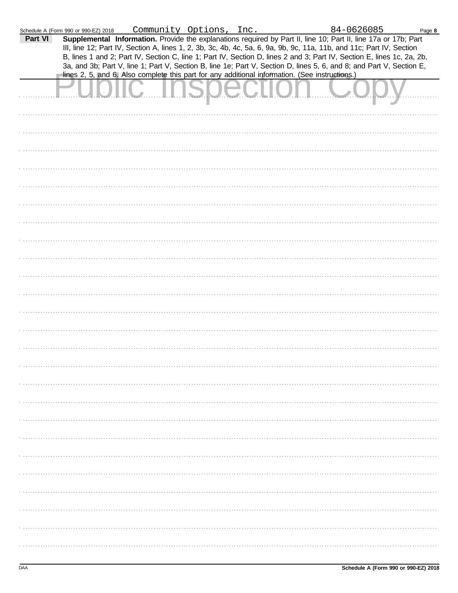|         | Schedule A (Form 990 or 990-EZ) 2018 | Community Options, Inc.                                                                                                                                                                                                                                                                                                                                                                                                                                                                                                                                                                     |  | 84-0626085 | Page 8 |
|---------|--------------------------------------|---------------------------------------------------------------------------------------------------------------------------------------------------------------------------------------------------------------------------------------------------------------------------------------------------------------------------------------------------------------------------------------------------------------------------------------------------------------------------------------------------------------------------------------------------------------------------------------------|--|------------|--------|
| Part VI |                                      | Supplemental Information. Provide the explanations required by Part II, line 10; Part II, line 17a or 17b; Part<br>III, line 12; Part IV, Section A, lines 1, 2, 3b, 3c, 4b, 4c, 5a, 6, 9a, 9b, 9c, 11a, 11b, and 11c; Part IV, Section<br>B, lines 1 and 2; Part IV, Section C, line 1; Part IV, Section D, lines 2 and 3; Part IV, Section E, lines 1c, 2a, 2b,<br>3a, and 3b; Part V, line 1; Part V, Section B, line 1e; Part V, Section D, lines 5, 6, and 8; and Part V, Section E,<br>lines 2, 5, and 6. Also complete this part for any additional information. (See instructions.) |  |            |        |
|         |                                      |                                                                                                                                                                                                                                                                                                                                                                                                                                                                                                                                                                                             |  |            |        |
|         |                                      |                                                                                                                                                                                                                                                                                                                                                                                                                                                                                                                                                                                             |  |            |        |
|         |                                      |                                                                                                                                                                                                                                                                                                                                                                                                                                                                                                                                                                                             |  |            |        |
|         |                                      |                                                                                                                                                                                                                                                                                                                                                                                                                                                                                                                                                                                             |  |            |        |
|         |                                      |                                                                                                                                                                                                                                                                                                                                                                                                                                                                                                                                                                                             |  |            |        |
|         |                                      |                                                                                                                                                                                                                                                                                                                                                                                                                                                                                                                                                                                             |  |            |        |
|         |                                      |                                                                                                                                                                                                                                                                                                                                                                                                                                                                                                                                                                                             |  |            |        |
|         |                                      |                                                                                                                                                                                                                                                                                                                                                                                                                                                                                                                                                                                             |  |            |        |
|         |                                      |                                                                                                                                                                                                                                                                                                                                                                                                                                                                                                                                                                                             |  |            |        |
|         |                                      |                                                                                                                                                                                                                                                                                                                                                                                                                                                                                                                                                                                             |  |            |        |
|         |                                      |                                                                                                                                                                                                                                                                                                                                                                                                                                                                                                                                                                                             |  |            |        |
|         |                                      |                                                                                                                                                                                                                                                                                                                                                                                                                                                                                                                                                                                             |  |            |        |
|         |                                      |                                                                                                                                                                                                                                                                                                                                                                                                                                                                                                                                                                                             |  |            |        |
|         |                                      |                                                                                                                                                                                                                                                                                                                                                                                                                                                                                                                                                                                             |  |            |        |
|         |                                      |                                                                                                                                                                                                                                                                                                                                                                                                                                                                                                                                                                                             |  |            |        |
|         |                                      |                                                                                                                                                                                                                                                                                                                                                                                                                                                                                                                                                                                             |  |            |        |
|         |                                      |                                                                                                                                                                                                                                                                                                                                                                                                                                                                                                                                                                                             |  |            |        |
|         |                                      |                                                                                                                                                                                                                                                                                                                                                                                                                                                                                                                                                                                             |  |            |        |
|         |                                      |                                                                                                                                                                                                                                                                                                                                                                                                                                                                                                                                                                                             |  |            |        |
|         |                                      |                                                                                                                                                                                                                                                                                                                                                                                                                                                                                                                                                                                             |  |            |        |
|         |                                      |                                                                                                                                                                                                                                                                                                                                                                                                                                                                                                                                                                                             |  |            |        |
|         |                                      |                                                                                                                                                                                                                                                                                                                                                                                                                                                                                                                                                                                             |  |            |        |
|         |                                      |                                                                                                                                                                                                                                                                                                                                                                                                                                                                                                                                                                                             |  |            |        |
|         |                                      |                                                                                                                                                                                                                                                                                                                                                                                                                                                                                                                                                                                             |  |            |        |
|         |                                      |                                                                                                                                                                                                                                                                                                                                                                                                                                                                                                                                                                                             |  |            |        |
|         |                                      |                                                                                                                                                                                                                                                                                                                                                                                                                                                                                                                                                                                             |  |            |        |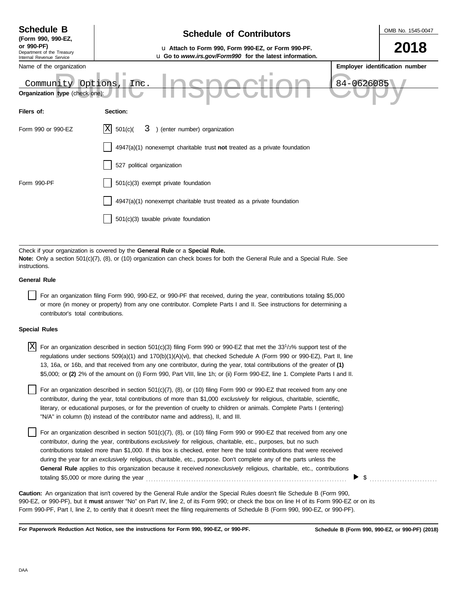| <b>Schedule B</b><br>(Form 990, 990-EZ,                                    | <b>Schedule of Contributors</b>                                                                               |  | OMB No. 1545-0047              |  |  |
|----------------------------------------------------------------------------|---------------------------------------------------------------------------------------------------------------|--|--------------------------------|--|--|
| or 990-PF)<br>Department of the Treasury<br>Internal Revenue Service       | u Attach to Form 990, Form 990-EZ, or Form 990-PF.<br>u Go to www.irs.gov/Form990 for the latest information. |  | 2018                           |  |  |
| Name of the organization                                                   |                                                                                                               |  | Employer identification number |  |  |
| 84-0626085<br>Options, Inc.<br>Community<br>Organization type (check one): |                                                                                                               |  |                                |  |  |
| Filers of:                                                                 | Section:                                                                                                      |  |                                |  |  |
| Form 990 or 990-EZ                                                         | ΙX<br>) (enter number) organization<br>501(c)<br>3                                                            |  |                                |  |  |
|                                                                            | $4947(a)(1)$ nonexempt charitable trust not treated as a private foundation                                   |  |                                |  |  |
|                                                                            | 527 political organization                                                                                    |  |                                |  |  |
| Form 990-PF                                                                | 501(c)(3) exempt private foundation                                                                           |  |                                |  |  |
|                                                                            | 4947(a)(1) nonexempt charitable trust treated as a private foundation                                         |  |                                |  |  |
|                                                                            | 501(c)(3) taxable private foundation                                                                          |  |                                |  |  |
|                                                                            |                                                                                                               |  |                                |  |  |

Check if your organization is covered by the **General Rule** or a **Special Rule. Note:** Only a section 501(c)(7), (8), or (10) organization can check boxes for both the General Rule and a Special Rule. See instructions.

## **General Rule**

For an organization filing Form 990, 990-EZ, or 990-PF that received, during the year, contributions totaling \$5,000 or more (in money or property) from any one contributor. Complete Parts I and II. See instructions for determining a contributor's total contributions.

### **Special Rules**

| $X$ For an organization described in section 501(c)(3) filing Form 990 or 990-EZ that met the 33 <sup>1</sup> /3% support test of the |
|---------------------------------------------------------------------------------------------------------------------------------------|
| regulations under sections 509(a)(1) and 170(b)(1)(A)(vi), that checked Schedule A (Form 990 or 990-EZ), Part II, line                |
| 13, 16a, or 16b, and that received from any one contributor, during the year, total contributions of the greater of (1)               |
| \$5,000; or (2) 2% of the amount on (i) Form 990, Part VIII, line 1h; or (ii) Form 990-EZ, line 1. Complete Parts I and II.           |

literary, or educational purposes, or for the prevention of cruelty to children or animals. Complete Parts I (entering) For an organization described in section  $501(c)(7)$ ,  $(8)$ , or  $(10)$  filing Form 990 or 990-EZ that received from any one contributor, during the year, total contributions of more than \$1,000 *exclusively* for religious, charitable, scientific, "N/A" in column (b) instead of the contributor name and address), II, and III.

For an organization described in section 501(c)(7), (8), or (10) filing Form 990 or 990-EZ that received from any one contributor, during the year, contributions *exclusively* for religious, charitable, etc., purposes, but no such contributions totaled more than \$1,000. If this box is checked, enter here the total contributions that were received during the year for an *exclusively* religious, charitable, etc., purpose. Don't complete any of the parts unless the **General Rule** applies to this organization because it received *nonexclusively* religious, charitable, etc., contributions totaling \$5,000 or more during the year . . . . . . . . . . . . . . . . . . . . . . . . . . . . . . . . . . . . . . . . . . . . . . . . . . . . . . . . . . . . . . . . . . . . . . . . . . . . . . . .

990-EZ, or 990-PF), but it **must** answer "No" on Part IV, line 2, of its Form 990; or check the box on line H of its Form 990-EZ or on its Form 990-PF, Part I, line 2, to certify that it doesn't meet the filing requirements of Schedule B (Form 990, 990-EZ, or 990-PF). **Caution:** An organization that isn't covered by the General Rule and/or the Special Rules doesn't file Schedule B (Form 990,

**For Paperwork Reduction Act Notice, see the instructions for Form 990, 990-EZ, or 990-PF.**

\$ . . . . . . . . . . . . . . . . . . . . . . . . . . .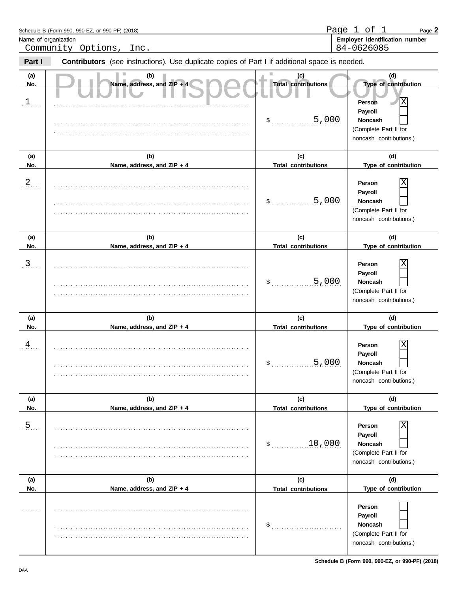|                             | Schedule B (Form 990, 990-EZ, or 990-PF) (2018)                                                |                                                  | Page 1 of 1<br>Page 2                                                                                                              |
|-----------------------------|------------------------------------------------------------------------------------------------|--------------------------------------------------|------------------------------------------------------------------------------------------------------------------------------------|
| Name of organization        | Community Options,<br>Inc.                                                                     |                                                  | Employer identification number<br>84-0626085                                                                                       |
| Part I                      | Contributors (see instructions). Use duplicate copies of Part I if additional space is needed. |                                                  |                                                                                                                                    |
| (a)<br>No.<br>$\frac{1}{2}$ | (b)<br>Name, address, and ZIP + 4                                                              | (c)<br><b>Total contributions</b><br>5,000<br>\$ | (d)<br>Type of contribution<br>Х<br><b>Person</b><br>Payroll<br><b>Noncash</b><br>(Complete Part II for<br>noncash contributions.) |
| (a)<br>No.                  | (b)<br>Name, address, and ZIP + 4                                                              | (c)<br><b>Total contributions</b>                | (d)<br>Type of contribution                                                                                                        |
| 2                           |                                                                                                | 5,000<br>\$                                      | Person<br>Payroll<br><b>Noncash</b><br>(Complete Part II for<br>noncash contributions.)                                            |
| (a)<br>No.                  | (b)<br>Name, address, and ZIP + 4                                                              | (c)<br><b>Total contributions</b>                | (d)<br>Type of contribution                                                                                                        |
| $\overline{3}$ .            |                                                                                                | 5,000<br>\$                                      | Person<br>Payroll<br><b>Noncash</b><br>(Complete Part II for<br>noncash contributions.)                                            |
| (a)<br>No.                  | (b)<br>Name, address, and ZIP + 4                                                              | (c)<br><b>Total contributions</b>                | (d)<br>Type of contribution                                                                                                        |
| $\frac{4}{1}$               |                                                                                                | 5,000<br>\$                                      | Person<br>Payroll<br>Noncash<br>(Complete Part II for<br>noncash contributions.)                                                   |
| (a)<br>No.                  | (b)<br>Name, address, and ZIP + 4                                                              | (c)<br><b>Total contributions</b>                | (d)<br>Type of contribution                                                                                                        |
| $\overline{5}$ .            |                                                                                                | 10,000<br>$\mathsf{\$}$                          | Person<br>Payroll<br><b>Noncash</b><br>(Complete Part II for<br>noncash contributions.)                                            |
| (a)<br>No.                  | (b)<br>Name, address, and ZIP + 4                                                              | (c)<br><b>Total contributions</b>                | (d)<br>Type of contribution                                                                                                        |
| 1.1.1.1.1.1                 |                                                                                                | \$                                               | Person<br>Payroll<br><b>Noncash</b><br>(Complete Part II for<br>noncash contributions.)                                            |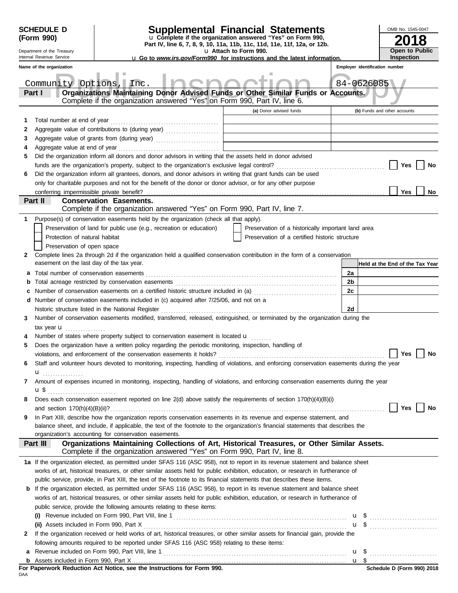|        | <b>SCHEDULE D</b><br>(Form 990)                        | <b>Supplemental Financial Statements</b><br>u Complete if the organization answered "Yes" on Form 990,<br>Part IV, line 6, 7, 8, 9, 10, 11a, 11b, 11c, 11d, 11e, 11f, 12a, or 12b.                                             |                       |                                                                                           |                | OMB No. 1545-0047               |
|--------|--------------------------------------------------------|--------------------------------------------------------------------------------------------------------------------------------------------------------------------------------------------------------------------------------|-----------------------|-------------------------------------------------------------------------------------------|----------------|---------------------------------|
|        | Department of the Treasury<br>Internal Revenue Service | <b>u</b> Go to www.irs.gov/Form990 for instructions and the latest information.                                                                                                                                                | u Attach to Form 990. |                                                                                           |                | Open to Public<br>Inspection    |
|        | Name of the organization                               |                                                                                                                                                                                                                                |                       |                                                                                           |                | Employer identification number  |
|        |                                                        |                                                                                                                                                                                                                                |                       |                                                                                           |                |                                 |
|        | Community Options, Inc.                                |                                                                                                                                                                                                                                |                       |                                                                                           |                | 84-0626085                      |
|        | Part I                                                 | Organizations Maintaining Donor Advised Funds or Other Similar Funds or Accounts.                                                                                                                                              |                       |                                                                                           |                |                                 |
|        |                                                        | Complete if the organization answered "Yes" on Form 990, Part IV, line 6.                                                                                                                                                      |                       |                                                                                           |                |                                 |
|        |                                                        |                                                                                                                                                                                                                                |                       | (a) Donor advised funds                                                                   |                | (b) Funds and other accounts    |
| 1      |                                                        |                                                                                                                                                                                                                                |                       | the control of the control of the control of the control of the control of the control of |                |                                 |
| 2      |                                                        |                                                                                                                                                                                                                                |                       | the control of the control of the control of the control of the control of the control of |                |                                 |
| 3      |                                                        | Aggregate value of grants from (during year) Mathematical Mathematical Contractor Contractor Contractor Contractor Contractor Contractor Contractor Contractor Contractor Contractor Contractor Contractor Contractor Contract |                       |                                                                                           |                |                                 |
| 4<br>5 |                                                        | Did the organization inform all donors and donor advisors in writing that the assets held in donor advised                                                                                                                     |                       |                                                                                           |                |                                 |
|        |                                                        |                                                                                                                                                                                                                                |                       |                                                                                           |                | <b>Yes</b><br>No                |
| 6      |                                                        | Did the organization inform all grantees, donors, and donor advisors in writing that grant funds can be used                                                                                                                   |                       |                                                                                           |                |                                 |
|        |                                                        | only for charitable purposes and not for the benefit of the donor or donor advisor, or for any other purpose                                                                                                                   |                       |                                                                                           |                |                                 |
|        |                                                        |                                                                                                                                                                                                                                |                       |                                                                                           |                | Yes<br>No.                      |
|        | Part II                                                | <b>Conservation Easements.</b>                                                                                                                                                                                                 |                       |                                                                                           |                |                                 |
|        |                                                        | Complete if the organization answered "Yes" on Form 990, Part IV, line 7.                                                                                                                                                      |                       |                                                                                           |                |                                 |
| 1      |                                                        | Purpose(s) of conservation easements held by the organization (check all that apply).                                                                                                                                          |                       |                                                                                           |                |                                 |
|        |                                                        | Preservation of land for public use (e.g., recreation or education)                                                                                                                                                            |                       | Preservation of a historically important land area                                        |                |                                 |
|        | Protection of natural habitat                          |                                                                                                                                                                                                                                |                       | Preservation of a certified historic structure                                            |                |                                 |
|        | Preservation of open space                             |                                                                                                                                                                                                                                |                       |                                                                                           |                |                                 |
| 2      |                                                        | Complete lines 2a through 2d if the organization held a qualified conservation contribution in the form of a conservation                                                                                                      |                       |                                                                                           |                |                                 |
|        | easement on the last day of the tax year.              |                                                                                                                                                                                                                                |                       |                                                                                           |                | Held at the End of the Tax Year |
| a      |                                                        |                                                                                                                                                                                                                                |                       |                                                                                           | 2a             |                                 |
| b      |                                                        | Total acreage restricted by conservation easements                                                                                                                                                                             |                       |                                                                                           | 2 <sub>b</sub> |                                 |
| c      |                                                        | Number of conservation easements on a certified historic structure included in (a) [11] Number of conservation easements on a certified historic structure included in (a)                                                     |                       |                                                                                           | 2c             |                                 |
|        |                                                        | d Number of conservation easements included in (c) acquired after 7/25/06, and not on a                                                                                                                                        |                       |                                                                                           |                |                                 |
|        |                                                        | historic structure listed in the National Register                                                                                                                                                                             |                       |                                                                                           | 2d             |                                 |
| 3      |                                                        | Number of conservation easements modified, transferred, released, extinguished, or terminated by the organization during the                                                                                                   |                       |                                                                                           |                |                                 |
|        | tax year $\mathbf{u}$                                  |                                                                                                                                                                                                                                |                       |                                                                                           |                |                                 |
|        |                                                        | Number of states where property subject to conservation easement is located <b>u</b>                                                                                                                                           |                       |                                                                                           |                |                                 |
| 5      |                                                        | Does the organization have a written policy regarding the periodic monitoring, inspection, handling of                                                                                                                         |                       |                                                                                           |                |                                 |
|        |                                                        | violations, and enforcement of the conservation easements it holds?                                                                                                                                                            |                       |                                                                                           |                | <b>Yes</b><br>No                |
| 6      |                                                        | Staff and volunteer hours devoted to monitoring, inspecting, handling of violations, and enforcing conservation easements during the year                                                                                      |                       |                                                                                           |                |                                 |
|        | u<br>.                                                 |                                                                                                                                                                                                                                |                       |                                                                                           |                |                                 |
| 7      |                                                        | Amount of expenses incurred in monitoring, inspecting, handling of violations, and enforcing conservation easements during the year                                                                                            |                       |                                                                                           |                |                                 |
|        |                                                        | Does each conservation easement reported on line $2(d)$ above satisfy the requirements of section $170(h)(4)(B)(i)$                                                                                                            |                       |                                                                                           |                |                                 |
| 8      |                                                        |                                                                                                                                                                                                                                |                       |                                                                                           |                | Yes<br>No                       |
| 9      |                                                        | In Part XIII, describe how the organization reports conservation easements in its revenue and expense statement, and                                                                                                           |                       |                                                                                           |                |                                 |
|        |                                                        | balance sheet, and include, if applicable, the text of the footnote to the organization's financial statements that describes the                                                                                              |                       |                                                                                           |                |                                 |
|        |                                                        | organization's accounting for conservation easements.                                                                                                                                                                          |                       |                                                                                           |                |                                 |
|        | Part III                                               | Organizations Maintaining Collections of Art, Historical Treasures, or Other Similar Assets.<br>Complete if the organization answered "Yes" on Form 990, Part IV, line 8.                                                      |                       |                                                                                           |                |                                 |
|        |                                                        | 1a If the organization elected, as permitted under SFAS 116 (ASC 958), not to report in its revenue statement and balance sheet                                                                                                |                       |                                                                                           |                |                                 |
|        |                                                        | works of art, historical treasures, or other similar assets held for public exhibition, education, or research in furtherance of                                                                                               |                       |                                                                                           |                |                                 |
|        |                                                        | public service, provide, in Part XIII, the text of the footnote to its financial statements that describes these items.                                                                                                        |                       |                                                                                           |                |                                 |
|        |                                                        | <b>b</b> If the organization elected, as permitted under SFAS 116 (ASC 958), to report in its revenue statement and balance sheet                                                                                              |                       |                                                                                           |                |                                 |
|        |                                                        | works of art, historical treasures, or other similar assets held for public exhibition, education, or research in furtherance of                                                                                               |                       |                                                                                           |                |                                 |
|        |                                                        | public service, provide the following amounts relating to these items:                                                                                                                                                         |                       |                                                                                           |                |                                 |
|        |                                                        |                                                                                                                                                                                                                                |                       |                                                                                           |                |                                 |
|        |                                                        |                                                                                                                                                                                                                                |                       |                                                                                           |                | $\mathbf{u}$ \$                 |
| 2      |                                                        | If the organization received or held works of art, historical treasures, or other similar assets for financial gain, provide the                                                                                               |                       |                                                                                           |                |                                 |
|        |                                                        | following amounts required to be reported under SFAS 116 (ASC 958) relating to these items:                                                                                                                                    |                       |                                                                                           |                |                                 |
|        |                                                        |                                                                                                                                                                                                                                |                       |                                                                                           |                |                                 |
|        |                                                        | For Paperwork Reduction Act Notice, see the Instructions for Form 990.                                                                                                                                                         |                       |                                                                                           |                | Schedule D (Form 990) 2018      |

| For Paperwork Reduction Act Notice, see the Instructions for Form 990. |  |  |  |
|------------------------------------------------------------------------|--|--|--|
| DAA                                                                    |  |  |  |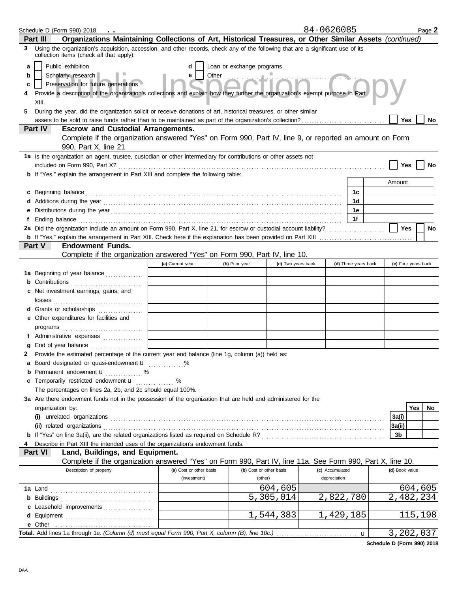|    |                  | Schedule D (Form 990) 2018<br>$\ddot{\phantom{0}}$                                                                                                                                                                            |                         |                                    |                    | 84-0626085                      |                      |              |                     |     | Page 2    |
|----|------------------|-------------------------------------------------------------------------------------------------------------------------------------------------------------------------------------------------------------------------------|-------------------------|------------------------------------|--------------------|---------------------------------|----------------------|--------------|---------------------|-----|-----------|
|    | Part III         | Organizations Maintaining Collections of Art, Historical Treasures, or Other Similar Assets (continued)                                                                                                                       |                         |                                    |                    |                                 |                      |              |                     |     |           |
| 3. |                  | Using the organization's acquisition, accession, and other records, check any of the following that are a significant use of its<br>collection items (check all that apply):                                                  |                         |                                    |                    |                                 |                      |              |                     |     |           |
| a  |                  | Public exhibition                                                                                                                                                                                                             | d                       | Loan or exchange programs          |                    |                                 |                      |              |                     |     |           |
| b  |                  | Scholarly research                                                                                                                                                                                                            | e                       |                                    |                    |                                 |                      |              |                     |     |           |
| c  |                  | Preservation for future generations                                                                                                                                                                                           |                         |                                    |                    |                                 |                      |              |                     |     |           |
|    | XIII.            | Provide a description of the organization's collections and explain how they further the organization's exempt purpose in Part                                                                                                |                         |                                    |                    |                                 |                      |              |                     |     |           |
| 5  |                  | During the year, did the organization solicit or receive donations of art, historical treasures, or other similar                                                                                                             |                         |                                    |                    |                                 |                      |              |                     |     |           |
|    |                  |                                                                                                                                                                                                                               |                         |                                    |                    |                                 |                      |              | Yes                 |     | No        |
|    | Part IV          | <b>Escrow and Custodial Arrangements.</b>                                                                                                                                                                                     |                         |                                    |                    |                                 |                      |              |                     |     |           |
|    |                  | Complete if the organization answered "Yes" on Form 990, Part IV, line 9, or reported an amount on Form<br>990, Part X, line 21.                                                                                              |                         |                                    |                    |                                 |                      |              |                     |     |           |
|    |                  | 1a Is the organization an agent, trustee, custodian or other intermediary for contributions or other assets not                                                                                                               |                         |                                    |                    |                                 |                      |              |                     |     |           |
|    |                  |                                                                                                                                                                                                                               |                         |                                    |                    |                                 |                      |              | Yes                 |     |           |
|    |                  | <b>b</b> If "Yes," explain the arrangement in Part XIII and complete the following table:                                                                                                                                     |                         |                                    |                    |                                 |                      |              |                     |     |           |
|    |                  |                                                                                                                                                                                                                               |                         |                                    |                    |                                 |                      |              | Amount              |     |           |
| c  |                  | Beginning balance                                                                                                                                                                                                             |                         |                                    |                    |                                 | 1c                   |              |                     |     |           |
|    |                  | Additions during the year contains and all the year contained and all the year contains a set of the year contains and all the year contains a set of the year contains a set of the year of the year of the year of the year |                         |                                    |                    |                                 | 1 <sub>d</sub>       |              |                     |     |           |
|    |                  |                                                                                                                                                                                                                               |                         |                                    |                    |                                 | 1e                   |              |                     |     |           |
|    |                  |                                                                                                                                                                                                                               |                         |                                    |                    |                                 | 1f                   |              |                     |     |           |
|    |                  |                                                                                                                                                                                                                               |                         |                                    |                    |                                 |                      |              | <b>Yes</b>          |     | <b>No</b> |
|    |                  | <b>Endowment Funds.</b>                                                                                                                                                                                                       |                         |                                    |                    |                                 |                      |              |                     |     |           |
|    | Part V           | Complete if the organization answered "Yes" on Form 990, Part IV, line 10.                                                                                                                                                    |                         |                                    |                    |                                 |                      |              |                     |     |           |
|    |                  |                                                                                                                                                                                                                               | (a) Current year        | (b) Prior year                     | (c) Two years back |                                 | (d) Three years back |              | (e) Four years back |     |           |
|    |                  | 1a Beginning of year balance                                                                                                                                                                                                  |                         |                                    |                    |                                 |                      |              |                     |     |           |
|    |                  | Contributions <b>Contributions</b>                                                                                                                                                                                            |                         |                                    |                    |                                 |                      |              |                     |     |           |
| c  |                  | Net investment earnings, gains, and                                                                                                                                                                                           |                         |                                    |                    |                                 |                      |              |                     |     |           |
|    |                  |                                                                                                                                                                                                                               |                         |                                    |                    |                                 |                      |              |                     |     |           |
|    |                  | d Grants or scholarships                                                                                                                                                                                                      |                         |                                    |                    |                                 |                      |              |                     |     |           |
| е  |                  | Other expenditures for facilities and                                                                                                                                                                                         |                         |                                    |                    |                                 |                      |              |                     |     |           |
|    |                  |                                                                                                                                                                                                                               |                         |                                    |                    |                                 |                      |              |                     |     |           |
|    |                  | f Administrative expenses                                                                                                                                                                                                     |                         |                                    |                    |                                 |                      |              |                     |     |           |
|    |                  |                                                                                                                                                                                                                               |                         |                                    |                    |                                 |                      |              |                     |     |           |
|    |                  | 2 Provide the estimated percentage of the current year end balance (line 1g, column (a)) held as:                                                                                                                             |                         |                                    |                    |                                 |                      |              |                     |     |           |
|    |                  | a Board designated or quasi-endowment u                                                                                                                                                                                       |                         |                                    |                    |                                 |                      |              |                     |     |           |
|    |                  | <b>b</b> Permanent endowment <b>u</b> %                                                                                                                                                                                       |                         |                                    |                    |                                 |                      |              |                     |     |           |
| c  |                  | Temporarily restricted endowment u                                                                                                                                                                                            | %<br><u>.</u>           |                                    |                    |                                 |                      |              |                     |     |           |
|    |                  | The percentages on lines 2a, 2b, and 2c should equal 100%.                                                                                                                                                                    |                         |                                    |                    |                                 |                      |              |                     |     |           |
|    |                  | 3a Are there endowment funds not in the possession of the organization that are held and administered for the                                                                                                                 |                         |                                    |                    |                                 |                      |              |                     |     |           |
|    | organization by: |                                                                                                                                                                                                                               |                         |                                    |                    |                                 |                      |              |                     | Yes | No        |
|    |                  |                                                                                                                                                                                                                               |                         |                                    |                    |                                 |                      |              | 3a(i)               |     |           |
|    |                  |                                                                                                                                                                                                                               |                         |                                    |                    |                                 |                      |              | 3a(ii)              |     |           |
|    |                  |                                                                                                                                                                                                                               |                         |                                    |                    |                                 |                      |              | 3b                  |     |           |
|    |                  | Describe in Part XIII the intended uses of the organization's endowment funds.                                                                                                                                                |                         |                                    |                    |                                 |                      |              |                     |     |           |
|    | Part VI          | Land, Buildings, and Equipment.                                                                                                                                                                                               |                         |                                    |                    |                                 |                      |              |                     |     |           |
|    |                  | Complete if the organization answered "Yes" on Form 990, Part IV, line 11a. See Form 990, Part X, line 10.<br>Description of property                                                                                         | (a) Cost or other basis |                                    |                    |                                 |                      |              | (d) Book value      |     |           |
|    |                  |                                                                                                                                                                                                                               | (investment)            | (b) Cost or other basis<br>(other) |                    | (c) Accumulated<br>depreciation |                      |              |                     |     |           |
|    |                  |                                                                                                                                                                                                                               |                         |                                    | 604,605            |                                 |                      |              |                     |     | 604,605   |
|    |                  |                                                                                                                                                                                                                               |                         |                                    | 5,305,014          | 2,822,780                       |                      |              | 2,482,234           |     |           |
|    |                  | c Leasehold improvements                                                                                                                                                                                                      |                         |                                    |                    |                                 |                      |              |                     |     |           |
|    |                  |                                                                                                                                                                                                                               |                         |                                    | 1,544,383          | 1,429,185                       |                      |              |                     |     | 115,198   |
|    | e Other          |                                                                                                                                                                                                                               |                         |                                    |                    |                                 |                      |              |                     |     |           |
|    |                  | Total. Add lines 1a through 1e. (Column (d) must equal Form 990, Part X, column (B), line 10c.)                                                                                                                               |                         |                                    |                    |                                 |                      | $\mathbf{u}$ | 3,202,037           |     |           |

**Schedule D (Form 990) 2018**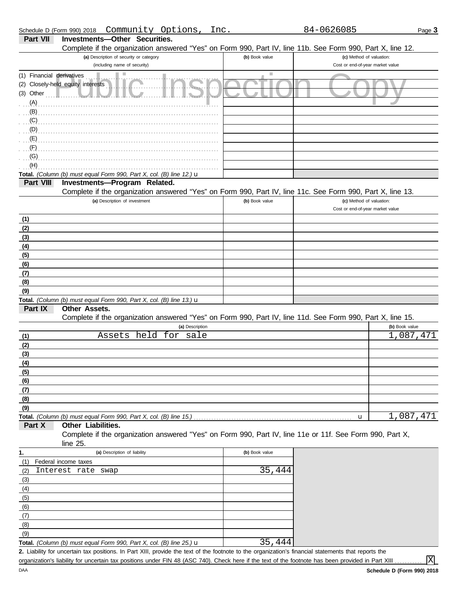|  | Schedule D (Form 990) 2018 |  |  | Community Options, | Inc. |
|--|----------------------------|--|--|--------------------|------|
|  |                            |  |  |                    |      |

|--|--|

| Part VII                               | <b>Investments-Other Securities.</b><br>Complete if the organization answered "Yes" on Form 990, Part IV, line 11b. See Form 990, Part X, line 12. |                |                                  |                |
|----------------------------------------|----------------------------------------------------------------------------------------------------------------------------------------------------|----------------|----------------------------------|----------------|
|                                        | (a) Description of security or category                                                                                                            | (b) Book value | (c) Method of valuation:         |                |
|                                        | (including name of security)                                                                                                                       |                | Cost or end-of-year market value |                |
| (1) Financial derivatives<br>(3) Other | (2) Closely-held equity interests<br>$\mathcal{L}_{\text{max}}$                                                                                    | <b>College</b> |                                  |                |
| (A)                                    |                                                                                                                                                    |                |                                  |                |
| (B)                                    |                                                                                                                                                    |                |                                  |                |
| (C)                                    |                                                                                                                                                    |                |                                  |                |
| (D)                                    |                                                                                                                                                    |                |                                  |                |
| (E)                                    |                                                                                                                                                    |                |                                  |                |
| (F)<br>(G)                             |                                                                                                                                                    |                |                                  |                |
| (H)                                    |                                                                                                                                                    |                |                                  |                |
|                                        | Total. (Column (b) must equal Form 990, Part X, col. (B) line 12.) u                                                                               |                |                                  |                |
| Part VIII                              | Investments-Program Related.                                                                                                                       |                |                                  |                |
|                                        | Complete if the organization answered "Yes" on Form 990, Part IV, line 11c. See Form 990, Part X, line 13.                                         |                |                                  |                |
|                                        | (a) Description of investment                                                                                                                      | (b) Book value | (c) Method of valuation:         |                |
|                                        |                                                                                                                                                    |                | Cost or end-of-year market value |                |
| (1)                                    |                                                                                                                                                    |                |                                  |                |
| (2)                                    |                                                                                                                                                    |                |                                  |                |
| (3)                                    |                                                                                                                                                    |                |                                  |                |
| (4)                                    |                                                                                                                                                    |                |                                  |                |
| (5)                                    |                                                                                                                                                    |                |                                  |                |
| (6)<br>(7)                             |                                                                                                                                                    |                |                                  |                |
| (8)                                    |                                                                                                                                                    |                |                                  |                |
| (9)                                    |                                                                                                                                                    |                |                                  |                |
|                                        | Total. (Column (b) must equal Form 990, Part X, col. (B) line 13.) $\mathbf u$                                                                     |                |                                  |                |
| Part IX                                | Other Assets.                                                                                                                                      |                |                                  |                |
|                                        | Complete if the organization answered "Yes" on Form 990, Part IV, line 11d. See Form 990, Part X, line 15.                                         |                |                                  |                |
|                                        | (a) Description                                                                                                                                    |                |                                  | (b) Book value |
| (1)                                    | Assets held for sale                                                                                                                               |                |                                  | 1,087,471      |
| (2)                                    |                                                                                                                                                    |                |                                  |                |
| (3)                                    |                                                                                                                                                    |                |                                  |                |
| (4)<br>(5)                             |                                                                                                                                                    |                |                                  |                |
| (6)                                    |                                                                                                                                                    |                |                                  |                |
| (7)                                    |                                                                                                                                                    |                |                                  |                |
| (8)                                    |                                                                                                                                                    |                |                                  |                |
| (9)                                    |                                                                                                                                                    |                |                                  |                |
|                                        | Total. (Column (b) must equal Form 990, Part X, col. (B) line 15.)                                                                                 |                | u                                | 1,087,471      |
| Part X                                 | Other Liabilities.                                                                                                                                 |                |                                  |                |
|                                        | Complete if the organization answered "Yes" on Form 990, Part IV, line 11e or 11f. See Form 990, Part X,                                           |                |                                  |                |
|                                        | line 25.                                                                                                                                           |                |                                  |                |
| 1.                                     | (a) Description of liability                                                                                                                       | (b) Book value |                                  |                |
| (1)                                    | Federal income taxes<br>Interest rate                                                                                                              | 35,444         |                                  |                |
| (2)<br>(3)                             | swap                                                                                                                                               |                |                                  |                |
| (4)                                    |                                                                                                                                                    |                |                                  |                |
| (5)                                    |                                                                                                                                                    |                |                                  |                |
| (6)                                    |                                                                                                                                                    |                |                                  |                |
| (7)                                    |                                                                                                                                                    |                |                                  |                |
| (8)                                    |                                                                                                                                                    |                |                                  |                |
| (9)                                    |                                                                                                                                                    |                |                                  |                |
|                                        | Total. (Column (b) must equal Form 990, Part X, col. (B) line 25.) u                                                                               | 35,444         |                                  |                |

Liability for uncertain tax positions. In Part XIII, provide the text of the footnote to the organization's financial statements that reports the **2.** organization's liability for uncertain tax positions under FIN 48 (ASC 740). Check here if the text of the footnote has been provided in Part XIII

X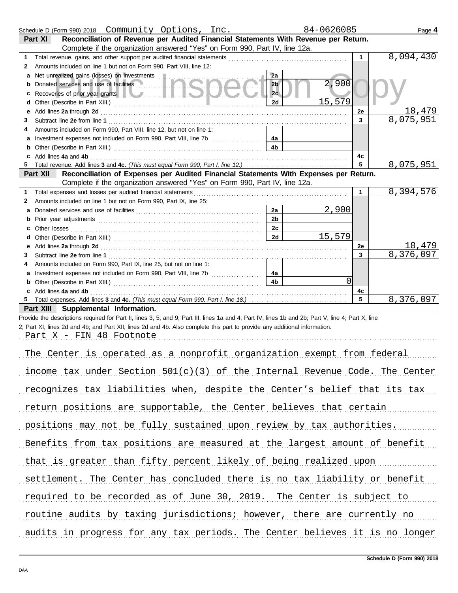|   | Schedule D (Form 990) 2018  Community Options, Inc.                                                                                                                                                                           | 84-0626085                       |              | Page 4                 |
|---|-------------------------------------------------------------------------------------------------------------------------------------------------------------------------------------------------------------------------------|----------------------------------|--------------|------------------------|
|   | Reconciliation of Revenue per Audited Financial Statements With Revenue per Return.<br>Part XI                                                                                                                                |                                  |              |                        |
|   | Complete if the organization answered "Yes" on Form 990, Part IV, line 12a.                                                                                                                                                   |                                  |              |                        |
| 1 | Total revenue, gains, and other support per audited financial statements [11] [11] Total revenue controlled that the support of the support of the support of the support of the support of the support of the support of the |                                  | $\mathbf{1}$ | $\overline{8,094,430}$ |
| 2 | Amounts included on line 1 but not on Form 990, Part VIII, line 12:                                                                                                                                                           |                                  |              |                        |
| a | Net unrealized gains (losses) on investments                                                                                                                                                                                  | 2a                               |              |                        |
| b | Donated services and use of facilities                                                                                                                                                                                        | 2,900<br>2 <sub>b</sub>          |              |                        |
| с | Recoveries of prior year grants <b>the contract of the contract of prior</b>                                                                                                                                                  | 2c                               |              |                        |
| d |                                                                                                                                                                                                                               | 15,579<br>2d                     |              |                        |
| е | Add lines 2a through 2d [11] Add [12] Add [12] Add lines 2a through 2d [12] Add lines 2a through 2d [12] Add [12] Add [12] Add [12] Add [12] Add [12] Add [12] Add [12] Add [12] Add [12] Add [12] Add [12] Add [12] Add [12] |                                  | 2e           | 18,479                 |
| З |                                                                                                                                                                                                                               |                                  | 3            | 8,075,951              |
| 4 | Amounts included on Form 990, Part VIII, line 12, but not on line 1:                                                                                                                                                          |                                  |              |                        |
| а | Investment expenses not included on Form 990, Part VIII, line 7b [                                                                                                                                                            | 4a                               |              |                        |
| b |                                                                                                                                                                                                                               | 4b                               |              |                        |
|   | Add lines 4a and 4b                                                                                                                                                                                                           |                                  | 4с           |                        |
|   |                                                                                                                                                                                                                               |                                  | 5            | 8,075,951              |
|   | Reconciliation of Expenses per Audited Financial Statements With Expenses per Return.<br>Part XII                                                                                                                             |                                  |              |                        |
|   | Complete if the organization answered "Yes" on Form 990, Part IV, line 12a.                                                                                                                                                   |                                  |              |                        |
| 1 | Total expenses and losses per audited financial statements                                                                                                                                                                    |                                  | $\mathbf 1$  | 8,394,576              |
| 2 | Amounts included on line 1 but not on Form 990, Part IX, line 25:                                                                                                                                                             |                                  |              |                        |
| a |                                                                                                                                                                                                                               | 2,900<br>2a                      |              |                        |
| b |                                                                                                                                                                                                                               | 2 <sub>b</sub>                   |              |                        |
| c | Other losses                                                                                                                                                                                                                  | 2c                               |              |                        |
| d |                                                                                                                                                                                                                               | 15,579<br>2d                     |              |                        |
| е |                                                                                                                                                                                                                               |                                  | 2e           | 18,479                 |
| З |                                                                                                                                                                                                                               |                                  | 3            | 8,376,097              |
|   | Amounts included on Form 990, Part IX, line 25, but not on line 1:                                                                                                                                                            |                                  |              |                        |
| a |                                                                                                                                                                                                                               | 4a                               |              |                        |
| b |                                                                                                                                                                                                                               | $\overline{0}$<br>4 <sub>b</sub> |              |                        |
| C | Add lines 4a and 4b                                                                                                                                                                                                           |                                  | 4c           |                        |
|   |                                                                                                                                                                                                                               |                                  | 5            | 8,376,097              |
|   | Part XIII Supplemental Information.                                                                                                                                                                                           |                                  |              |                        |
|   | Provide the descriptions required for Part II, lines 3, 5, and 9; Part III, lines 1a and 4; Part IV, lines 1b and 2b; Part V, line 4; Part X, line                                                                            |                                  |              |                        |
|   | 2; Part XI, lines 2d and 4b; and Part XII, lines 2d and 4b. Also complete this part to provide any additional information.                                                                                                    |                                  |              |                        |
|   | Part X - FIN 48 Footnote                                                                                                                                                                                                      |                                  |              |                        |
|   |                                                                                                                                                                                                                               |                                  |              |                        |
|   | The Center is operated as a nonprofit organization exempt from federal                                                                                                                                                        |                                  |              |                        |
|   | income tax under Section $501(c)(3)$ of the Internal Revenue Code. The Center                                                                                                                                                 |                                  |              |                        |
|   | recognizes tax liabilities when, despite the Center's belief that its tax                                                                                                                                                     |                                  |              |                        |
|   | return positions are supportable, the Center believes that certain                                                                                                                                                            |                                  |              |                        |
|   | positions may not be fully sustained upon review by tax authorities.                                                                                                                                                          |                                  |              |                        |
|   | Benefits from tax positions are measured at the largest amount of benefit                                                                                                                                                     |                                  |              |                        |
|   | that is greater than fifty percent likely of being realized upon                                                                                                                                                              |                                  |              |                        |

required to be recorded as of June 30, 2019. The Center is subject to

routine audits by taxing jurisdictions; however, there are currently no

audits in progress for any tax periods. The Center believes it is no longer

settlement. The Center has concluded there is no tax liability or benefit

**Schedule D (Form 990) 2018**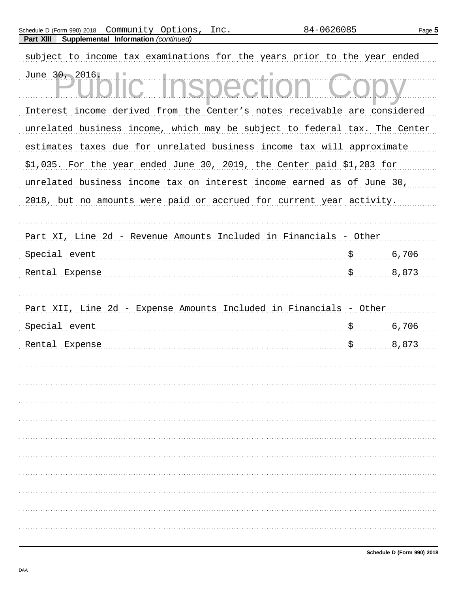| subject to income tax examinations for the years prior to the year ended   |    |       |  |  |  |  |  |  |  |
|----------------------------------------------------------------------------|----|-------|--|--|--|--|--|--|--|
| June 30, 2016.                                                             |    |       |  |  |  |  |  |  |  |
| Interest income derived from the Center's notes receivable are considered  |    |       |  |  |  |  |  |  |  |
| unrelated business income, which may be subject to federal tax. The Center |    |       |  |  |  |  |  |  |  |
| estimates taxes due for unrelated business income tax will approximate     |    |       |  |  |  |  |  |  |  |
| \$1,035. For the year ended June 30, 2019, the Center paid \$1,283 for     |    |       |  |  |  |  |  |  |  |
| unrelated business income tax on interest income earned as of June 30,     |    |       |  |  |  |  |  |  |  |
| 2018, but no amounts were paid or accrued for current year activity.       |    |       |  |  |  |  |  |  |  |
|                                                                            |    |       |  |  |  |  |  |  |  |
| Part XI, Line 2d - Revenue Amounts Included in Financials - Other          |    |       |  |  |  |  |  |  |  |
| Special event                                                              | \$ | 6,706 |  |  |  |  |  |  |  |
| Rental Expense                                                             |    | 8,873 |  |  |  |  |  |  |  |
|                                                                            |    |       |  |  |  |  |  |  |  |
| Part XII, Line 2d - Expense Amounts Included in Financials - Other         |    |       |  |  |  |  |  |  |  |
| Special event                                                              | \$ | 6,706 |  |  |  |  |  |  |  |
| Rental Expense                                                             |    | 8,873 |  |  |  |  |  |  |  |
|                                                                            |    |       |  |  |  |  |  |  |  |
|                                                                            |    |       |  |  |  |  |  |  |  |
|                                                                            |    |       |  |  |  |  |  |  |  |
|                                                                            |    |       |  |  |  |  |  |  |  |
|                                                                            |    |       |  |  |  |  |  |  |  |
|                                                                            |    |       |  |  |  |  |  |  |  |
|                                                                            |    |       |  |  |  |  |  |  |  |
|                                                                            |    |       |  |  |  |  |  |  |  |
|                                                                            |    |       |  |  |  |  |  |  |  |
|                                                                            |    |       |  |  |  |  |  |  |  |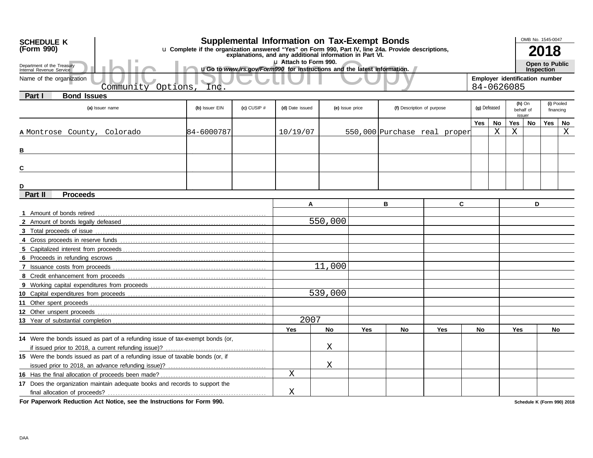| <b>SCHEDULE K</b>                                                                                                                                                             |                                                                                |                |                 | <b>Supplemental Information on Tax-Exempt Bonds</b>                     |                 |     |                            |                              |                                              |    |                     | OMB No. 1545-0047 |      |             |
|-------------------------------------------------------------------------------------------------------------------------------------------------------------------------------|--------------------------------------------------------------------------------|----------------|-----------------|-------------------------------------------------------------------------|-----------------|-----|----------------------------|------------------------------|----------------------------------------------|----|---------------------|-------------------|------|-------------|
| u Complete if the organization answered "Yes" on Form 990, Part IV, line 24a. Provide descriptions,<br>(Form 990)<br>explanations, and any additional information in Part VI. |                                                                                |                |                 |                                                                         |                 |     |                            |                              |                                              |    |                     |                   | 2018 |             |
| Department of the Treasury                                                                                                                                                    |                                                                                |                |                 | 11 Attach to Form 990.                                                  |                 |     |                            |                              |                                              |    |                     | Open to Public    |      |             |
| Internal Revenue Service                                                                                                                                                      |                                                                                |                |                 | uGo to www.irs.gov/Form990 for instructions and the latest information. |                 |     |                            |                              |                                              |    | <b>Inspection</b>   |                   |      |             |
| Name of the organization                                                                                                                                                      | Options<br>Community                                                           | Inc            |                 |                                                                         |                 |     |                            |                              | Employer identification number<br>84-0626085 |    |                     |                   |      |             |
| <b>Bond Issues</b><br>Part I                                                                                                                                                  |                                                                                |                |                 |                                                                         |                 |     |                            |                              |                                              |    |                     |                   |      |             |
|                                                                                                                                                                               | (a) Issuer name                                                                | (b) Issuer EIN | $(c)$ CUSIP $#$ | (d) Date issued                                                         | (e) Issue price |     | (f) Description of purpose |                              | (g) Defeased                                 |    | $(h)$ On            |                   |      | (i) Pooled  |
|                                                                                                                                                                               |                                                                                |                |                 |                                                                         |                 |     |                            |                              |                                              |    | behalf of<br>issuer |                   |      | financing   |
|                                                                                                                                                                               |                                                                                |                |                 |                                                                         |                 |     |                            |                              | <b>Yes</b>                                   | No | Yes                 | No                | Yes  | No          |
| A Montrose County,                                                                                                                                                            | Colorado                                                                       | 184-6000787    |                 | 10/19/07                                                                |                 |     |                            | 550,000 Purchase real proper |                                              | X  | X                   |                   |      | $\mathbf X$ |
|                                                                                                                                                                               |                                                                                |                |                 |                                                                         |                 |     |                            |                              |                                              |    |                     |                   |      |             |
| в                                                                                                                                                                             |                                                                                |                |                 |                                                                         |                 |     |                            |                              |                                              |    |                     |                   |      |             |
| С                                                                                                                                                                             |                                                                                |                |                 |                                                                         |                 |     |                            |                              |                                              |    |                     |                   |      |             |
|                                                                                                                                                                               |                                                                                |                |                 |                                                                         |                 |     |                            |                              |                                              |    |                     |                   |      |             |
| D                                                                                                                                                                             |                                                                                |                |                 |                                                                         |                 |     |                            |                              |                                              |    |                     |                   |      |             |
| Part II<br><b>Proceeds</b>                                                                                                                                                    |                                                                                |                |                 |                                                                         |                 |     |                            |                              |                                              |    |                     |                   |      |             |
|                                                                                                                                                                               |                                                                                |                |                 | A                                                                       |                 |     | в                          | C                            |                                              |    |                     | D                 |      |             |
|                                                                                                                                                                               |                                                                                |                |                 |                                                                         |                 |     |                            |                              |                                              |    |                     |                   |      |             |
|                                                                                                                                                                               |                                                                                |                |                 |                                                                         | 550,000         |     |                            |                              |                                              |    |                     |                   |      |             |
|                                                                                                                                                                               |                                                                                |                |                 |                                                                         |                 |     |                            |                              |                                              |    |                     |                   |      |             |
|                                                                                                                                                                               |                                                                                |                |                 |                                                                         |                 |     |                            |                              |                                              |    |                     |                   |      |             |
|                                                                                                                                                                               |                                                                                |                |                 |                                                                         |                 |     |                            |                              |                                              |    |                     |                   |      |             |
|                                                                                                                                                                               |                                                                                |                |                 |                                                                         |                 |     |                            |                              |                                              |    |                     |                   |      |             |
|                                                                                                                                                                               |                                                                                |                |                 |                                                                         | 11,000          |     |                            |                              |                                              |    |                     |                   |      |             |
|                                                                                                                                                                               |                                                                                |                |                 |                                                                         |                 |     |                            |                              |                                              |    |                     |                   |      |             |
|                                                                                                                                                                               |                                                                                |                |                 |                                                                         |                 |     |                            |                              |                                              |    |                     |                   |      |             |
|                                                                                                                                                                               |                                                                                |                |                 |                                                                         | 539,000         |     |                            |                              |                                              |    |                     |                   |      |             |
|                                                                                                                                                                               |                                                                                |                |                 |                                                                         |                 |     |                            |                              |                                              |    |                     |                   |      |             |
|                                                                                                                                                                               |                                                                                |                |                 |                                                                         |                 |     |                            |                              |                                              |    |                     |                   |      |             |
|                                                                                                                                                                               |                                                                                |                |                 | 2007                                                                    |                 |     |                            |                              |                                              |    |                     |                   |      |             |
|                                                                                                                                                                               |                                                                                |                |                 | Yes                                                                     | <b>No</b>       | Yes | No                         | Yes                          | No                                           |    | <b>Yes</b>          |                   |      | No          |
|                                                                                                                                                                               | 14 Were the bonds issued as part of a refunding issue of tax-exempt bonds (or, |                |                 |                                                                         |                 |     |                            |                              |                                              |    |                     |                   |      |             |
|                                                                                                                                                                               |                                                                                |                |                 |                                                                         | Χ               |     |                            |                              |                                              |    |                     |                   |      |             |
|                                                                                                                                                                               | 15 Were the bonds issued as part of a refunding issue of taxable bonds (or, if |                |                 |                                                                         |                 |     |                            |                              |                                              |    |                     |                   |      |             |
|                                                                                                                                                                               |                                                                                | Χ              |                 |                                                                         |                 |     |                            |                              |                                              |    |                     |                   |      |             |
|                                                                                                                                                                               |                                                                                |                |                 | Χ                                                                       |                 |     |                            |                              |                                              |    |                     |                   |      |             |
|                                                                                                                                                                               | 17 Does the organization maintain adequate books and records to support the    |                |                 | X                                                                       |                 |     |                            |                              |                                              |    |                     |                   |      |             |
|                                                                                                                                                                               |                                                                                |                |                 |                                                                         |                 |     |                            |                              |                                              |    |                     |                   |      |             |

**For Paperwork Reduction Act Notice, see the Instructions for Form 990.**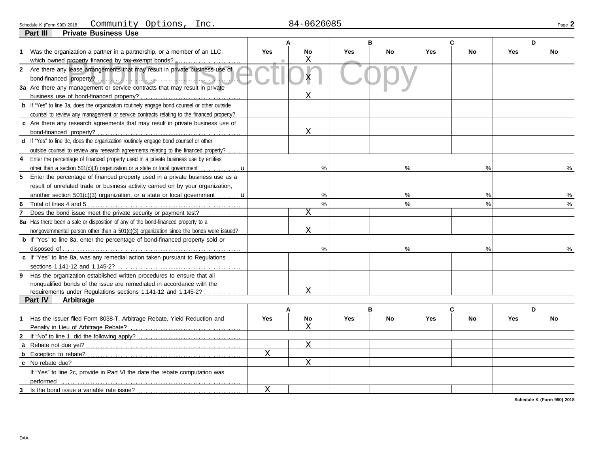#### Schedule K (Form 990) 2018 COMMUNity Options, Inc. 2014 10626085 Community Options, Inc. 84-0626085

|    | <b>Private Business Use</b><br>Part III                                                                                                         |             |              |            |               |            |               |            |           |
|----|-------------------------------------------------------------------------------------------------------------------------------------------------|-------------|--------------|------------|---------------|------------|---------------|------------|-----------|
|    |                                                                                                                                                 |             | A            |            | в             | C          |               |            | D         |
|    | 1 Was the organization a partner in a partnership, or a member of an LLC,                                                                       | <b>Yes</b>  | <b>No</b>    | <b>Yes</b> | No            | <b>Yes</b> | No            | <b>Yes</b> | <b>No</b> |
|    | which owned property financed by tax-exempt bonds?                                                                                              |             | X            |            |               |            |               |            |           |
|    | 2 Are there any lease arrangements that may result in private business use of<br>bond-financed property?                                        |             | X.           |            |               |            |               |            |           |
|    | 3a Are there any management or service contracts that may result in private                                                                     |             | Χ            |            |               |            |               |            |           |
|    | <b>b</b> If "Yes" to line 3a, does the organization routinely engage bond counsel or other outside                                              |             |              |            |               |            |               |            |           |
|    | counsel to review any management or service contracts relating to the financed property?                                                        |             |              |            |               |            |               |            |           |
|    | c Are there any research agreements that may result in private business use of                                                                  |             | $\mathbf X$  |            |               |            |               |            |           |
|    | d If "Yes" to line 3c, does the organization routinely engage bond counsel or other                                                             |             |              |            |               |            |               |            |           |
|    | outside counsel to review any research agreements relating to the financed property?                                                            |             |              |            |               |            |               |            |           |
| 4  | Enter the percentage of financed property used in a private business use by entities                                                            |             |              |            |               |            |               |            |           |
|    | other than a section 501(c)(3) organization or a state or local government $\ldots$                                                             |             | %            |            | $\frac{0}{0}$ |            |               |            | $\%$      |
| 5. | Enter the percentage of financed property used in a private business use as a                                                                   |             |              |            |               |            |               |            |           |
|    | result of unrelated trade or business activity carried on by your organization,                                                                 |             |              |            |               |            |               |            |           |
|    | another section 501(c)(3) organization, or a state or local government $\mathbf{u}$                                                             |             | %            |            | %             |            | %             |            | %         |
| 6  |                                                                                                                                                 |             | $\%$         |            | %             |            | $\frac{0}{0}$ |            | %         |
|    | Does the bond issue meet the private security or payment test?                                                                                  |             | X            |            |               |            |               |            |           |
|    | 8a Has there been a sale or disposition of any of the bond-financed property to a                                                               |             |              |            |               |            |               |            |           |
|    | nongovernmental person other than a 501(c)(3) organization since the bonds were issued?                                                         |             | X            |            |               |            |               |            |           |
|    | <b>b</b> If "Yes" to line 8a, enter the percentage of bond-financed property sold or                                                            |             |              |            |               |            |               |            |           |
|    |                                                                                                                                                 |             | %            |            | $\%$          |            |               |            |           |
|    | c If "Yes" to line 8a, was any remedial action taken pursuant to Regulations                                                                    |             |              |            |               |            |               |            |           |
| 9  | Has the organization established written procedures to ensure that all<br>nonqualified bonds of the issue are remediated in accordance with the |             |              |            |               |            |               |            |           |
|    | requirements under Regulations sections 1.141-12 and 1.145-2?                                                                                   |             | Χ            |            |               |            |               |            |           |
|    | <b>Part IV</b><br>Arbitrage                                                                                                                     |             |              |            |               |            |               |            |           |
|    |                                                                                                                                                 |             |              |            | B             |            | C             |            | D         |
| 1  | Has the issuer filed Form 8038-T, Arbitrage Rebate, Yield Reduction and                                                                         | <b>Yes</b>  | No           | <b>Yes</b> | <b>No</b>     | <b>Yes</b> | <b>No</b>     | Yes        | No        |
|    |                                                                                                                                                 |             | $\mathbf{X}$ |            |               |            |               |            |           |
| 2  |                                                                                                                                                 |             |              |            |               |            |               |            |           |
|    |                                                                                                                                                 |             | $\mathbf X$  |            |               |            |               |            |           |
|    |                                                                                                                                                 | $\mathbf X$ |              |            |               |            |               |            |           |
|    | c No rebate due?                                                                                                                                |             | $\mathbf X$  |            |               |            |               |            |           |
|    | If "Yes" to line 2c, provide in Part VI the date the rebate computation was<br>performed                                                        |             |              |            |               |            |               |            |           |
|    |                                                                                                                                                 | X           |              |            |               |            |               |            |           |
|    |                                                                                                                                                 |             |              |            |               |            |               |            |           |

**Schedule K (Form 990) 2018**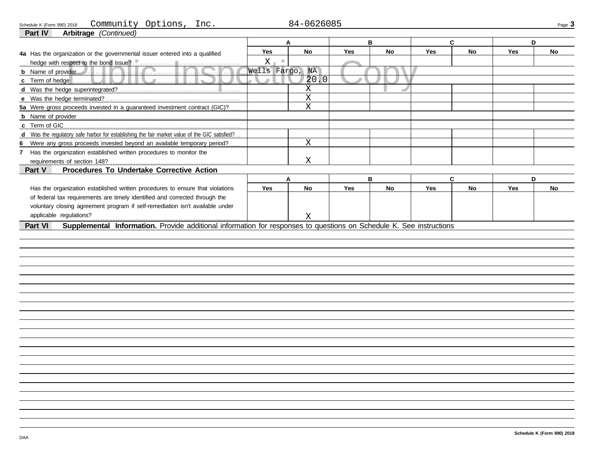| Schedule K (Form 990) 2018 | Communitv | Options | Inc. | 84-0626085 | Page <b>J</b> |
|----------------------------|-----------|---------|------|------------|---------------|
| .<br>___<br>----           |           |         |      |            |               |

| Arbitrage (Continued)<br>Part IV                                                                                               |                 |             |            |    |            |           |            |    |
|--------------------------------------------------------------------------------------------------------------------------------|-----------------|-------------|------------|----|------------|-----------|------------|----|
|                                                                                                                                |                 | A           |            | B  | C          |           | D          |    |
| 4a Has the organization or the governmental issuer entered into a qualified                                                    | <b>Yes</b>      | <b>No</b>   | <b>Yes</b> | No | <b>Yes</b> | No        | <b>Yes</b> | No |
|                                                                                                                                | $X -$           |             |            |    |            |           |            |    |
|                                                                                                                                | Wells Fargo, NA |             |            |    |            |           |            |    |
| <b>c</b> Term of hedge $\ldots \ldots \ldots \ldots \ldots \ldots$<br>.<br>$\mathbb{R}$                                        |                 | 20.0        |            |    |            |           |            |    |
|                                                                                                                                |                 | X           |            |    |            |           |            |    |
|                                                                                                                                |                 | $\mathbf X$ |            |    |            |           |            |    |
| 5a Were gross proceeds invested in a guaranteed investment contract (GIC)?                                                     |                 | $\mathbf X$ |            |    |            |           |            |    |
|                                                                                                                                |                 |             |            |    |            |           |            |    |
| c Term of GIC                                                                                                                  |                 |             |            |    |            |           |            |    |
| d Was the regulatory safe harbor for establishing the fair market value of the GIC satisfied?                                  |                 |             |            |    |            |           |            |    |
| Were any gross proceeds invested beyond an available temporary period?                                                         |                 | $\mathbf X$ |            |    |            |           |            |    |
| 7 Has the organization established written procedures to monitor the                                                           |                 |             |            |    |            |           |            |    |
|                                                                                                                                |                 | X           |            |    |            |           |            |    |
| <b>Procedures To Undertake Corrective Action</b><br>Part V                                                                     |                 |             |            |    |            |           |            |    |
|                                                                                                                                |                 | A           |            | B  | C          |           | D          |    |
| Has the organization established written procedures to ensure that violations                                                  | <b>Yes</b>      | <b>No</b>   | Yes        | No | <b>Yes</b> | <b>No</b> | <b>Yes</b> | No |
| of federal tax requirements are timely identified and corrected through the                                                    |                 |             |            |    |            |           |            |    |
| voluntary closing agreement program if self-remediation isn't available under                                                  |                 |             |            |    |            |           |            |    |
| applicable regulations?                                                                                                        |                 | $\mathbf X$ |            |    |            |           |            |    |
| Supplemental Information. Provide additional information for responses to questions on Schedule K. See instructions<br>Part VI |                 |             |            |    |            |           |            |    |
|                                                                                                                                |                 |             |            |    |            |           |            |    |
|                                                                                                                                |                 |             |            |    |            |           |            |    |
|                                                                                                                                |                 |             |            |    |            |           |            |    |
|                                                                                                                                |                 |             |            |    |            |           |            |    |
|                                                                                                                                |                 |             |            |    |            |           |            |    |
|                                                                                                                                |                 |             |            |    |            |           |            |    |
|                                                                                                                                |                 |             |            |    |            |           |            |    |
|                                                                                                                                |                 |             |            |    |            |           |            |    |
|                                                                                                                                |                 |             |            |    |            |           |            |    |
|                                                                                                                                |                 |             |            |    |            |           |            |    |
|                                                                                                                                |                 |             |            |    |            |           |            |    |
|                                                                                                                                |                 |             |            |    |            |           |            |    |
|                                                                                                                                |                 |             |            |    |            |           |            |    |
|                                                                                                                                |                 |             |            |    |            |           |            |    |
|                                                                                                                                |                 |             |            |    |            |           |            |    |
|                                                                                                                                |                 |             |            |    |            |           |            |    |
|                                                                                                                                |                 |             |            |    |            |           |            |    |
|                                                                                                                                |                 |             |            |    |            |           |            |    |
|                                                                                                                                |                 |             |            |    |            |           |            |    |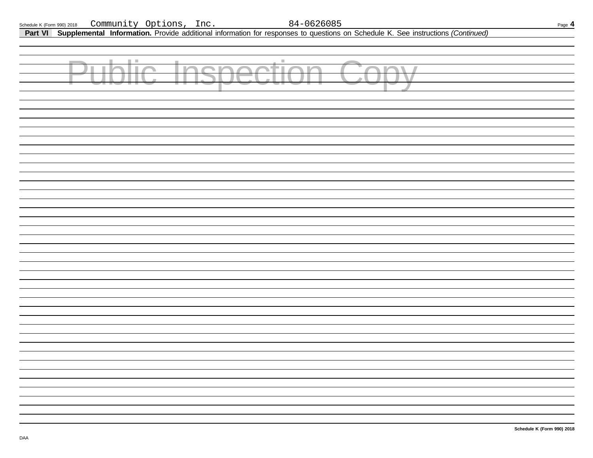| Schedule K (Form 990) 2018 | Community | Options, | Inc | 84-0626085 | $P_{\text{aqe}}$ 4 |
|----------------------------|-----------|----------|-----|------------|--------------------|
|                            |           |          |     |            |                    |

**Part VI Supplemental Information.** Provide additional information for responses to questions on Schedule K. See instructions *(Continued)*

| a s<br>m.<br><b>Contract</b><br>H. | $\mathbb{R}^d$<br>la m<br><b>TABLE</b><br>Z.<br><b>In the United</b> |  |
|------------------------------------|----------------------------------------------------------------------|--|
|                                    |                                                                      |  |
|                                    |                                                                      |  |
|                                    |                                                                      |  |
|                                    |                                                                      |  |
|                                    |                                                                      |  |
|                                    |                                                                      |  |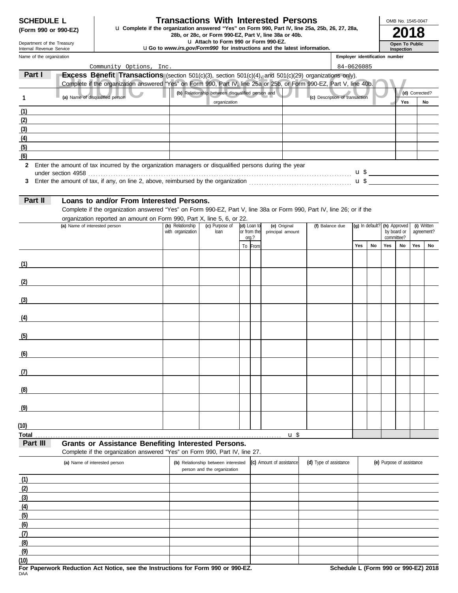| <b>SCHEDULE L</b>   |  |  |
|---------------------|--|--|
| (Form 990 or 990-E) |  |  |

## **Transactions With Interested Persons**

**(Form 990 or 990-EZ)** u Complete if the organization answered "Yes" on Form 990, Part IV, line 25a, 25b, 26, 27, 28a,<br>28b, or 28c, or Form 990-EZ, Part V, line 38a or 40b.<br>**2018** 

u **Attach to Form 990 or Form 990-EZ.**

u**Go to** *www.irs.gov/Form990* **for instructions and the latest information.**

Name of the organization Department of the Treasury Internal Revenue Service

**(6)**

**(7) (8) (9)**

**Inspection Employer identification** 

**Open To Public**

OMB No. 1545-0047

| indire or the organization |                                                                                                                                                                                                                                       |                   |                                                  |             |             |                          |                                | Employer luentification number |                 |     |                           |                |             |
|----------------------------|---------------------------------------------------------------------------------------------------------------------------------------------------------------------------------------------------------------------------------------|-------------------|--------------------------------------------------|-------------|-------------|--------------------------|--------------------------------|--------------------------------|-----------------|-----|---------------------------|----------------|-------------|
| Part I                     | Community Options, Inc.                                                                                                                                                                                                               |                   |                                                  |             |             |                          |                                | 84-0626085                     |                 |     |                           |                |             |
|                            | <b>Excess Benefit Transactions</b> (section 501(c)(3), section 501(c)(4), and 501(c)(29) organizations only).<br>Complete if the organization answered "Yes" on Form 990, Part IV, line 25a or 25b, or Form 990-EZ, Part V, line 40b. |                   |                                                  |             |             |                          |                                |                                |                 |     |                           |                |             |
|                            |                                                                                                                                                                                                                                       |                   | (b) Relationship between disqualified person and |             |             |                          |                                |                                |                 |     |                           | (d) Corrected? |             |
| $\mathbf{1}$               | (a) Name of disqualified person                                                                                                                                                                                                       |                   | organization                                     |             |             |                          | (c) Description of transaction |                                |                 |     | Yes                       |                | No          |
| (1)                        |                                                                                                                                                                                                                                       |                   |                                                  |             |             |                          |                                |                                |                 |     |                           |                |             |
| (2)                        |                                                                                                                                                                                                                                       |                   |                                                  |             |             |                          |                                |                                |                 |     |                           |                |             |
| (3)                        |                                                                                                                                                                                                                                       |                   |                                                  |             |             |                          |                                |                                |                 |     |                           |                |             |
| $\frac{4}{4}$              |                                                                                                                                                                                                                                       |                   |                                                  |             |             |                          |                                |                                |                 |     |                           |                |             |
| (5)                        |                                                                                                                                                                                                                                       |                   |                                                  |             |             |                          |                                |                                |                 |     |                           |                |             |
| (6)                        |                                                                                                                                                                                                                                       |                   |                                                  |             |             |                          |                                |                                |                 |     |                           |                |             |
| $\mathbf{2}$               | Enter the amount of tax incurred by the organization managers or disqualified persons during the year                                                                                                                                 |                   |                                                  |             |             |                          |                                |                                |                 |     |                           |                |             |
|                            |                                                                                                                                                                                                                                       |                   |                                                  |             |             |                          |                                |                                |                 |     |                           |                |             |
| 3                          |                                                                                                                                                                                                                                       |                   |                                                  |             |             |                          |                                |                                |                 |     |                           |                |             |
|                            |                                                                                                                                                                                                                                       |                   |                                                  |             |             |                          |                                |                                |                 |     |                           |                |             |
| Part II                    | Loans to and/or From Interested Persons.                                                                                                                                                                                              |                   |                                                  |             |             |                          |                                |                                |                 |     |                           |                |             |
|                            | Complete if the organization answered "Yes" on Form 990-EZ, Part V, line 38a or Form 990, Part IV, line 26; or if the                                                                                                                 |                   |                                                  |             |             |                          |                                |                                |                 |     |                           |                |             |
|                            | organization reported an amount on Form 990, Part X, line 5, 6, or 22.<br>(a) Name of interested person                                                                                                                               | (b) Relationship  | (c) Purpose of                                   | (d) Loan to |             | (e) Original             | (f) Balance due                |                                | (g) In default? |     | (h) Approved              |                | (i) Written |
|                            |                                                                                                                                                                                                                                       | with organization | loan                                             |             | or from the | principal amount         |                                |                                |                 |     | by board or               |                | agreement?  |
|                            |                                                                                                                                                                                                                                       |                   |                                                  | org.?       |             |                          |                                | Yes                            | No              | Yes | committee?<br>No          | Yes            | No          |
|                            |                                                                                                                                                                                                                                       |                   |                                                  |             | To From     |                          |                                |                                |                 |     |                           |                |             |
| (1)                        |                                                                                                                                                                                                                                       |                   |                                                  |             |             |                          |                                |                                |                 |     |                           |                |             |
|                            |                                                                                                                                                                                                                                       |                   |                                                  |             |             |                          |                                |                                |                 |     |                           |                |             |
| (2)                        | the contract of the contract of the contract of                                                                                                                                                                                       |                   |                                                  |             |             |                          |                                |                                |                 |     |                           |                |             |
|                            |                                                                                                                                                                                                                                       |                   |                                                  |             |             |                          |                                |                                |                 |     |                           |                |             |
| (3)                        |                                                                                                                                                                                                                                       |                   |                                                  |             |             |                          |                                |                                |                 |     |                           |                |             |
|                            |                                                                                                                                                                                                                                       |                   |                                                  |             |             |                          |                                |                                |                 |     |                           |                |             |
| (4)                        |                                                                                                                                                                                                                                       |                   |                                                  |             |             |                          |                                |                                |                 |     |                           |                |             |
|                            |                                                                                                                                                                                                                                       |                   |                                                  |             |             |                          |                                |                                |                 |     |                           |                |             |
| (5)                        |                                                                                                                                                                                                                                       |                   |                                                  |             |             |                          |                                |                                |                 |     |                           |                |             |
|                            |                                                                                                                                                                                                                                       |                   |                                                  |             |             |                          |                                |                                |                 |     |                           |                |             |
| (6)                        |                                                                                                                                                                                                                                       |                   |                                                  |             |             |                          |                                |                                |                 |     |                           |                |             |
|                            |                                                                                                                                                                                                                                       |                   |                                                  |             |             |                          |                                |                                |                 |     |                           |                |             |
| (7)                        |                                                                                                                                                                                                                                       |                   |                                                  |             |             |                          |                                |                                |                 |     |                           |                |             |
| (8)                        |                                                                                                                                                                                                                                       |                   |                                                  |             |             |                          |                                |                                |                 |     |                           |                |             |
|                            |                                                                                                                                                                                                                                       |                   |                                                  |             |             |                          |                                |                                |                 |     |                           |                |             |
| (9)                        |                                                                                                                                                                                                                                       |                   |                                                  |             |             |                          |                                |                                |                 |     |                           |                |             |
|                            |                                                                                                                                                                                                                                       |                   |                                                  |             |             |                          |                                |                                |                 |     |                           |                |             |
| (10)                       |                                                                                                                                                                                                                                       |                   |                                                  |             |             |                          |                                |                                |                 |     |                           |                |             |
| Total                      |                                                                                                                                                                                                                                       |                   |                                                  |             |             | $\mathbf{u}$             |                                |                                |                 |     |                           |                |             |
| Part III                   | <b>Grants or Assistance Benefiting Interested Persons.</b>                                                                                                                                                                            |                   |                                                  |             |             |                          |                                |                                |                 |     |                           |                |             |
|                            | Complete if the organization answered "Yes" on Form 990, Part IV, line 27.                                                                                                                                                            |                   |                                                  |             |             |                          |                                |                                |                 |     |                           |                |             |
|                            | (a) Name of interested person                                                                                                                                                                                                         |                   | (b) Relationship between interested              |             |             | (c) Amount of assistance | (d) Type of assistance         |                                |                 |     | (e) Purpose of assistance |                |             |
|                            |                                                                                                                                                                                                                                       |                   | person and the organization                      |             |             |                          |                                |                                |                 |     |                           |                |             |
| (1)                        |                                                                                                                                                                                                                                       |                   |                                                  |             |             |                          |                                |                                |                 |     |                           |                |             |
| (2)                        |                                                                                                                                                                                                                                       |                   |                                                  |             |             |                          |                                |                                |                 |     |                           |                |             |
| (3)                        |                                                                                                                                                                                                                                       |                   |                                                  |             |             |                          |                                |                                |                 |     |                           |                |             |
| (4)<br>(5)                 |                                                                                                                                                                                                                                       |                   |                                                  |             |             |                          |                                |                                |                 |     |                           |                |             |
|                            |                                                                                                                                                                                                                                       |                   |                                                  |             |             |                          |                                |                                |                 |     |                           |                |             |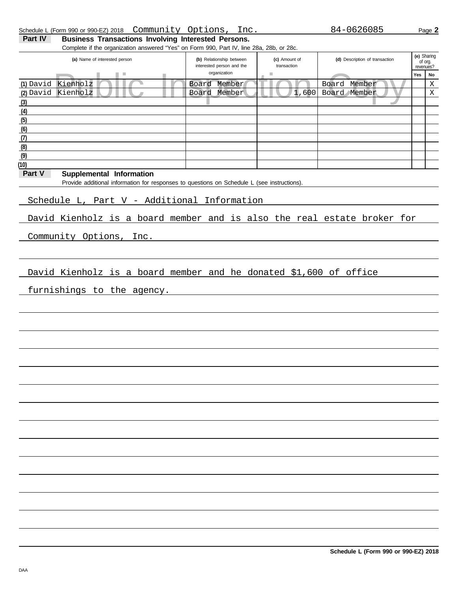|        |                    |                                                                                             |  | organization | $\mathcal{L}_{\mathcal{A}}$ |                                                                         | Yes | No          |
|--------|--------------------|---------------------------------------------------------------------------------------------|--|--------------|-----------------------------|-------------------------------------------------------------------------|-----|-------------|
|        | (1) David Kienholz |                                                                                             |  | Board Member |                             | Board Member                                                            |     | $\mathbf X$ |
|        | (2) David Kienholz |                                                                                             |  | Board Member |                             | 1,600 Board Member                                                      |     | X           |
| (3)    |                    |                                                                                             |  |              |                             |                                                                         |     |             |
| (4)    |                    |                                                                                             |  |              |                             |                                                                         |     |             |
| (5)    |                    |                                                                                             |  |              |                             |                                                                         |     |             |
| (6)    |                    |                                                                                             |  |              |                             |                                                                         |     |             |
| (7)    |                    |                                                                                             |  |              |                             |                                                                         |     |             |
| (8)    |                    |                                                                                             |  |              |                             |                                                                         |     |             |
| (9)    |                    |                                                                                             |  |              |                             |                                                                         |     |             |
| (10)   |                    |                                                                                             |  |              |                             |                                                                         |     |             |
| Part V |                    |                                                                                             |  |              |                             |                                                                         |     |             |
|        |                    | Supplemental Information                                                                    |  |              |                             |                                                                         |     |             |
|        |                    | Provide additional information for responses to questions on Schedule L (see instructions). |  |              |                             |                                                                         |     |             |
|        |                    |                                                                                             |  |              |                             |                                                                         |     |             |
|        |                    | Schedule L, Part V - Additional Information                                                 |  |              |                             |                                                                         |     |             |
|        |                    |                                                                                             |  |              |                             |                                                                         |     |             |
|        |                    |                                                                                             |  |              |                             | David Kienholz is a board member and is also the real estate broker for |     |             |
|        |                    |                                                                                             |  |              |                             |                                                                         |     |             |
|        |                    | Community Options, Inc.                                                                     |  |              |                             |                                                                         |     |             |
|        |                    |                                                                                             |  |              |                             |                                                                         |     |             |
|        |                    |                                                                                             |  |              |                             |                                                                         |     |             |
|        |                    |                                                                                             |  |              |                             |                                                                         |     |             |
|        |                    |                                                                                             |  |              |                             | David Kienholz is a board member and he donated \$1,600 of office       |     |             |
|        |                    |                                                                                             |  |              |                             |                                                                         |     |             |
|        |                    | furnishings to the agency.                                                                  |  |              |                             |                                                                         |     |             |
|        |                    |                                                                                             |  |              |                             |                                                                         |     |             |
|        |                    |                                                                                             |  |              |                             |                                                                         |     |             |
|        |                    |                                                                                             |  |              |                             |                                                                         |     |             |
|        |                    |                                                                                             |  |              |                             |                                                                         |     |             |
|        |                    |                                                                                             |  |              |                             |                                                                         |     |             |
|        |                    |                                                                                             |  |              |                             |                                                                         |     |             |
|        |                    |                                                                                             |  |              |                             |                                                                         |     |             |
|        |                    |                                                                                             |  |              |                             |                                                                         |     |             |
|        |                    |                                                                                             |  |              |                             |                                                                         |     |             |
|        |                    |                                                                                             |  |              |                             |                                                                         |     |             |
|        |                    |                                                                                             |  |              |                             |                                                                         |     |             |
|        |                    |                                                                                             |  |              |                             |                                                                         |     |             |
|        |                    |                                                                                             |  |              |                             |                                                                         |     |             |
|        |                    |                                                                                             |  |              |                             |                                                                         |     |             |
|        |                    |                                                                                             |  |              |                             |                                                                         |     |             |
|        |                    |                                                                                             |  |              |                             |                                                                         |     |             |
|        |                    |                                                                                             |  |              |                             |                                                                         |     |             |
|        |                    |                                                                                             |  |              |                             |                                                                         |     |             |
|        |                    |                                                                                             |  |              |                             |                                                                         |     |             |
|        |                    |                                                                                             |  |              |                             |                                                                         |     |             |
|        |                    |                                                                                             |  |              |                             |                                                                         |     |             |
|        |                    |                                                                                             |  |              |                             |                                                                         |     |             |
|        |                    |                                                                                             |  |              |                             |                                                                         |     |             |
|        |                    |                                                                                             |  |              |                             |                                                                         |     |             |
|        |                    |                                                                                             |  |              |                             |                                                                         |     |             |
|        |                    |                                                                                             |  |              |                             |                                                                         |     |             |
|        |                    |                                                                                             |  |              |                             |                                                                         |     |             |
|        |                    |                                                                                             |  |              |                             |                                                                         |     |             |
|        |                    |                                                                                             |  |              |                             |                                                                         |     |             |
|        |                    |                                                                                             |  |              |                             |                                                                         |     |             |
|        |                    |                                                                                             |  |              |                             |                                                                         |     |             |
|        |                    |                                                                                             |  |              |                             | Schedule L (Form 990 or 990-EZ) 2018                                    |     |             |
|        |                    |                                                                                             |  |              |                             |                                                                         |     |             |

interested person and the

**(c)** Amount of transaction

Complete if the organization answered "Yes" on Form 990, Part IV, line 28a, 28b, or 28c.

**(a)** Name of interested person **(b)** Relationship between

**Part IV Business Transactions Involving Interested Persons.** 

(d) Description of transaction

revenues? **(e)** Sharing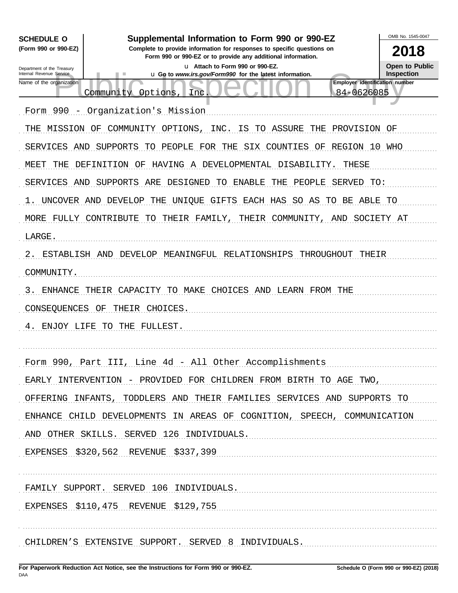| <b>SCHEDULE O</b>                                                                             | Supplemental Information to Form 990 or 990-EZ                                                                                         | OMB No. 1545-0047                   |  |  |  |  |  |  |  |  |
|-----------------------------------------------------------------------------------------------|----------------------------------------------------------------------------------------------------------------------------------------|-------------------------------------|--|--|--|--|--|--|--|--|
| (Form 990 or 990-EZ)                                                                          | Complete to provide information for responses to specific questions on<br>Form 990 or 990-EZ or to provide any additional information. | 2018                                |  |  |  |  |  |  |  |  |
| Department of the Treasury<br>Internal Revenue Service                                        | u Attach to Form 990 or 990-EZ.<br>u Go to www.irs.gov/Form990 for the latest information.                                             | Open to Public<br><b>Inspection</b> |  |  |  |  |  |  |  |  |
| Name of the organization                                                                      | Employer identification number<br>84-0626085<br>Community Options,<br>Inc                                                              |                                     |  |  |  |  |  |  |  |  |
|                                                                                               |                                                                                                                                        |                                     |  |  |  |  |  |  |  |  |
| Form 990                                                                                      | - Organization's Mission                                                                                                               |                                     |  |  |  |  |  |  |  |  |
| MISSION OF<br>THE                                                                             | <b>ASSURE</b><br>COMMUNITY OPTIONS,<br><b>INC</b><br>ΙS<br>TO<br>THE<br>PROVISION OF                                                   |                                     |  |  |  |  |  |  |  |  |
| SERVICES<br>AND<br>SUPPORTS<br>TO PEOPLE FOR THE<br>SIX<br>COUNTIES<br>OF<br>REGION 10<br>WHO |                                                                                                                                        |                                     |  |  |  |  |  |  |  |  |
| MEET<br>THE                                                                                   | DEFINITION OF<br>HAVING A DEVELOPMENTAL<br>DISABILITY.<br>THESE                                                                        |                                     |  |  |  |  |  |  |  |  |
| SERVICES<br>AND                                                                               | SUPPORTS<br>ARE<br>DESIGNED<br>TО<br>ENABLE<br>PEOPLE<br>SERVED<br>THE<br>TO:                                                          |                                     |  |  |  |  |  |  |  |  |
|                                                                                               | UNCOVER AND DEVELOP<br>THE<br>UNIOUE GIFTS<br>EACH HAS<br>SO AS<br>TO<br>BE<br>ABLE TO                                                 |                                     |  |  |  |  |  |  |  |  |
| MORE FULLY                                                                                    | CONTRIBUTE<br>TO<br>THEIR FAMILY,<br>THEIR<br>COMMUNITY,<br>AND<br>SOCIETY AT                                                          |                                     |  |  |  |  |  |  |  |  |
| LARGE.                                                                                        |                                                                                                                                        |                                     |  |  |  |  |  |  |  |  |
| 2.<br>ESTABLISH AND                                                                           | DEVELOP<br>MEANINGFUL<br>RELATIONSHIPS<br>THROUGHOUT<br>THEIR                                                                          |                                     |  |  |  |  |  |  |  |  |
| COMMUNITY.                                                                                    |                                                                                                                                        |                                     |  |  |  |  |  |  |  |  |
| 3<br>ENHANCE                                                                                  | TO MAKE<br>CAPACITY<br>CHOICES<br>LEARN FROM THE<br>THEIR<br>AND                                                                       |                                     |  |  |  |  |  |  |  |  |
| CONSEQUENCES                                                                                  | ΟF<br>THEIR<br>CHOICES.                                                                                                                |                                     |  |  |  |  |  |  |  |  |
| ENJOY LIFE<br>4.                                                                              | TO<br>THE<br>FULLEST.                                                                                                                  |                                     |  |  |  |  |  |  |  |  |
|                                                                                               |                                                                                                                                        |                                     |  |  |  |  |  |  |  |  |
|                                                                                               | Form 990, Part III, Line 4d - All Other Accomplishments                                                                                |                                     |  |  |  |  |  |  |  |  |
|                                                                                               | EARLY INTERVENTION - PROVIDED FOR CHILDREN FROM BIRTH TO AGE TWO,                                                                      |                                     |  |  |  |  |  |  |  |  |
|                                                                                               | OFFERING INFANTS, TODDLERS AND THEIR FAMILIES SERVICES AND SUPPORTS TO                                                                 |                                     |  |  |  |  |  |  |  |  |
|                                                                                               |                                                                                                                                        |                                     |  |  |  |  |  |  |  |  |
|                                                                                               | ENHANCE CHILD DEVELOPMENTS IN AREAS OF COGNITION, SPEECH, COMMUNICATION                                                                |                                     |  |  |  |  |  |  |  |  |
|                                                                                               | AND OTHER SKILLS. SERVED 126 INDIVIDUALS.                                                                                              |                                     |  |  |  |  |  |  |  |  |
|                                                                                               | EXPENSES \$320,562 REVENUE \$337,399                                                                                                   |                                     |  |  |  |  |  |  |  |  |
|                                                                                               |                                                                                                                                        |                                     |  |  |  |  |  |  |  |  |
|                                                                                               | FAMILY SUPPORT. SERVED 106 INDIVIDUALS.                                                                                                |                                     |  |  |  |  |  |  |  |  |
|                                                                                               | EXPENSES \$110,475 REVENUE \$129,755                                                                                                   |                                     |  |  |  |  |  |  |  |  |
|                                                                                               |                                                                                                                                        |                                     |  |  |  |  |  |  |  |  |
|                                                                                               | CHILDREN'S EXTENSIVE SUPPORT. SERVED 8 INDIVIDUALS.                                                                                    |                                     |  |  |  |  |  |  |  |  |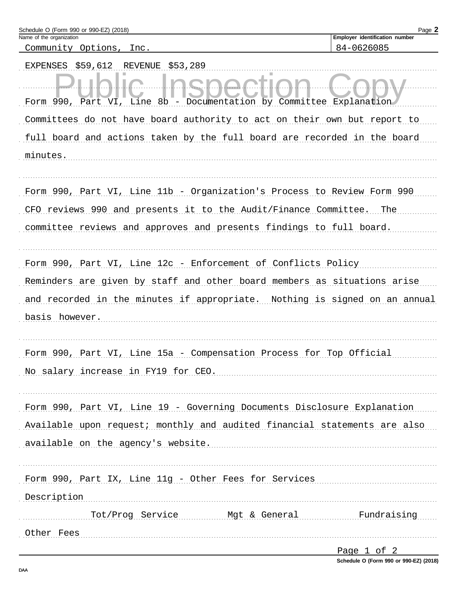| Schedule O (Form 990 or 990-EZ) (2018)                                     | Page 2                                       |
|----------------------------------------------------------------------------|----------------------------------------------|
| Name of the organization<br>Community Options, Inc.                        | Employer identification number<br>84-0626085 |
| \$59,612<br><b>EXPENSES</b><br>REVENUE<br>\$53,289                         |                                              |
| Form 990, Part VI, Line 8b - Documentation by Committee Explanation        |                                              |
| Committees do not have board authority to act on their own but report to   |                                              |
| full board and actions taken by the full board are recorded in the board   |                                              |
| minutes.                                                                   |                                              |
| Form 990, Part VI, Line 11b - Organization's Process to Review Form 990    |                                              |
| CFO reviews 990 and presents it to the Audit/Finance Committee. The        |                                              |
| committee reviews and approves and presents findings to full board.        |                                              |
| Form 990, Part VI, Line 12c - Enforcement of Conflicts Policy              |                                              |
| Reminders are given by staff and other board members as situations arise   |                                              |
| and recorded in the minutes if appropriate. Nothing is signed on an annual |                                              |
| basis however.                                                             |                                              |
| Form 990, Part VI, Line 15a - Compensation Process for Top Official        |                                              |
| No salary increase in FY19 for CEO.                                        |                                              |
|                                                                            |                                              |
| Form 990, Part VI, Line 19 - Governing Documents Disclosure Explanation    |                                              |
| Available upon request; monthly and audited financial statements are also  |                                              |
| available on the agency's website.                                         |                                              |
|                                                                            |                                              |
| Form 990, Part IX, Line 11g - Other Fees for Services                      |                                              |
| Description                                                                |                                              |
| Tot/Prog Service Mgt & General                                             | Fundraising                                  |
| Other Fees                                                                 |                                              |
|                                                                            |                                              |

| Page |  |  |
|------|--|--|
|      |  |  |

Schedule O (Form 990 or 990-EZ) (2018)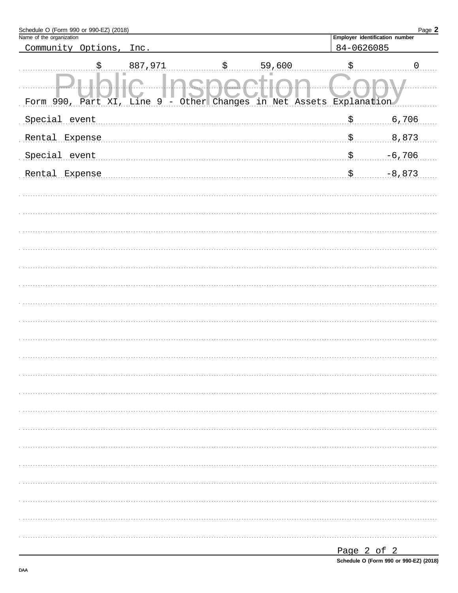| Employer identification number<br>84-0626085<br>Community Options,<br>Inc.<br>\$<br>887,971<br>59,600<br>\$.<br>\$<br>$\mathbf 0$<br>Other Changes in Net Assets Explanation<br>Form 990, Part XI, Line 9<br>-<br>6,706<br>Special event<br>\$.<br>8,873<br>\$.<br>Rental Expense<br>Special event<br>$-6,706$<br>\$.<br>$-8,873$<br>Rental Expense<br>\$. | Schedule O (Form 990 or 990-EZ) (2018) |  |  |  |  | Page 2 |
|------------------------------------------------------------------------------------------------------------------------------------------------------------------------------------------------------------------------------------------------------------------------------------------------------------------------------------------------------------|----------------------------------------|--|--|--|--|--------|
|                                                                                                                                                                                                                                                                                                                                                            | Name of the organization               |  |  |  |  |        |
|                                                                                                                                                                                                                                                                                                                                                            |                                        |  |  |  |  |        |
|                                                                                                                                                                                                                                                                                                                                                            |                                        |  |  |  |  |        |
|                                                                                                                                                                                                                                                                                                                                                            |                                        |  |  |  |  |        |
|                                                                                                                                                                                                                                                                                                                                                            |                                        |  |  |  |  |        |
|                                                                                                                                                                                                                                                                                                                                                            |                                        |  |  |  |  |        |
|                                                                                                                                                                                                                                                                                                                                                            |                                        |  |  |  |  |        |
|                                                                                                                                                                                                                                                                                                                                                            |                                        |  |  |  |  |        |
|                                                                                                                                                                                                                                                                                                                                                            |                                        |  |  |  |  |        |
|                                                                                                                                                                                                                                                                                                                                                            |                                        |  |  |  |  |        |
|                                                                                                                                                                                                                                                                                                                                                            |                                        |  |  |  |  |        |
|                                                                                                                                                                                                                                                                                                                                                            |                                        |  |  |  |  |        |
|                                                                                                                                                                                                                                                                                                                                                            |                                        |  |  |  |  |        |
|                                                                                                                                                                                                                                                                                                                                                            |                                        |  |  |  |  |        |
|                                                                                                                                                                                                                                                                                                                                                            |                                        |  |  |  |  |        |
|                                                                                                                                                                                                                                                                                                                                                            |                                        |  |  |  |  |        |
|                                                                                                                                                                                                                                                                                                                                                            |                                        |  |  |  |  |        |
|                                                                                                                                                                                                                                                                                                                                                            |                                        |  |  |  |  |        |
|                                                                                                                                                                                                                                                                                                                                                            |                                        |  |  |  |  |        |
|                                                                                                                                                                                                                                                                                                                                                            |                                        |  |  |  |  |        |
|                                                                                                                                                                                                                                                                                                                                                            |                                        |  |  |  |  |        |
|                                                                                                                                                                                                                                                                                                                                                            |                                        |  |  |  |  |        |
|                                                                                                                                                                                                                                                                                                                                                            |                                        |  |  |  |  |        |
|                                                                                                                                                                                                                                                                                                                                                            |                                        |  |  |  |  |        |
|                                                                                                                                                                                                                                                                                                                                                            |                                        |  |  |  |  |        |
|                                                                                                                                                                                                                                                                                                                                                            |                                        |  |  |  |  |        |
|                                                                                                                                                                                                                                                                                                                                                            |                                        |  |  |  |  |        |
|                                                                                                                                                                                                                                                                                                                                                            |                                        |  |  |  |  |        |
|                                                                                                                                                                                                                                                                                                                                                            |                                        |  |  |  |  |        |
|                                                                                                                                                                                                                                                                                                                                                            |                                        |  |  |  |  |        |
|                                                                                                                                                                                                                                                                                                                                                            |                                        |  |  |  |  |        |
|                                                                                                                                                                                                                                                                                                                                                            |                                        |  |  |  |  |        |

Schedule O (Form 990 or 990-EZ) (2018)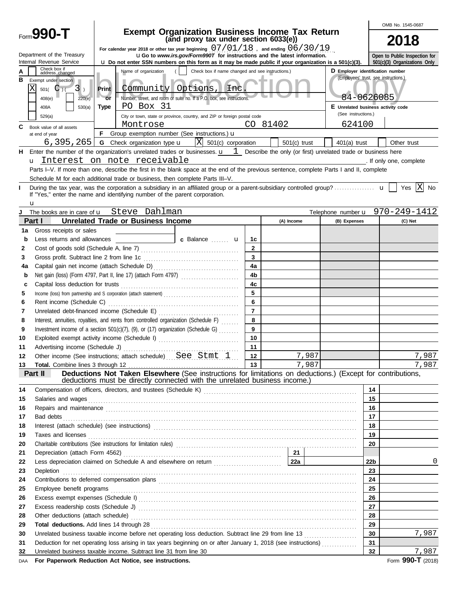|          |                                                                                                                                                                                                                                |                                                                                                                                                                                                                                                                                    |                             |           |                                                                                                |                                   |                 |                |                                                     |                                                                                                             |          | OMB No. 1545-0687               |
|----------|--------------------------------------------------------------------------------------------------------------------------------------------------------------------------------------------------------------------------------|------------------------------------------------------------------------------------------------------------------------------------------------------------------------------------------------------------------------------------------------------------------------------------|-----------------------------|-----------|------------------------------------------------------------------------------------------------|-----------------------------------|-----------------|----------------|-----------------------------------------------------|-------------------------------------------------------------------------------------------------------------|----------|---------------------------------|
|          | Form <b>990-T</b>                                                                                                                                                                                                              |                                                                                                                                                                                                                                                                                    |                             |           | <b>Exempt Organization Business Income Tax Return</b><br>(and proxy tax under section 6033(e)) |                                   |                 |                |                                                     |                                                                                                             |          | 2018                            |
|          | Department of the Treasury<br>Internal Revenue Service                                                                                                                                                                         | For calendar year 2018 or other tax year beginning $07/01/18$ , and ending $06/30/19$<br><b>uGo</b> to www.irs.gov/Form990T for instructions and the latest information.<br>Lu Do not enter SSN numbers on this form as it may be made public if your organization is a 501(c)(3). |                             |           |                                                                                                |                                   |                 |                |                                                     |                                                                                                             |          | Open to Public Inspection for   |
|          | Check box if                                                                                                                                                                                                                   |                                                                                                                                                                                                                                                                                    |                             |           |                                                                                                |                                   |                 |                |                                                     | D Employer identification number                                                                            |          | 501(c)(3) Organizations Only    |
| в        | address changed<br>Exempt under section<br>ΙX<br>$501($ C $)($<br>$3$ .<br>408(e)<br>220(e)                                                                                                                                    | Check box if name changed and see instructions.)<br>Name of organization<br>Community Options,<br>Print<br>Lnc<br>Number, street, and room or suite no. If a P.O. box, see instructions.<br>$-$ or                                                                                 |                             |           |                                                                                                |                                   |                 |                | (Employees' trust, see instructions.)<br>84-0626085 |                                                                                                             |          |                                 |
|          | 408A<br>530(a)                                                                                                                                                                                                                 | Type                                                                                                                                                                                                                                                                               |                             | PO Box 31 |                                                                                                |                                   |                 |                |                                                     | E Unrelated business activity code                                                                          |          |                                 |
|          | 529(a)                                                                                                                                                                                                                         |                                                                                                                                                                                                                                                                                    |                             |           | City or town, state or province, country, and ZIP or foreign postal code                       |                                   |                 |                |                                                     | (See instructions.)                                                                                         |          |                                 |
| С        | Book value of all assets                                                                                                                                                                                                       |                                                                                                                                                                                                                                                                                    | Montrose                    |           |                                                                                                |                                   |                 | CO 81402       |                                                     | 624100                                                                                                      |          |                                 |
|          | at end of year                                                                                                                                                                                                                 |                                                                                                                                                                                                                                                                                    |                             |           | <b>F</b> Group exemption number (See instructions.) $\mathbf{u}$                               |                                   |                 |                |                                                     |                                                                                                             |          |                                 |
|          | 6,395,265                                                                                                                                                                                                                      |                                                                                                                                                                                                                                                                                    | G Check organization type u |           |                                                                                                | $\overline{X}$ 501(c) corporation |                 | $501(c)$ trust |                                                     | $401(a)$ trust                                                                                              |          | Other trust                     |
| н        | Enter the number of the organization's unrelated trades or businesses. $\mathbf{u}$ 1 Describe the only (or first) unrelated trade or business here                                                                            |                                                                                                                                                                                                                                                                                    |                             |           |                                                                                                |                                   |                 |                |                                                     |                                                                                                             |          |                                 |
|          | u Interest on note receivable                                                                                                                                                                                                  |                                                                                                                                                                                                                                                                                    |                             |           |                                                                                                |                                   |                 |                |                                                     | and the complete the complete of the complete of the complete of the complete of the complete               |          |                                 |
|          | Parts I-V. If more than one, describe the first in the blank space at the end of the previous sentence, complete Parts I and II, complete                                                                                      |                                                                                                                                                                                                                                                                                    |                             |           |                                                                                                |                                   |                 |                |                                                     |                                                                                                             |          |                                 |
|          | Schedule M for each additional trade or business, then complete Parts III-V.                                                                                                                                                   |                                                                                                                                                                                                                                                                                    |                             |           |                                                                                                |                                   |                 |                |                                                     |                                                                                                             |          | X                               |
|          | If "Yes," enter the name and identifying number of the parent corporation.<br>u                                                                                                                                                |                                                                                                                                                                                                                                                                                    |                             |           |                                                                                                |                                   |                 |                |                                                     |                                                                                                             |          | Yes<br>No                       |
| J        | The books are in care of <b>u</b> Steve Dahlman                                                                                                                                                                                |                                                                                                                                                                                                                                                                                    |                             |           |                                                                                                |                                   |                 |                |                                                     |                                                                                                             |          | Telephone number u 970-249-1412 |
|          | <b>Unrelated Trade or Business Income</b><br>Part I                                                                                                                                                                            |                                                                                                                                                                                                                                                                                    |                             |           |                                                                                                |                                   |                 | (A) Income     |                                                     | (B) Expenses                                                                                                |          | (C) Net                         |
| 1a       | Gross receipts or sales                                                                                                                                                                                                        |                                                                                                                                                                                                                                                                                    |                             |           |                                                                                                |                                   |                 |                |                                                     |                                                                                                             |          |                                 |
| b        | Less returns and allowances                                                                                                                                                                                                    |                                                                                                                                                                                                                                                                                    |                             |           | <b>C</b> Balance <b>U</b>                                                                      |                                   | 1c              |                |                                                     |                                                                                                             |          |                                 |
| 2        |                                                                                                                                                                                                                                |                                                                                                                                                                                                                                                                                    |                             |           |                                                                                                |                                   | $\overline{2}$  |                |                                                     |                                                                                                             |          |                                 |
| 3        |                                                                                                                                                                                                                                |                                                                                                                                                                                                                                                                                    |                             |           |                                                                                                |                                   | $\overline{3}$  |                |                                                     |                                                                                                             |          |                                 |
| 4a       |                                                                                                                                                                                                                                |                                                                                                                                                                                                                                                                                    |                             |           |                                                                                                |                                   | 4a              |                |                                                     |                                                                                                             |          |                                 |
| b        |                                                                                                                                                                                                                                |                                                                                                                                                                                                                                                                                    |                             |           |                                                                                                |                                   | 4 <sub>b</sub>  |                |                                                     |                                                                                                             |          |                                 |
| C        |                                                                                                                                                                                                                                |                                                                                                                                                                                                                                                                                    |                             |           |                                                                                                |                                   | 4 <sub>c</sub>  |                |                                                     |                                                                                                             |          |                                 |
| 5        | Income (loss) from partnership and S corporation (attach statement)                                                                                                                                                            |                                                                                                                                                                                                                                                                                    |                             |           |                                                                                                |                                   | 5               |                |                                                     |                                                                                                             |          |                                 |
| 6        |                                                                                                                                                                                                                                |                                                                                                                                                                                                                                                                                    |                             |           |                                                                                                |                                   | $6\phantom{a}$  |                |                                                     |                                                                                                             |          |                                 |
| 7        |                                                                                                                                                                                                                                |                                                                                                                                                                                                                                                                                    |                             |           |                                                                                                |                                   | $\overline{7}$  |                |                                                     |                                                                                                             |          |                                 |
| 8        | Interest, annuities, royalties, and rents from controlled organization (Schedule F)                                                                                                                                            |                                                                                                                                                                                                                                                                                    |                             |           |                                                                                                |                                   | 8               |                |                                                     |                                                                                                             |          |                                 |
| 9        | Investment income of a section $501(c)(7)$ , (9), or (17) organization (Schedule G)                                                                                                                                            |                                                                                                                                                                                                                                                                                    |                             |           |                                                                                                |                                   | 9               |                |                                                     |                                                                                                             |          |                                 |
| 10       | Exploited exempt activity income (Schedule I)                                                                                                                                                                                  |                                                                                                                                                                                                                                                                                    |                             |           |                                                                                                |                                   | 10              |                |                                                     |                                                                                                             |          |                                 |
| 11       |                                                                                                                                                                                                                                |                                                                                                                                                                                                                                                                                    |                             |           |                                                                                                |                                   | 11              |                |                                                     |                                                                                                             |          |                                 |
| 12       | Other income (See instructions; attach schedule)  See Stmt 1                                                                                                                                                                   |                                                                                                                                                                                                                                                                                    |                             |           |                                                                                                |                                   | 12 <sup>1</sup> |                | 7,987                                               |                                                                                                             |          | 7,987                           |
| 13       |                                                                                                                                                                                                                                |                                                                                                                                                                                                                                                                                    |                             |           |                                                                                                |                                   | 13              |                | 7,987                                               |                                                                                                             |          | 7,987                           |
|          | Part II                                                                                                                                                                                                                        |                                                                                                                                                                                                                                                                                    |                             |           | deductions must be directly connected with the unrelated business income.)                     |                                   |                 |                |                                                     | Deductions Not Taken Elsewhere (See instructions for limitations on deductions.) (Except for contributions, |          |                                 |
| 14       |                                                                                                                                                                                                                                |                                                                                                                                                                                                                                                                                    |                             |           |                                                                                                |                                   |                 |                |                                                     |                                                                                                             | 14       |                                 |
| 15       | Salaries and wages                                                                                                                                                                                                             |                                                                                                                                                                                                                                                                                    |                             |           |                                                                                                |                                   |                 |                |                                                     |                                                                                                             | 15       |                                 |
| 16       | Repairs and maintenance communications are constructed as a material of the construction of the constraints and maintenance                                                                                                    |                                                                                                                                                                                                                                                                                    |                             |           |                                                                                                |                                   |                 |                |                                                     |                                                                                                             | 16       |                                 |
| 17<br>18 | Bad debts                                                                                                                                                                                                                      |                                                                                                                                                                                                                                                                                    |                             |           |                                                                                                |                                   |                 |                |                                                     |                                                                                                             | 17<br>18 |                                 |
|          |                                                                                                                                                                                                                                |                                                                                                                                                                                                                                                                                    |                             |           |                                                                                                |                                   |                 |                |                                                     |                                                                                                             | 19       |                                 |
| 19<br>20 | Taxes and licenses                                                                                                                                                                                                             |                                                                                                                                                                                                                                                                                    |                             |           |                                                                                                |                                   |                 |                | 20                                                  |                                                                                                             |          |                                 |
| 21       |                                                                                                                                                                                                                                |                                                                                                                                                                                                                                                                                    |                             |           |                                                                                                |                                   |                 |                |                                                     |                                                                                                             |          |                                 |
| 22       | Less depreciation claimed on Schedule A and elsewhere on return [11] [221 [223]                                                                                                                                                |                                                                                                                                                                                                                                                                                    |                             |           |                                                                                                |                                   |                 |                |                                                     |                                                                                                             | 22b      | 0                               |
| 23       | Depletion                                                                                                                                                                                                                      |                                                                                                                                                                                                                                                                                    |                             |           |                                                                                                |                                   |                 |                |                                                     |                                                                                                             | 23       |                                 |
| 24       |                                                                                                                                                                                                                                |                                                                                                                                                                                                                                                                                    |                             |           |                                                                                                |                                   |                 |                |                                                     | 24                                                                                                          |          |                                 |
| 25       | Employee benefit programs                                                                                                                                                                                                      |                                                                                                                                                                                                                                                                                    |                             |           |                                                                                                |                                   |                 |                |                                                     | 25                                                                                                          |          |                                 |
| 26       |                                                                                                                                                                                                                                |                                                                                                                                                                                                                                                                                    |                             |           |                                                                                                |                                   |                 |                |                                                     | 26                                                                                                          |          |                                 |
| 27       | Excess readership costs (Schedule J) Material Contract Constant Contract Constant Constant Constant Constant Constant Constant Constant Constant Constant Constant Constant Constant Constant Constant Constant Constant Const |                                                                                                                                                                                                                                                                                    |                             |           |                                                                                                |                                   |                 |                |                                                     | 27                                                                                                          |          |                                 |
| 28       |                                                                                                                                                                                                                                |                                                                                                                                                                                                                                                                                    |                             |           |                                                                                                |                                   |                 |                |                                                     | 28                                                                                                          |          |                                 |
| 29       | Total deductions. Add lines 14 through 28                                                                                                                                                                                      |                                                                                                                                                                                                                                                                                    |                             |           |                                                                                                |                                   |                 |                | 29                                                  |                                                                                                             |          |                                 |
| 30       | Unrelated business taxable income before net operating loss deduction. Subtract line 29 from line 13<br>30                                                                                                                     |                                                                                                                                                                                                                                                                                    |                             |           |                                                                                                |                                   |                 | 7,987          |                                                     |                                                                                                             |          |                                 |
| 31       | 31<br>Deduction for net operating loss arising in tax years beginning on or after January 1, 2018 (see instructions)                                                                                                           |                                                                                                                                                                                                                                                                                    |                             |           |                                                                                                |                                   |                 |                |                                                     |                                                                                                             |          |                                 |
| 32       | Unrelated business taxable income. Subtract line 31 from line 30                                                                                                                                                               |                                                                                                                                                                                                                                                                                    |                             |           |                                                                                                |                                   |                 |                |                                                     |                                                                                                             | 32       | 7,987                           |
| DAA      | For Paperwork Reduction Act Notice, see instructions.                                                                                                                                                                          |                                                                                                                                                                                                                                                                                    |                             |           |                                                                                                |                                   |                 |                |                                                     |                                                                                                             |          | Form 990-T (2018)               |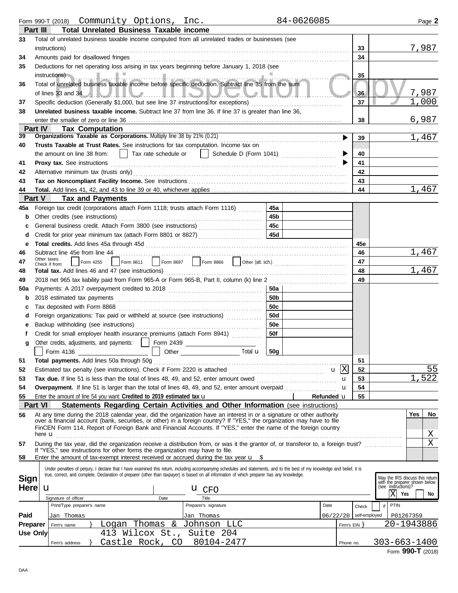Form 990-T (2018) Page **2** Community Options, Inc. 84-0626085

|                 | <b>Total Unrelated Business Taxable income</b><br>Part III                                                                                                                                                           |                |                                                                                         |
|-----------------|----------------------------------------------------------------------------------------------------------------------------------------------------------------------------------------------------------------------|----------------|-----------------------------------------------------------------------------------------|
| 33              | Total of unrelated business taxable income computed from all unrelated trades or businesses (see<br>instructions)                                                                                                    | 33             | 7,987                                                                                   |
| 34              | Amounts paid for disallowed fringes                                                                                                                                                                                  | 34             |                                                                                         |
| 35              | Deductions for net operating loss arising in tax years beginning before January 1, 2018 (see                                                                                                                         |                |                                                                                         |
|                 |                                                                                                                                                                                                                      | 35             |                                                                                         |
| 36              | ارتداده والمتحدث والمتعارض والمتحفظ<br>Total of unrelated business taxable income before specific deduction. Subtract line 35 from the sum                                                                           |                |                                                                                         |
|                 |                                                                                                                                                                                                                      | 36             | 7,987                                                                                   |
| 37              | Specific deduction (Generally \$1,000, but see line 37 instructions for exceptions) [[[[[[[[[[[[[[[[[[[[[[[[[[                                                                                                       | 37             | $\overline{1}$ , 000                                                                    |
| 38              | Unrelated business taxable income. Subtract line 37 from line 36. If line 37 is greater than line 36.                                                                                                                |                |                                                                                         |
|                 |                                                                                                                                                                                                                      | 38             | 6,987                                                                                   |
|                 | Part IV<br><b>Tax Computation</b>                                                                                                                                                                                    |                |                                                                                         |
| 39              | Organizations Taxable as Corporations. Multiply line 38 by 21% (0.21)                                                                                                                                                | ▶<br>39        | 1,467                                                                                   |
| 40              | Trusts Taxable at Trust Rates. See instructions for tax computation. Income tax on                                                                                                                                   |                |                                                                                         |
|                 | Tax rate schedule or     Schedule D (Form 1041)<br>the amount on line 38 from:                                                                                                                                       | 40             |                                                                                         |
| 41              |                                                                                                                                                                                                                      | 41             |                                                                                         |
| 42              |                                                                                                                                                                                                                      | 42             |                                                                                         |
| 43              |                                                                                                                                                                                                                      | 43             |                                                                                         |
| 44              |                                                                                                                                                                                                                      | 44             | 1,467                                                                                   |
|                 | Part V<br><b>Tax and Payments</b>                                                                                                                                                                                    |                |                                                                                         |
| 45a             | Foreign tax credit (corporations attach Form 1118; trusts attach Form 1116)<br>45a                                                                                                                                   |                |                                                                                         |
| b               | 45 <sub>b</sub><br>Other credits (see instructions)                                                                                                                                                                  |                |                                                                                         |
| с               | 45c                                                                                                                                                                                                                  |                |                                                                                         |
| d               | 45d<br>Credit for prior year minimum tax (attach Form 8801 or 8827)                                                                                                                                                  |                |                                                                                         |
| е               |                                                                                                                                                                                                                      | 45e            |                                                                                         |
| 46              | Subtract line 45e from line 44                                                                                                                                                                                       | 46             | 1,467                                                                                   |
| 47              | Other taxes.<br>Form 8611 Form 8697 Form 8866 Other (att. sch.)<br>Form 4255<br>Check if from:                                                                                                                       | 47             |                                                                                         |
| 48              |                                                                                                                                                                                                                      | 48             | 1,467                                                                                   |
| 49              |                                                                                                                                                                                                                      | 49             |                                                                                         |
| 50a             | 50a                                                                                                                                                                                                                  |                |                                                                                         |
| b               | 50 <sub>b</sub><br>2018 estimated tax payments                                                                                                                                                                       |                |                                                                                         |
| c               | 50c                                                                                                                                                                                                                  |                |                                                                                         |
| d               | 50d<br>Foreign organizations: Tax paid or withheld at source (see instructions)                                                                                                                                      |                |                                                                                         |
| е               | <b>50e</b>                                                                                                                                                                                                           |                |                                                                                         |
|                 | 50f<br>Credit for small employer health insurance premiums (attach Form 8941)                                                                                                                                        |                |                                                                                         |
| g               | Other credits, adjustments, and payments:     Form 2439 [Cross Consense 2010]                                                                                                                                        |                |                                                                                         |
|                 | <u> 1990 - Johann Barbara, politik eta politik eta politik eta politik eta politik eta politik eta politik eta p</u> o<br>Form 4136<br>Total <b>u</b><br>50 <sub>g</sub>                                             |                |                                                                                         |
| 51              | Total payments. Add lines 50a through 50g                                                                                                                                                                            | 51             |                                                                                         |
| 52              | $\mathbf{u}$                                                                                                                                                                                                         | X<br>52        | 55                                                                                      |
| 53              | Tax due. If line 51 is less than the total of lines 48, 49, and 52, enter amount owed <i></i>                                                                                                                        | 53<br>u        | , 522                                                                                   |
| 54              | Overpayment. If line 51 is larger than the total of lines 48, 49, and 52, enter amount overpaid                                                                                                                      | 54<br>u        |                                                                                         |
| 55              | Enter the amount of line 54 you want: Credited to 2019 estimated tax $\mathbf u$<br>Refunded u                                                                                                                       | 55             |                                                                                         |
|                 | <b>Part VI</b><br>Statements Regarding Certain Activities and Other Information (see instructions)                                                                                                                   |                |                                                                                         |
| 56              | At any time during the 2018 calendar year, did the organization have an interest in or a signature or other authority                                                                                                |                | <b>Yes</b><br>No                                                                        |
|                 | over a financial account (bank, securities, or other) in a foreign country? If "YES," the organization may have to file                                                                                              |                |                                                                                         |
|                 | FinCEN Form 114, Report of Foreign Bank and Financial Accounts. If "YES," enter the name of the foreign country                                                                                                      |                |                                                                                         |
|                 | here <b>u</b>                                                                                                                                                                                                        |                | Χ<br>X                                                                                  |
| 57              | During the tax year, did the organization receive a distribution from, or was it the grantor of, or transferor to, a foreign trust?<br>If "YES," see instructions for other forms the organization may have to file. |                |                                                                                         |
| 58              | Enter the amount of tax-exempt interest received or accrued during the tax year $\mathbf{u}$ \$                                                                                                                      |                |                                                                                         |
|                 | Under penalties of perjury, I declare that I have examined this return, including accompanying schedules and statements, and to the best of my knowledge and belief, it is                                           |                |                                                                                         |
|                 | true, correct, and complete. Declaration of preparer (other than taxpayer) is based on all information of which preparer has any knowledge.                                                                          |                |                                                                                         |
| <b>Sign</b>     |                                                                                                                                                                                                                      |                | May the IRS discuss this return<br>with the preparer shown below<br>(see instructions)? |
| <b>Here</b>     | u<br>$\mathbf{u}$ CFO                                                                                                                                                                                                |                | Χl<br>Yes<br>No                                                                         |
|                 | Title<br>Signature of officer<br>Date                                                                                                                                                                                |                |                                                                                         |
|                 | Print/Type preparer's name<br>Preparer's signature<br>Date                                                                                                                                                           | Check          | PTIN<br>if                                                                              |
| Paid            | 06/22/20<br>Jan Thomas<br>Jan Thomas                                                                                                                                                                                 | self-employed  | P01267359                                                                               |
| <b>Preparer</b> | Logan Thomas & Johnson LLC<br>Firm's name                                                                                                                                                                            | Firm's $EIN$ } | 20-1943886                                                                              |
| Use Only        | 413 Wilcox St.,<br>Suite 204                                                                                                                                                                                         |                |                                                                                         |
|                 | 80104-2477<br>Castle Rock, CO<br>Firm's address                                                                                                                                                                      | Phone no.      | $303 - 663 - 1400$                                                                      |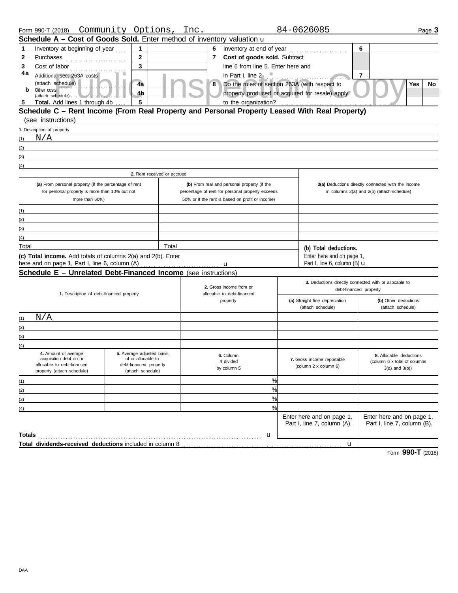|                                                       | Form 990-T (2018) Community Options, Inc.                                                                                                                                                                                     |                                             |                                                  |   |                                                  |               |  | 84-0626085                                               |                        |                                                                | Page 3 |
|-------------------------------------------------------|-------------------------------------------------------------------------------------------------------------------------------------------------------------------------------------------------------------------------------|---------------------------------------------|--------------------------------------------------|---|--------------------------------------------------|---------------|--|----------------------------------------------------------|------------------------|----------------------------------------------------------------|--------|
|                                                       | Schedule A - Cost of Goods Sold. Enter method of inventory valuation u                                                                                                                                                        |                                             |                                                  |   |                                                  |               |  |                                                          |                        |                                                                |        |
| 1                                                     | Inventory at beginning of year                                                                                                                                                                                                | 1                                           |                                                  |   |                                                  |               |  |                                                          | 6                      |                                                                |        |
| 2                                                     | Purchases                                                                                                                                                                                                                     | $\overline{2}$                              |                                                  |   | 7 Cost of goods sold. Subtract                   |               |  |                                                          |                        |                                                                |        |
| 3                                                     | Cost of labor                                                                                                                                                                                                                 | $\overline{3}$                              |                                                  |   | line 6 from line 5. Enter here and               |               |  |                                                          |                        |                                                                |        |
| 4a                                                    | Additional sec. 263A costs                                                                                                                                                                                                    |                                             |                                                  |   | in Part I, line $2 \quad \blacksquare$           |               |  |                                                          | $\overline{7}$         |                                                                |        |
|                                                       | (attach schedule)                                                                                                                                                                                                             | 4a                                          |                                                  | 8 |                                                  |               |  | Do the rules of section 263A (with respect to            |                        | Yes                                                            | No     |
| b                                                     | Other costs                                                                                                                                                                                                                   | 4 <sub>b</sub>                              |                                                  |   |                                                  |               |  | property produced or acquired for resale) apply          |                        |                                                                |        |
| 5                                                     | Total. Add lines 1 through 4b                                                                                                                                                                                                 | 5                                           |                                                  |   | to the organization?                             |               |  |                                                          |                        |                                                                |        |
|                                                       | Schedule C - Rent Income (From Real Property and Personal Property Leased With Real Property)                                                                                                                                 |                                             |                                                  |   |                                                  |               |  |                                                          |                        |                                                                |        |
|                                                       | (see instructions)                                                                                                                                                                                                            |                                             |                                                  |   |                                                  |               |  |                                                          |                        |                                                                |        |
|                                                       | 1. Description of property                                                                                                                                                                                                    |                                             |                                                  |   |                                                  |               |  |                                                          |                        |                                                                |        |
| (1)                                                   | N/A                                                                                                                                                                                                                           |                                             |                                                  |   |                                                  |               |  |                                                          |                        |                                                                |        |
| (2)                                                   |                                                                                                                                                                                                                               |                                             |                                                  |   |                                                  |               |  |                                                          |                        |                                                                |        |
| (3)                                                   | the control of the control of the control of the control of the control of the control of the control of the control of the control of the control of the control of the control of the control of the control of the control |                                             |                                                  |   |                                                  |               |  |                                                          |                        |                                                                |        |
| (4)                                                   |                                                                                                                                                                                                                               |                                             |                                                  |   |                                                  |               |  |                                                          |                        |                                                                |        |
|                                                       |                                                                                                                                                                                                                               | 2. Rent received or accrued                 |                                                  |   |                                                  |               |  |                                                          |                        |                                                                |        |
| (a) From personal property (if the percentage of rent |                                                                                                                                                                                                                               |                                             |                                                  |   | (b) From real and personal property (if the      |               |  |                                                          |                        | 3(a) Deductions directly connected with the income             |        |
|                                                       | for personal property is more than 10% but not                                                                                                                                                                                |                                             |                                                  |   | percentage of rent for personal property exceeds |               |  |                                                          |                        | in columns 2(a) and 2(b) (attach schedule)                     |        |
|                                                       | more than 50%)                                                                                                                                                                                                                |                                             | 50% or if the rent is based on profit or income) |   |                                                  |               |  |                                                          |                        |                                                                |        |
| (1)                                                   |                                                                                                                                                                                                                               |                                             |                                                  |   |                                                  |               |  |                                                          |                        |                                                                |        |
| (2)                                                   |                                                                                                                                                                                                                               |                                             |                                                  |   |                                                  |               |  |                                                          |                        |                                                                |        |
| (3)                                                   |                                                                                                                                                                                                                               |                                             |                                                  |   |                                                  |               |  |                                                          |                        |                                                                |        |
| (4)                                                   |                                                                                                                                                                                                                               |                                             |                                                  |   |                                                  |               |  |                                                          |                        |                                                                |        |
| Total                                                 |                                                                                                                                                                                                                               |                                             | Total                                            |   |                                                  |               |  | (b) Total deductions.                                    |                        |                                                                |        |
|                                                       | (c) Total income. Add totals of columns 2(a) and 2(b). Enter                                                                                                                                                                  |                                             |                                                  |   |                                                  |               |  | Enter here and on page 1,                                |                        |                                                                |        |
|                                                       | here and on page 1, Part I, line 6, column (A)                                                                                                                                                                                |                                             |                                                  |   | u                                                |               |  | Part I, line 6, column (B) $\mathbf u$                   |                        |                                                                |        |
|                                                       | Schedule E - Unrelated Debt-Financed Income (see instructions)                                                                                                                                                                |                                             |                                                  |   |                                                  |               |  |                                                          |                        |                                                                |        |
|                                                       |                                                                                                                                                                                                                               |                                             |                                                  |   | 2. Gross income from or                          |               |  | 3. Deductions directly connected with or allocable to    |                        |                                                                |        |
|                                                       | 1. Description of debt-financed property                                                                                                                                                                                      |                                             |                                                  |   | allocable to debt-financed                       |               |  |                                                          | debt-financed property |                                                                |        |
|                                                       |                                                                                                                                                                                                                               |                                             |                                                  |   | property                                         |               |  | (a) Straight line depreciation                           |                        | (b) Other deductions                                           |        |
|                                                       |                                                                                                                                                                                                                               |                                             |                                                  |   |                                                  |               |  | (attach schedule)                                        |                        | (attach schedule)                                              |        |
| (1)                                                   | N/A                                                                                                                                                                                                                           |                                             |                                                  |   |                                                  |               |  |                                                          |                        |                                                                |        |
| (2)                                                   |                                                                                                                                                                                                                               |                                             |                                                  |   |                                                  |               |  |                                                          |                        |                                                                |        |
| (3)                                                   |                                                                                                                                                                                                                               |                                             |                                                  |   |                                                  |               |  |                                                          |                        |                                                                |        |
| (4)                                                   | 4. Amount of average                                                                                                                                                                                                          | 5. Average adjusted basis                   |                                                  |   |                                                  |               |  |                                                          |                        |                                                                |        |
|                                                       | acquisition debt on or                                                                                                                                                                                                        | of or allocable to                          |                                                  |   | 6. Column<br>4 divided                           |               |  | 7. Gross income reportable                               |                        | <b>8.</b> Allocable deductions<br>(column 6 x total of columns |        |
|                                                       | allocable to debt-financed<br>property (attach schedule)                                                                                                                                                                      | debt-financed property<br>(attach schedule) |                                                  |   | by column 5                                      |               |  | (column 2 x column 6)                                    |                        | $3(a)$ and $3(b)$ )                                            |        |
|                                                       |                                                                                                                                                                                                                               |                                             |                                                  |   |                                                  |               |  |                                                          |                        |                                                                |        |
| (1)                                                   |                                                                                                                                                                                                                               |                                             |                                                  |   |                                                  | %             |  |                                                          |                        |                                                                |        |
| (2)                                                   |                                                                                                                                                                                                                               |                                             |                                                  |   |                                                  | %             |  |                                                          |                        |                                                                |        |
| (3)                                                   |                                                                                                                                                                                                                               |                                             |                                                  |   |                                                  | $\frac{0}{0}$ |  |                                                          |                        |                                                                |        |
| (4)                                                   |                                                                                                                                                                                                                               |                                             |                                                  |   |                                                  | $\frac{9}{6}$ |  |                                                          |                        |                                                                |        |
|                                                       |                                                                                                                                                                                                                               |                                             |                                                  |   |                                                  |               |  | Enter here and on page 1,<br>Part I, line 7, column (A). |                        | Enter here and on page 1,<br>Part I, line 7, column (B).       |        |
|                                                       |                                                                                                                                                                                                                               |                                             |                                                  |   |                                                  |               |  |                                                          |                        |                                                                |        |
| Totals                                                |                                                                                                                                                                                                                               |                                             |                                                  |   |                                                  | u             |  |                                                          |                        |                                                                |        |
|                                                       |                                                                                                                                                                                                                               |                                             |                                                  |   |                                                  |               |  | u                                                        |                        |                                                                |        |

Form **990-T** (2018)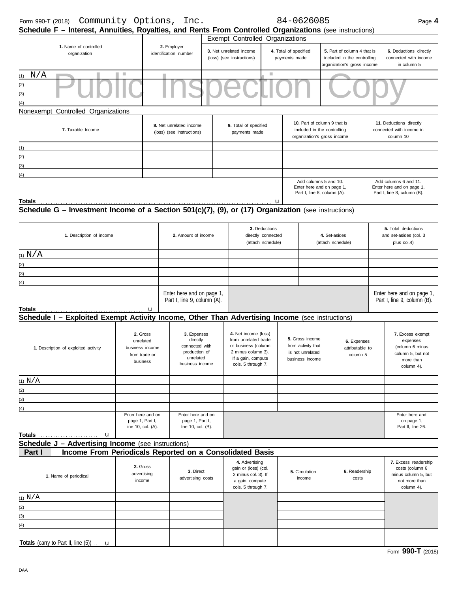| Form 990-T (2018)                                                                                       | Community Options, Inc.   |                                      |                                                          |                                           |                       | 84-0626085                                         |                             | Page 4                                                   |
|---------------------------------------------------------------------------------------------------------|---------------------------|--------------------------------------|----------------------------------------------------------|-------------------------------------------|-----------------------|----------------------------------------------------|-----------------------------|----------------------------------------------------------|
| Schedule F - Interest, Annuities, Royalties, and Rents From Controlled Organizations (see instructions) |                           |                                      |                                                          |                                           |                       |                                                    |                             |                                                          |
|                                                                                                         |                           |                                      |                                                          | Exempt Controlled Organizations           |                       |                                                    |                             |                                                          |
| 1. Name of controlled<br>organization                                                                   |                           | 2. Employer<br>identification number |                                                          | 3. Net unrelated income                   | 4. Total of specified |                                                    | 5. Part of column 4 that is | 6. Deductions directly                                   |
|                                                                                                         |                           |                                      |                                                          | (loss) (see instructions)                 | payments made         |                                                    | included in the controlling | connected with income                                    |
|                                                                                                         |                           |                                      |                                                          |                                           |                       |                                                    | organization's gross income | in column 5                                              |
| $(1)$ N/A                                                                                               |                           |                                      |                                                          |                                           | <b>College</b>        |                                                    |                             |                                                          |
| (2)                                                                                                     |                           |                                      |                                                          |                                           |                       |                                                    |                             |                                                          |
| (3)                                                                                                     |                           |                                      |                                                          |                                           |                       |                                                    |                             |                                                          |
| (4)                                                                                                     |                           |                                      |                                                          |                                           |                       |                                                    |                             |                                                          |
| Nonexempt Controlled Organizations                                                                      |                           |                                      |                                                          |                                           |                       |                                                    |                             |                                                          |
|                                                                                                         |                           | 8. Net unrelated income              |                                                          | 9. Total of specified                     |                       | 10. Part of column 9 that is                       |                             | 11. Deductions directly                                  |
| 7. Taxable Income                                                                                       |                           | (loss) (see instructions)            |                                                          | payments made                             |                       | included in the controlling                        |                             | connected with income in                                 |
|                                                                                                         |                           |                                      |                                                          |                                           |                       | organization's gross income                        |                             | column 10                                                |
| (1)                                                                                                     |                           |                                      |                                                          |                                           |                       |                                                    |                             |                                                          |
| (2)                                                                                                     |                           |                                      |                                                          |                                           |                       |                                                    |                             |                                                          |
| (3)                                                                                                     |                           |                                      |                                                          |                                           |                       |                                                    |                             |                                                          |
| (4)                                                                                                     |                           |                                      |                                                          |                                           |                       |                                                    |                             |                                                          |
|                                                                                                         |                           |                                      |                                                          |                                           |                       | Add columns 5 and 10.<br>Enter here and on page 1, |                             | Add columns 6 and 11.<br>Enter here and on page 1,       |
|                                                                                                         |                           |                                      |                                                          |                                           |                       | Part I, line 8, column (A).                        |                             | Part I, line 8, column (B).                              |
| Totals                                                                                                  |                           |                                      |                                                          |                                           | u                     |                                                    |                             |                                                          |
| Schedule G - Investment Income of a Section 501(c)(7), (9), or (17) Organization (see instructions)     |                           |                                      |                                                          |                                           |                       |                                                    |                             |                                                          |
|                                                                                                         |                           |                                      |                                                          | 3. Deductions                             |                       |                                                    |                             | 5. Total deductions                                      |
| 1. Description of income                                                                                |                           |                                      | 2. Amount of income                                      | directly connected                        |                       |                                                    | 4. Set-asides               | and set-asides (col. 3                                   |
|                                                                                                         |                           |                                      |                                                          | (attach schedule)                         |                       |                                                    | (attach schedule)           | plus col.4)                                              |
| (1) N/A                                                                                                 |                           |                                      |                                                          |                                           |                       |                                                    |                             |                                                          |
| (2)<br>the control of the control of the control of the control of the control of                       |                           |                                      |                                                          |                                           |                       |                                                    |                             |                                                          |
| (3)<br><u> 1980 - Johann Barn, amerikansk politiker (d. 1980)</u>                                       |                           |                                      |                                                          |                                           |                       |                                                    |                             |                                                          |
| (4)                                                                                                     |                           |                                      |                                                          |                                           |                       |                                                    |                             |                                                          |
|                                                                                                         |                           |                                      |                                                          |                                           |                       |                                                    |                             |                                                          |
|                                                                                                         |                           |                                      | Enter here and on page 1,<br>Part I, line 9, column (A). |                                           |                       |                                                    |                             | Enter here and on page 1,<br>Part I, line 9, column (B). |
| Totals                                                                                                  | u                         |                                      |                                                          |                                           |                       |                                                    |                             |                                                          |
| Schedule I - Exploited Exempt Activity Income, Other Than Advertising Income (see instructions)         |                           |                                      |                                                          |                                           |                       |                                                    |                             |                                                          |
|                                                                                                         |                           |                                      |                                                          |                                           |                       |                                                    |                             |                                                          |
|                                                                                                         | 2. Gross                  |                                      | 3. Expenses                                              | 4. Net income (loss)                      |                       |                                                    |                             | 7. Excess exempt                                         |
|                                                                                                         | unrelated                 |                                      | directly                                                 | from unrelated trade                      |                       | 5. Gross income                                    | 6. Expenses                 | expenses                                                 |
| 1. Description of exploited activity                                                                    | business income           |                                      | connected with<br>production of                          | or business (column<br>2 minus column 3). |                       | from activity that<br>is not unrelated             | attributable to             | (column 6 minus<br>column 5, but not                     |
|                                                                                                         | from trade or<br>business |                                      | unrelated                                                | If a gain, compute                        |                       | business income                                    | column 5                    | more than                                                |
|                                                                                                         |                           |                                      | business income                                          | cols. 5 through 7.                        |                       |                                                    |                             | column 4).                                               |
|                                                                                                         |                           |                                      |                                                          |                                           |                       |                                                    |                             |                                                          |
| (1) N/A                                                                                                 |                           |                                      |                                                          |                                           |                       |                                                    |                             |                                                          |
| (2)                                                                                                     |                           |                                      |                                                          |                                           |                       |                                                    |                             |                                                          |
| (3)                                                                                                     |                           |                                      |                                                          |                                           |                       |                                                    |                             |                                                          |
| (4)                                                                                                     | Enter here and on         |                                      | Enter here and on                                        |                                           |                       |                                                    |                             | Enter here and                                           |
|                                                                                                         | page 1, Part I,           |                                      | page 1, Part I,                                          |                                           |                       |                                                    |                             | on page 1,                                               |
|                                                                                                         | line 10, col. (A).        |                                      | line 10, col. (B).                                       |                                           |                       |                                                    |                             | Part II, line 26.                                        |
|                                                                                                         |                           |                                      |                                                          |                                           |                       |                                                    |                             |                                                          |
| <b>Schedule J - Advertising Income</b> (see instructions)                                               |                           |                                      |                                                          |                                           |                       |                                                    |                             |                                                          |
| Income From Periodicals Reported on a Consolidated Basis<br>Part I                                      |                           |                                      |                                                          |                                           |                       |                                                    |                             |                                                          |
|                                                                                                         | 2. Gross                  |                                      |                                                          | 4. Advertising<br>gain or (loss) (col.    |                       |                                                    |                             | 7. Excess readership<br>costs (column 6                  |
| 1. Name of periodical                                                                                   | advertising               |                                      | 3. Direct                                                | 2 minus col. 3). If                       |                       | 5. Circulation                                     | 6. Readership               | minus column 5, but                                      |
|                                                                                                         | income                    |                                      | advertising costs                                        | a gain, compute                           |                       | income                                             | costs                       | not more than                                            |
|                                                                                                         |                           |                                      |                                                          | cols. 5 through 7.                        |                       |                                                    |                             | column 4).                                               |
| (1) N/A                                                                                                 |                           |                                      |                                                          |                                           |                       |                                                    |                             |                                                          |
| (2)                                                                                                     |                           |                                      |                                                          |                                           |                       |                                                    |                             |                                                          |
| (3)                                                                                                     |                           |                                      |                                                          |                                           |                       |                                                    |                             |                                                          |
| (4)                                                                                                     |                           |                                      |                                                          |                                           |                       |                                                    |                             |                                                          |
|                                                                                                         |                           |                                      |                                                          |                                           |                       |                                                    |                             |                                                          |
| Totals (carry to Part II, line (5))                                                                     |                           |                                      |                                                          |                                           |                       |                                                    |                             |                                                          |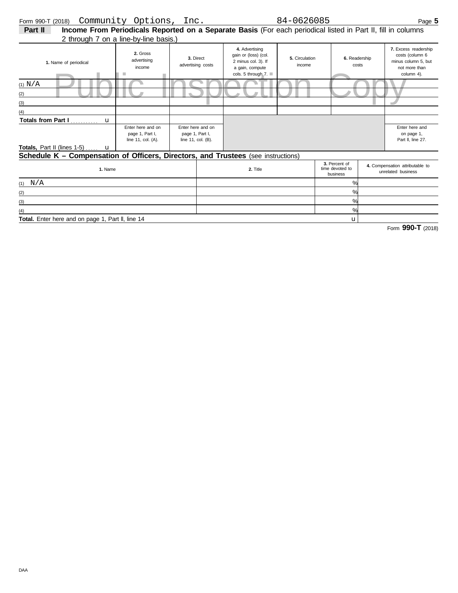| <b>VIIII VVV</b> I | .                                                                                                            | --------                          |                                |                                                                                                          |                          |                        | uyu                                                                                           |
|--------------------|--------------------------------------------------------------------------------------------------------------|-----------------------------------|--------------------------------|----------------------------------------------------------------------------------------------------------|--------------------------|------------------------|-----------------------------------------------------------------------------------------------|
| Part II            | Income From Periodicals Reported on a Separate Basis (For each periodical listed in Part II, fill in columns |                                   |                                |                                                                                                          |                          |                        |                                                                                               |
|                    | 2 through 7 on a line-by-line basis.)                                                                        |                                   |                                |                                                                                                          |                          |                        |                                                                                               |
|                    | 1. Name of periodical                                                                                        | 2. Gross<br>advertising<br>income | 3. Direct<br>advertising costs | 4. Advertising<br>gain or (loss) (col.<br>2 minus col. 3). If<br>a gain, compute<br>cols. 5 through $7.$ | 5. Circulation<br>income | 6. Readership<br>costs | 7. Excess readership<br>costs (column 6<br>minus column 5, but<br>not more than<br>column 4). |
| (1) N/A            |                                                                                                              |                                   |                                |                                                                                                          |                          |                        |                                                                                               |

| (1) N/A                                                                                  |                                                            |                                                            |          |  |                                              |  |                                                       |
|------------------------------------------------------------------------------------------|------------------------------------------------------------|------------------------------------------------------------|----------|--|----------------------------------------------|--|-------------------------------------------------------|
| (2)                                                                                      |                                                            |                                                            |          |  |                                              |  |                                                       |
| (3)                                                                                      |                                                            |                                                            |          |  |                                              |  |                                                       |
| (4)                                                                                      |                                                            |                                                            |          |  |                                              |  |                                                       |
|                                                                                          |                                                            |                                                            |          |  |                                              |  |                                                       |
|                                                                                          | Enter here and on<br>page 1, Part I,<br>line 11, col. (A). | Enter here and on<br>page 1, Part I,<br>line 11, col. (B). |          |  |                                              |  | Enter here and<br>on page 1,<br>Part II, line 27.     |
| <b>Totals, Part II (lines 1-5)</b> $\mathbf{u}$                                          |                                                            |                                                            |          |  |                                              |  |                                                       |
| <b>Schedule K - Compensation of Officers, Directors, and Trustees</b> (see instructions) |                                                            |                                                            |          |  |                                              |  |                                                       |
| 1. Name                                                                                  |                                                            |                                                            | 2. Title |  | 3. Percent of<br>time devoted to<br>business |  | 4. Compensation attributable to<br>unrelated business |

|                                                   | -- - - - - | business           | unrelated business |
|---------------------------------------------------|------------|--------------------|--------------------|
| N/A<br>(1)                                        |            | O/L                |                    |
| (2)                                               |            | $\frac{0}{\alpha}$ |                    |
| (3)                                               |            | O/2                |                    |
| (4)                                               |            | O/2                |                    |
| Total. Enter here and on page 1, Part II, line 14 |            | u.                 |                    |

Form **990-T** (2018)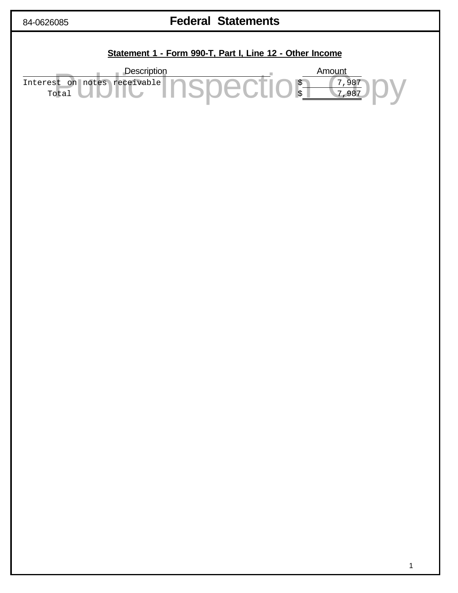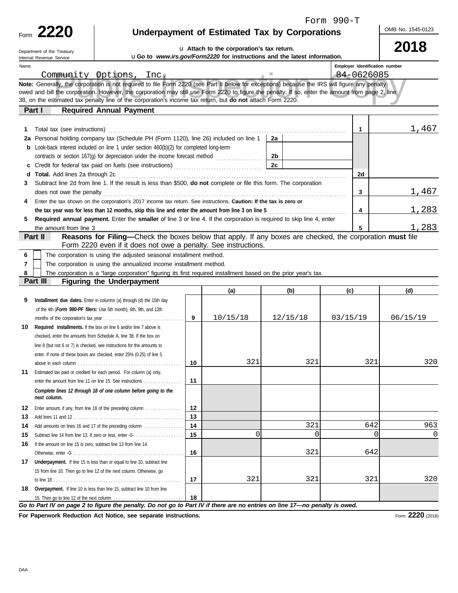| Form | 990-T |
|------|-------|
|      |       |

|      | $\sim$<br>$\sim$<br>) I<br>۳ |
|------|------------------------------|
| Form |                              |

Department of the Treasury

# **Underpayment of Estimated Tax by Corporations**

OMB No. 1545-0123

**2018**

|                         | Department of the fleasury<br>Internal Revenue Service                                                                                                                      |                                                                                                                                                                                                                                                                                                                                                                                                                 |          | uGo to www.irs.gov/Form2220 for instructions and the latest information. |                |                 |          |                                       |                 |
|-------------------------|-----------------------------------------------------------------------------------------------------------------------------------------------------------------------------|-----------------------------------------------------------------------------------------------------------------------------------------------------------------------------------------------------------------------------------------------------------------------------------------------------------------------------------------------------------------------------------------------------------------|----------|--------------------------------------------------------------------------|----------------|-----------------|----------|---------------------------------------|-----------------|
| Name                    |                                                                                                                                                                             |                                                                                                                                                                                                                                                                                                                                                                                                                 |          |                                                                          |                |                 |          | <b>Emplover identification number</b> |                 |
| Community Options, Inc. |                                                                                                                                                                             |                                                                                                                                                                                                                                                                                                                                                                                                                 |          |                                                                          |                |                 |          | 84-0626085                            |                 |
|                         |                                                                                                                                                                             | Note: Generally, the corporation is not required to file Form 2220 (see Part II below for exceptions) because the IRS will figure any penalty<br>owed and bill the corporation. However, the corporation may still use Form 2220 to figure the penalty. If so, enter the amount from page 2, line<br>38, on the estimated tax penalty line of the corporation's income tax return, but do not attach Form 2220. |          |                                                                          |                |                 |          |                                       |                 |
|                         | Part I                                                                                                                                                                      | <b>Required Annual Payment</b>                                                                                                                                                                                                                                                                                                                                                                                  |          |                                                                          |                |                 |          |                                       |                 |
|                         |                                                                                                                                                                             |                                                                                                                                                                                                                                                                                                                                                                                                                 |          |                                                                          |                |                 |          |                                       |                 |
| 1.                      |                                                                                                                                                                             | Total tax (see instructions) (all contact and contact and contact and contact and contact and contact and contact and contact and contact and contact and contact and contact and contact and contact and contact and contact                                                                                                                                                                                   |          |                                                                          |                |                 |          | 1                                     | 1,467           |
| 2a                      |                                                                                                                                                                             |                                                                                                                                                                                                                                                                                                                                                                                                                 |          |                                                                          | 2a             |                 |          |                                       |                 |
|                         | Personal holding company tax (Schedule PH (Form 1120), line 26) included on line 1<br>Look-back interest included on line 1 under section 460(b)(2) for completed long-term |                                                                                                                                                                                                                                                                                                                                                                                                                 |          |                                                                          |                |                 |          |                                       |                 |
|                         |                                                                                                                                                                             | contracts or section 167(g) for depreciation under the income forecast method [                                                                                                                                                                                                                                                                                                                                 |          |                                                                          | 2 <sub>b</sub> |                 |          |                                       |                 |
|                         |                                                                                                                                                                             |                                                                                                                                                                                                                                                                                                                                                                                                                 |          |                                                                          | 2 <sub>c</sub> |                 |          |                                       |                 |
| d                       | <b>Total.</b> Add lines 2a through 2c                                                                                                                                       |                                                                                                                                                                                                                                                                                                                                                                                                                 |          |                                                                          |                |                 |          | 2d                                    |                 |
| 3                       |                                                                                                                                                                             | Subtract line 2d from line 1. If the result is less than \$500, do not complete or file this form. The corporation                                                                                                                                                                                                                                                                                              |          |                                                                          |                |                 |          |                                       |                 |
|                         | does not owe the penalty                                                                                                                                                    |                                                                                                                                                                                                                                                                                                                                                                                                                 |          |                                                                          |                |                 |          | 3                                     | 1,467           |
| 4                       |                                                                                                                                                                             | Enter the tax shown on the corporation's 2017 income tax return. See instructions. Caution: If the tax is zero or                                                                                                                                                                                                                                                                                               |          |                                                                          |                |                 |          |                                       |                 |
|                         |                                                                                                                                                                             | the tax year was for less than 12 months, skip this line and enter the amount from line 3 on line 5                                                                                                                                                                                                                                                                                                             |          |                                                                          |                |                 |          | 4                                     | 1,283           |
| 5                       |                                                                                                                                                                             | Required annual payment. Enter the smaller of line 3 or line 4. If the corporation is required to skip line 4, enter                                                                                                                                                                                                                                                                                            |          |                                                                          |                |                 |          |                                       |                 |
|                         | the amount from line 3                                                                                                                                                      |                                                                                                                                                                                                                                                                                                                                                                                                                 |          |                                                                          |                |                 |          | 5                                     | 1,283           |
|                         | Part II                                                                                                                                                                     | Reasons for Filing—Check the boxes below that apply. If any boxes are checked, the corporation must file                                                                                                                                                                                                                                                                                                        |          |                                                                          |                |                 |          |                                       |                 |
|                         |                                                                                                                                                                             | Form 2220 even if it does not owe a penalty. See instructions.                                                                                                                                                                                                                                                                                                                                                  |          |                                                                          |                |                 |          |                                       |                 |
| 6                       |                                                                                                                                                                             | The corporation is using the adjusted seasonal installment method.                                                                                                                                                                                                                                                                                                                                              |          |                                                                          |                |                 |          |                                       |                 |
| 7                       |                                                                                                                                                                             | The corporation is using the annualized income installment method.                                                                                                                                                                                                                                                                                                                                              |          |                                                                          |                |                 |          |                                       |                 |
| 8                       |                                                                                                                                                                             | The corporation is a "large corporation" figuring its first required installment based on the prior year's tax.                                                                                                                                                                                                                                                                                                 |          |                                                                          |                |                 |          |                                       |                 |
|                         | Part III                                                                                                                                                                    | <b>Figuring the Underpayment</b>                                                                                                                                                                                                                                                                                                                                                                                |          |                                                                          |                |                 |          |                                       |                 |
|                         |                                                                                                                                                                             |                                                                                                                                                                                                                                                                                                                                                                                                                 |          | (a)                                                                      |                | (b)             | (c)      |                                       | (d)             |
|                         |                                                                                                                                                                             |                                                                                                                                                                                                                                                                                                                                                                                                                 |          |                                                                          |                |                 |          |                                       |                 |
| 9                       |                                                                                                                                                                             | Installment due dates. Enter in columns (a) through (d) the 15th day                                                                                                                                                                                                                                                                                                                                            |          |                                                                          |                |                 |          |                                       |                 |
|                         |                                                                                                                                                                             | of the 4th (Form 990-PF filers: Use 5th month), 6th, 9th, and 12th                                                                                                                                                                                                                                                                                                                                              |          |                                                                          |                |                 |          |                                       |                 |
|                         |                                                                                                                                                                             |                                                                                                                                                                                                                                                                                                                                                                                                                 | 9        | 10/15/18                                                                 |                | 12/15/18        | 03/15/19 |                                       | 06/15/19        |
| 10                      |                                                                                                                                                                             | Required installments. If the box on line 6 and/or line 7 above is                                                                                                                                                                                                                                                                                                                                              |          |                                                                          |                |                 |          |                                       |                 |
|                         |                                                                                                                                                                             | checked, enter the amounts from Schedule A, line 38. If the box on                                                                                                                                                                                                                                                                                                                                              |          |                                                                          |                |                 |          |                                       |                 |
|                         |                                                                                                                                                                             | line 8 (but not 6 or 7) is checked, see instructions for the amounts to                                                                                                                                                                                                                                                                                                                                         |          |                                                                          |                |                 |          |                                       |                 |
|                         |                                                                                                                                                                             | enter. If none of these boxes are checked, enter 25% (0.25) of line 5                                                                                                                                                                                                                                                                                                                                           |          |                                                                          |                |                 |          |                                       |                 |
|                         |                                                                                                                                                                             |                                                                                                                                                                                                                                                                                                                                                                                                                 | 10       | 321                                                                      |                | 321             |          | 321                                   | 320             |
| 11                      |                                                                                                                                                                             | Estimated tax paid or credited for each period. For column (a) only,                                                                                                                                                                                                                                                                                                                                            |          |                                                                          |                |                 |          |                                       |                 |
|                         |                                                                                                                                                                             | enter the amount from line 11 on line 15. See instructions                                                                                                                                                                                                                                                                                                                                                      | 11       |                                                                          |                |                 |          |                                       |                 |
|                         | next column.                                                                                                                                                                | Complete lines 12 through 18 of one column before going to the                                                                                                                                                                                                                                                                                                                                                  |          |                                                                          |                |                 |          |                                       |                 |
|                         |                                                                                                                                                                             |                                                                                                                                                                                                                                                                                                                                                                                                                 |          |                                                                          |                |                 |          |                                       |                 |
| 12                      |                                                                                                                                                                             | Enter amount, if any, from line 18 of the preceding column                                                                                                                                                                                                                                                                                                                                                      | 12       |                                                                          |                |                 |          |                                       |                 |
| 13                      |                                                                                                                                                                             |                                                                                                                                                                                                                                                                                                                                                                                                                 | 13       |                                                                          |                |                 |          | 642                                   |                 |
| 14                      |                                                                                                                                                                             | Add amounts on lines 16 and 17 of the preceding column                                                                                                                                                                                                                                                                                                                                                          | 14<br>15 | $\Omega$                                                                 |                | 321<br>$\Omega$ |          | $\Omega$                              | 963<br>$\Omega$ |
| 15<br>16                | If the amount on line 15 is zero, subtract line 13 from line 14.                                                                                                            | Subtract line 14 from line 13. If zero or less, enter -0-                                                                                                                                                                                                                                                                                                                                                       |          |                                                                          |                |                 |          |                                       |                 |
|                         |                                                                                                                                                                             |                                                                                                                                                                                                                                                                                                                                                                                                                 | 16       |                                                                          |                | 321             |          | 642                                   |                 |
|                         |                                                                                                                                                                             | 17 Underpayment. If line 15 is less than or equal to line 10, subtract line                                                                                                                                                                                                                                                                                                                                     |          |                                                                          |                |                 |          |                                       |                 |
|                         |                                                                                                                                                                             | 15 from line 10. Then go to line 12 of the next column. Otherwise, go                                                                                                                                                                                                                                                                                                                                           |          |                                                                          |                |                 |          |                                       |                 |
|                         |                                                                                                                                                                             |                                                                                                                                                                                                                                                                                                                                                                                                                 | 17       | 321                                                                      |                | 321             |          | 321                                   | 320             |
| 18                      |                                                                                                                                                                             | Overpayment. If line 10 is less than line 15, subtract line 10 from line                                                                                                                                                                                                                                                                                                                                        |          |                                                                          |                |                 |          |                                       |                 |
|                         |                                                                                                                                                                             | 15. Then go to line 12 of the next column                                                                                                                                                                                                                                                                                                                                                                       | 18       |                                                                          |                |                 |          |                                       |                 |

**For Paperwork Reduction Act Notice, see separate instructions.**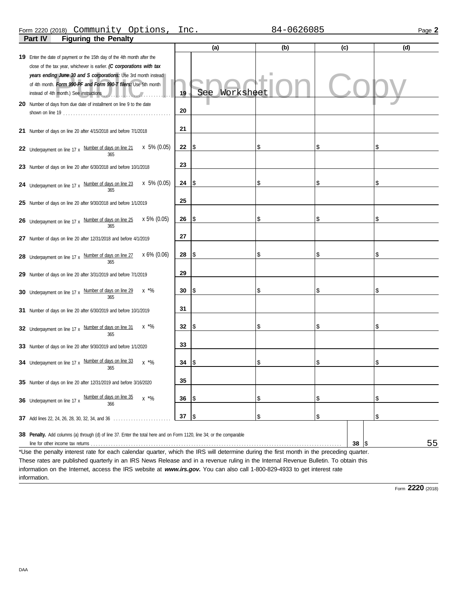### **Part IV Figuring the Penalty** Form 2220 (2018) Page **2** Community Options, Inc. 84-0626085

| י ישטויט וויט וייטויי                                                                                                                                                                                                                                                                |    |                 |     |           |     |
|--------------------------------------------------------------------------------------------------------------------------------------------------------------------------------------------------------------------------------------------------------------------------------------|----|-----------------|-----|-----------|-----|
|                                                                                                                                                                                                                                                                                      |    | (a)             | (b) | (c)       | (d) |
| 19 Enter the date of payment or the 15th day of the 4th month after the<br>close of the tax year, whichever is earlier. (C corporations with tax<br>years ending June 30 and S corporations: Use 3rd month instead<br>of 4th month. Form 990-PF and Form 990-T filers: Use 5th month |    |                 |     |           |     |
|                                                                                                                                                                                                                                                                                      | 19 | See<br>Workshee |     |           |     |
| 20 Number of days from due date of installment on line 9 to the date                                                                                                                                                                                                                 | 20 |                 |     |           |     |
| 21 Number of days on line 20 after 4/15/2018 and before 7/1/2018                                                                                                                                                                                                                     | 21 |                 |     |           |     |
| x 5% (0.05)<br>22 Underpayment on line 17 x Number of days on line 21<br>365                                                                                                                                                                                                         | 22 | 1\$             | \$  | \$        | \$  |
| 23 Number of days on line 20 after 6/30/2018 and before 10/1/2018                                                                                                                                                                                                                    | 23 |                 |     |           |     |
| x 5% (0.05)<br>24 Underpayment on line 17 x Number of days on line 23<br>365                                                                                                                                                                                                         | 24 | 1\$             | \$  | \$        | \$  |
| 25 Number of days on line 20 after 9/30/2018 and before 1/1/2019                                                                                                                                                                                                                     | 25 |                 |     |           |     |
| x 5% (0.05)<br>26 Underpayment on line 17 x Number of days on line 25<br>365                                                                                                                                                                                                         | 26 | \$              | \$  | \$        | \$  |
| 27 Number of days on line 20 after 12/31/2018 and before 4/1/2019                                                                                                                                                                                                                    | 27 |                 |     |           |     |
| x 6% (0.06)<br>28 Underpayment on line 17 x Number of days on line 27<br>365                                                                                                                                                                                                         | 28 | \$              | \$  | \$        | \$  |
| 29 Number of days on line 20 after 3/31/2019 and before 7/1/2019                                                                                                                                                                                                                     | 29 |                 |     |           |     |
| $x \sqrt[*]{6}$<br>30 Underpayment on line 17 x Number of days on line 29<br>365                                                                                                                                                                                                     | 30 | \$              | \$  | \$        | \$  |
| 31 Number of days on line 20 after 6/30/2019 and before 10/1/2019                                                                                                                                                                                                                    | 31 |                 |     |           |     |
| $x \sqrt[*]{6}$<br>32 Underpayment on line 17 x Number of days on line 31<br>365                                                                                                                                                                                                     | 32 | 1\$             | \$  | \$        | \$  |
| 33 Number of days on line 20 after 9/30/2019 and before 1/1/2020                                                                                                                                                                                                                     | 33 |                 |     |           |     |
| 34 Underpayment on line 17 x Number of days on line 33<br>$x \sqrt[*]{6}$<br>365                                                                                                                                                                                                     | 34 | 1\$             | \$  | \$        | \$  |
| 35 Number of days on line 20 after 12/31/2019 and before 3/16/2020                                                                                                                                                                                                                   | 35 |                 |     |           |     |
| Number of days on line 35<br>x *%<br>36 Underpayment on line 17 x<br>366                                                                                                                                                                                                             | 36 | \$              | \$  | \$        | \$  |
| 37 Add lines 22, 24, 26, 28, 30, 32, 34, and 36                                                                                                                                                                                                                                      | 37 | \$              | \$  | \$        | \$  |
| 38 Penalty. Add columns (a) through (d) of line 37. Enter the total here and on Form 1120, line 34; or the comparable                                                                                                                                                                |    |                 |     | 38<br>1\$ | 55  |

\*Use the penalty interest rate for each calendar quarter, which the IRS will determine during the first month in the preceding quarter. These rates are published quarterly in an IRS News Release and in a revenue ruling in the Internal Revenue Bulletin. To obtain this information on the Internet, access the IRS website at *www.irs.gov.* You can also call 1-800-829-4933 to get interest rate information.

Form **2220** (2018)